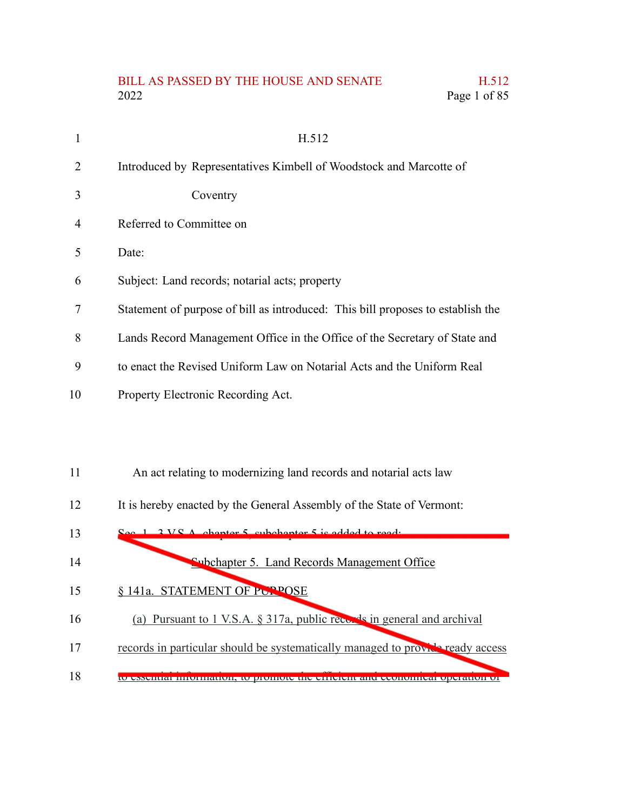## BILL AS PASSED BY THE HOUSE AND SENATE H.512 2022 Page 1 of 85

| 1  | H.512                                                                           |
|----|---------------------------------------------------------------------------------|
| 2  | Introduced by Representatives Kimbell of Woodstock and Marcotte of              |
| 3  | Coventry                                                                        |
| 4  | Referred to Committee on                                                        |
| 5  | Date:                                                                           |
| 6  | Subject: Land records; notarial acts; property                                  |
| 7  | Statement of purpose of bill as introduced: This bill proposes to establish the |
| 8  | Lands Record Management Office in the Office of the Secretary of State and      |
| 9  | to enact the Revised Uniform Law on Notarial Acts and the Uniform Real          |
| 10 | Property Electronic Recording Act.                                              |
|    |                                                                                 |

- An act relating to modernizing land records and notarial acts law 11
- It is hereby enacted by the General Assembly of the State of Vermont: 12
- 3 V.S.A. chapter 5, subchapter 5 is added to read: Subchapter 5. Land Records Management Office 13 14
- § 141a. STATEMENT OF PUPPOSE 15
- (a) Pursuant to 1 V.S.A. § 317a, public records in general and archival 16
- records in particular should be systematically managed to provide ready access 17
- to essential information, to promote the efficient and economical operation of 18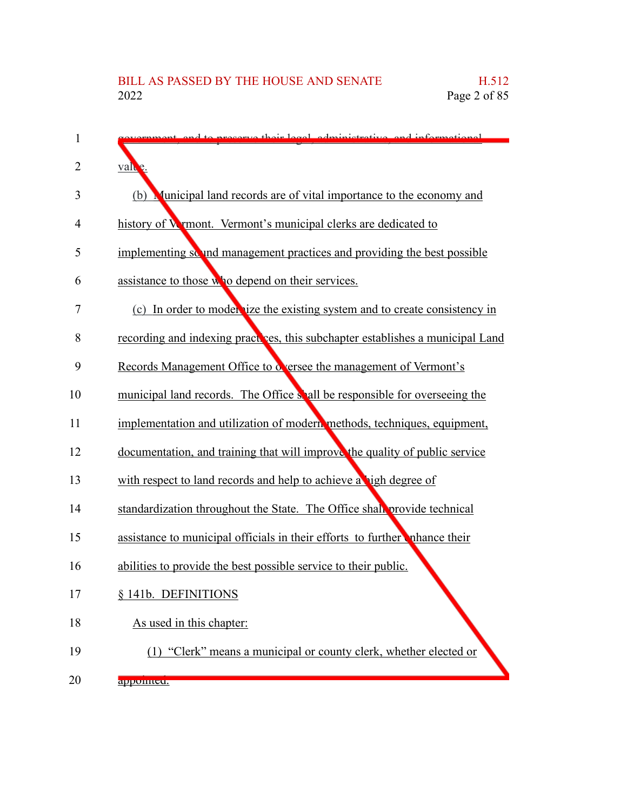| $\mathbf{1}$   | correct heir legal administrative and informational                            |
|----------------|--------------------------------------------------------------------------------|
| $\overline{2}$ | value.                                                                         |
| 3              | Municipal land records are of vital importance to the economy and<br>(b)       |
| 4              | history of Wymont. Vermont's municipal clerks are dedicated to                 |
| 5              | implementing so and management practices and providing the best possible       |
| 6              | assistance to those who depend on their services.                              |
| 7              | (c) In order to model (ize the existing system and to create consistency in    |
| 8              | recording and indexing practices, this subchapter establishes a municipal Land |
| 9              | Records Management Office to deensee the management of Vermont's               |
| 10             | municipal land records. The Office shall be responsible for overseeing the     |
| 11             | implementation and utilization of modern methods, techniques, equipment,       |
| 12             | documentation, and training that will improve the quality of public service    |
| 13             | with respect to land records and help to achieve a high degree of              |
| 14             | standardization throughout the State. The Office shall provide technical       |
| 15             | assistance to municipal officials in their efforts to further thance their     |
| 16             | abilities to provide the best possible service to their public.                |
| 17             | 141b. DEFINITIONS                                                              |
| 18             | As used in this chapter:                                                       |
| 19             | (1) "Clerk" means a municipal or county clerk, whether elected or              |
| 20             | appomicu.                                                                      |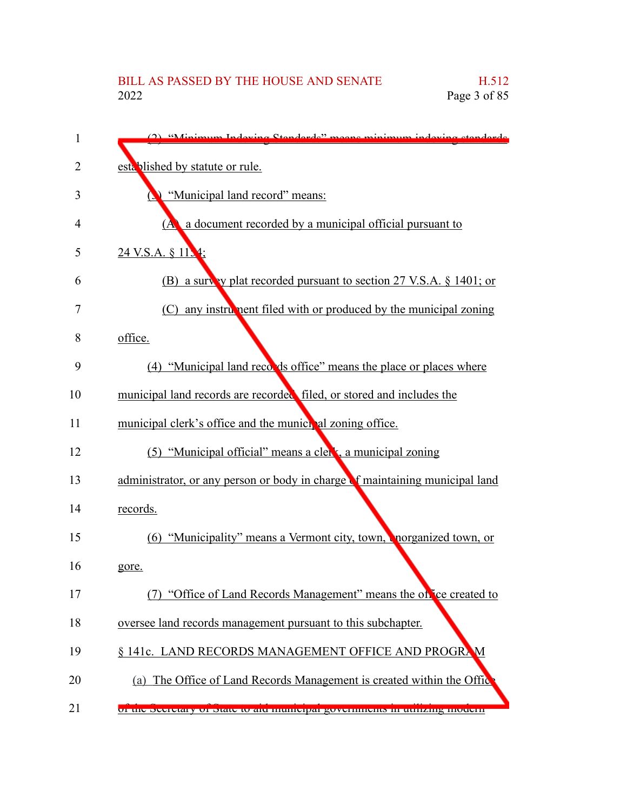| 1  | (2) "Minimum Indoving Standards" means minimum indoving standards               |
|----|---------------------------------------------------------------------------------|
| 2  | established by statute or rule.                                                 |
| 3  | "Municipal land record" means:                                                  |
| 4  | a document recorded by a municipal official pursuant to<br>(A)                  |
| 5  | 24 V.S.A. § 11.4;                                                               |
| 6  | (B) a survey plat recorded pursuant to section 27 V.S.A. $\S$ 1401; or          |
| 7  | (C) any instrument filed with or produced by the municipal zoning               |
| 8  | office.                                                                         |
| 9  | (4) "Municipal land records office" means the place or places where             |
| 10 | municipal land records are recorded filed, or stored and includes the           |
| 11 | municipal clerk's office and the municipal zoning office.                       |
| 12 | (5) "Municipal official" means a clerk, a municipal zoning                      |
| 13 | administrator, or any person or body in charge of maintaining municipal land    |
| 14 | records.                                                                        |
| 15 | (6) "Municipality" means a Vermont city, town, enorganized town, or             |
| 16 | gore.                                                                           |
| 17 | "Office of Land Records Management" means the office created to                 |
| 18 | oversee land records management pursuant to this subchapter.                    |
| 19 | § 141c. LAND RECORDS MANAGEMENT OFFICE AND PROGRAM                              |
| 20 | (a) The Office of Land Records Management is created within the Office          |
| 21 | <u>ui uit deuletary ui diale lu alu mumeipar guvernmeilis in uumzing muuenn</u> |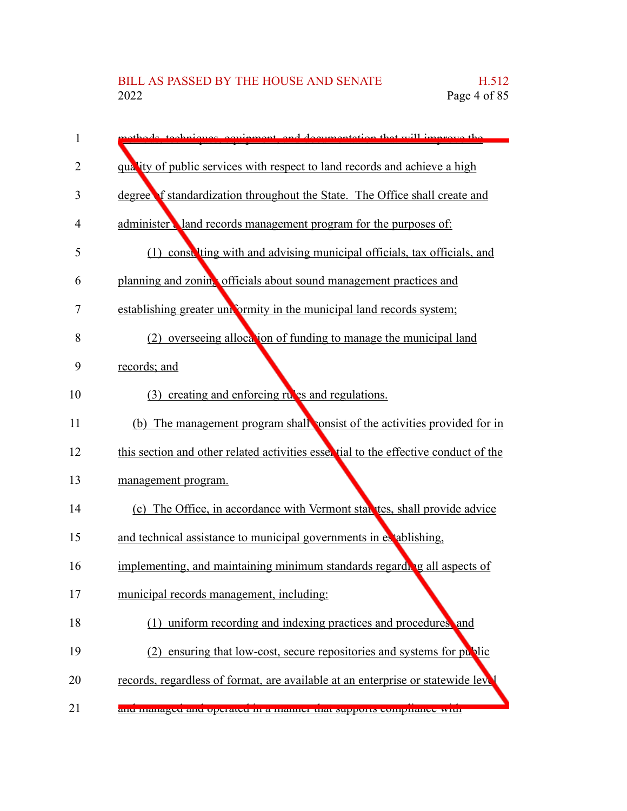| 1  | methods, techniques, equipment, and documentation that will improve the             |
|----|-------------------------------------------------------------------------------------|
| 2  | quality of public services with respect to land records and achieve a high          |
| 3  | degree f standardization throughout the State. The Office shall create and          |
| 4  | administer land records management program for the purposes of:                     |
| 5  | (1) const ting with and advising municipal officials, tax officials, and            |
| 6  | planning and zoning officials about sound management practices and                  |
| 7  | establishing greater uniformity in the municipal land records system;               |
| 8  | overseeing allocation of funding to manage the municipal land<br>(2)                |
| 9  | records; and                                                                        |
| 10 | (3) creating and enforcing rules and regulations.                                   |
| 11 | (b) The management program shall consist of the activities provided for in          |
| 12 | this section and other related activities essertial to the effective conduct of the |
| 13 | management program.                                                                 |
| 14 | (c) The Office, in accordance with Vermont statutes, shall provide advice           |
| 15 | and technical assistance to municipal governments in extablishing,                  |
| 16 | implementing, and maintaining minimum standards regarding all aspects of            |
| 17 | municipal records management, including:                                            |
| 18 | (1) uniform recording and indexing practices and procedures, and                    |
| 19 | (2) ensuring that low-cost, secure repositories and systems for public              |
| 20 | records, regardless of format, are available at an enterprise or statewide level    |
| 21 | ани шанаgеи ани ореганен нг а шаннег шаг ѕирроть сопірнанес мин                     |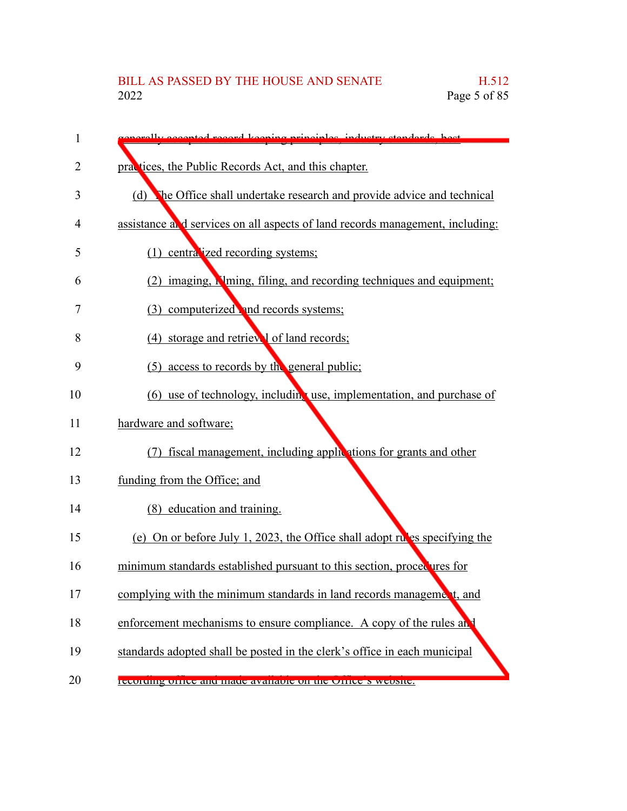| 1  | energily accepted record keeping principles industry standards best           |
|----|-------------------------------------------------------------------------------|
| 2  | practices, the Public Records Act, and this chapter.                          |
| 3  | (d)<br>The Office shall undertake research and provide advice and technical   |
| 4  | assistance and services on all aspects of land records management, including: |
| 5  | (1) centralized recording systems;                                            |
| 6  | (2) imaging, N ming, filing, and recording techniques and equipment;          |
| 7  | (3) computerized and records systems;                                         |
| 8  | (4) storage and retrieval of land records;                                    |
| 9  | (5) access to records by the general public;                                  |
| 10 | (6) use of technology, including use, implementation, and purchase of         |
| 11 | hardware and software;                                                        |
| 12 | (7) fiscal management, including applications for grants and other            |
| 13 | funding from the Office; and                                                  |
| 14 | (8) education and training.                                                   |
| 15 | (e) On or before July 1, 2023, the Office shall adopt rules specifying the    |
| 16 | minimum standards established pursuant to this section, procedures for        |
| 17 | complying with the minimum standards in land records management, and          |
| 18 | enforcement mechanisms to ensure compliance. A copy of the rules and          |
| 19 | standards adopted shall be posted in the clerk's office in each municipal     |
| 20 | recording office and made available on the Office's website.                  |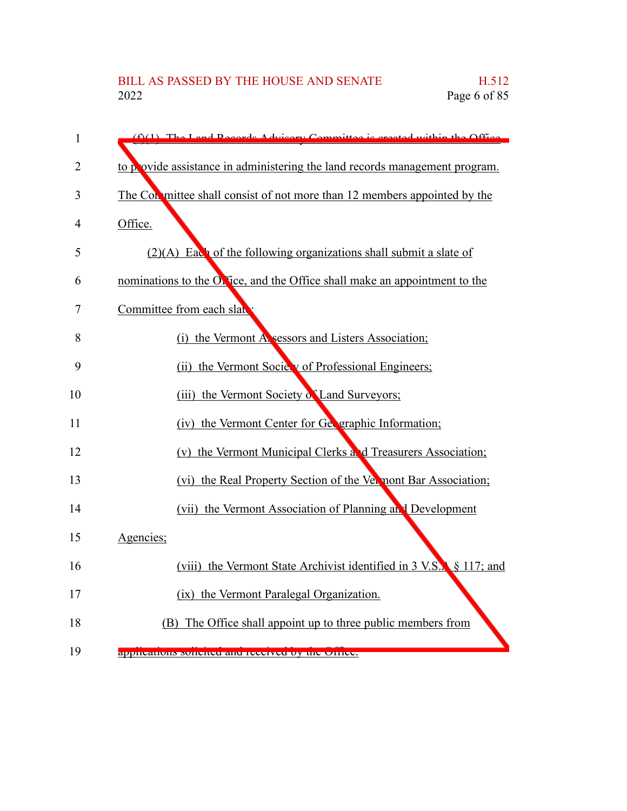| 1  | $(f)(1)$ The Land Records Advisory Committee is created within the Office   |
|----|-----------------------------------------------------------------------------|
| 2  | to p ovide assistance in administering the land records management program. |
| 3  | The Conmittee shall consist of not more than 12 members appointed by the    |
| 4  | Office.                                                                     |
| 5  | $(2)(A)$ Each of the following organizations shall submit a slate of        |
| 6  | nominations to the Orfice, and the Office shall make an appointment to the  |
| 7  | Committee from each slate                                                   |
| 8  | (i) the Vermont Alsessors and Listers Association;                          |
| 9  | (ii) the Vermont Society of Professional Engineers;                         |
| 10 | (iii) the Vermont Society of Land Surveyors;                                |
| 11 | (iv) the Vermont Center for Geographic Information;                         |
| 12 | (v) the Vermont Municipal Clerks and Treasurers Association;                |
| 13 | (vi) the Real Property Section of the Vermont Bar Association;              |
| 14 | (vii) the Vermont Association of Planning and Development                   |
| 15 | Agencies;                                                                   |
| 16 | (viii) the Vermont State Archivist identified in 3 V.S. § 117; and          |
| 17 | (ix) the Vermont Paralegal Organization.                                    |
| 18 | (B) The Office shall appoint up to three public members from                |
| 19 | apprivations somence and received by the Office.                            |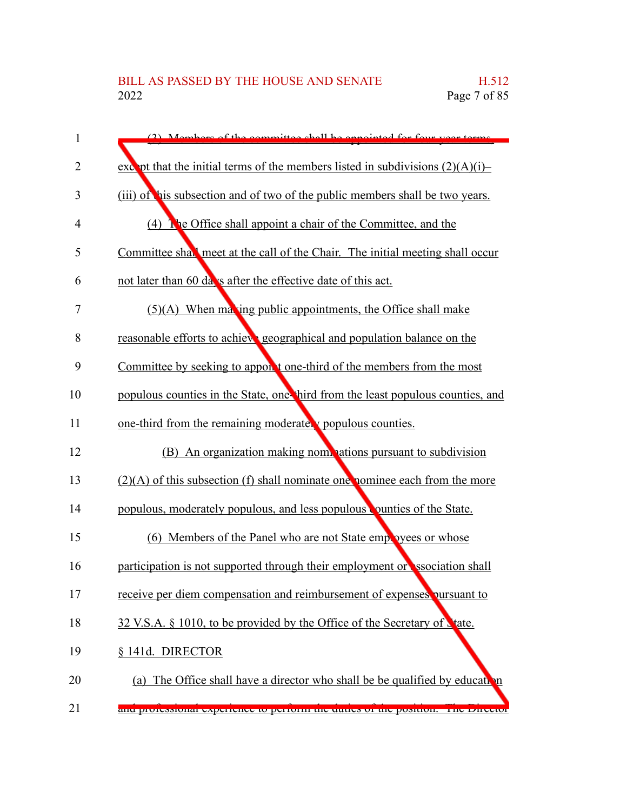| 1  | (2) Mombors of the committee shall be appointed for four year terms.              |
|----|-----------------------------------------------------------------------------------|
| 2  | except that the initial terms of the members listed in subdivisions $(2)(A)(i)$ - |
| 3  | (iii) of his subsection and of two of the public members shall be two years.      |
| 4  | (4) The Office shall appoint a chair of the Committee, and the                    |
| 5  | Committee shall meet at the call of the Chair. The initial meeting shall occur    |
| 6  | not later than 60 days after the effective date of this act.                      |
| 7  | $(5)(A)$ When maxing public appointments, the Office shall make                   |
| 8  | reasonable efforts to achieve geographical and population balance on the          |
| 9  | Committee by seeking to appont one-third of the members from the most             |
| 10 | populous counties in the State, one hird from the least populous counties, and    |
| 11 | one-third from the remaining moderately populous counties.                        |
| 12 | (B) An organization making nominations pursuant to subdivision                    |
| 13 | $(2)(A)$ of this subsection (f) shall nominate one nominee each from the more     |
| 14 | populous, moderately populous, and less populous counties of the State.           |
| 15 | (6) Members of the Panel who are not State employees or whose                     |
| 16 | participation is not supported through their employment or ssociation shall       |
| 17 | receive per diem compensation and reimbursement of expenses pursuant to           |
| 18 | 32 V.S.A. § 1010, to be provided by the Office of the Secretary of State.         |
| 19 | § 141d. DIRECTOR                                                                  |
| 20 | (a) The Office shall have a director who shall be be qualified by education       |
| 21 | and protessional experience to perform the duties of the position. The Director   |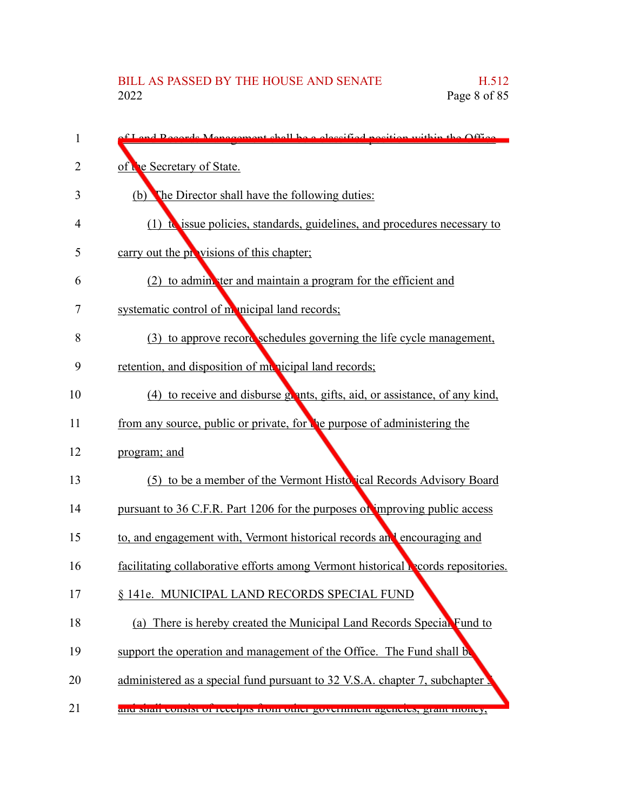| 1  | f Land Records Management shall be a classified position within the Office               |
|----|------------------------------------------------------------------------------------------|
| 2  | of the Secretary of State.                                                               |
| 3  | The Director shall have the following duties:<br>(b)                                     |
| 4  | $(1)$ to issue policies, standards, guidelines, and procedures necessary to              |
| 5  | carry out the provisions of this chapter;                                                |
| 6  | (2) to administer and maintain a program for the efficient and                           |
| 7  | systematic control of monicipal land records;                                            |
| 8  | (3) to approve record schedules governing the life cycle management,                     |
| 9  | retention, and disposition of municipal land records;                                    |
| 10 | (4) to receive and disburse grants, gifts, aid, or assistance, of any kind,              |
| 11 | from any source, public or private, for the purpose of administering the                 |
| 12 | program; and                                                                             |
| 13 | (5) to be a member of the Vermont Historical Records Advisory Board                      |
| 14 | pursuant to 36 C.F.R. Part 1206 for the purposes of improving public access              |
| 15 | to, and engagement with, Vermont historical records and encouraging and                  |
| 16 | facilitating collaborative efforts among Vermont historical <b>Records</b> repositories. |
| 17 | § 141e. MUNICIPAL LAND RECORDS SPECIAL FUND                                              |
| 18 | (a) There is hereby created the Municipal Land Records Special Fund to                   |
| 19 | support the operation and management of the Office. The Fund shall be                    |
| 20 | administered as a special fund pursuant to 32 V.S.A. chapter 7, subchapter               |
| 21 | ана мнан сонмы от гесеррь нош ошег government agencies, grant money,                     |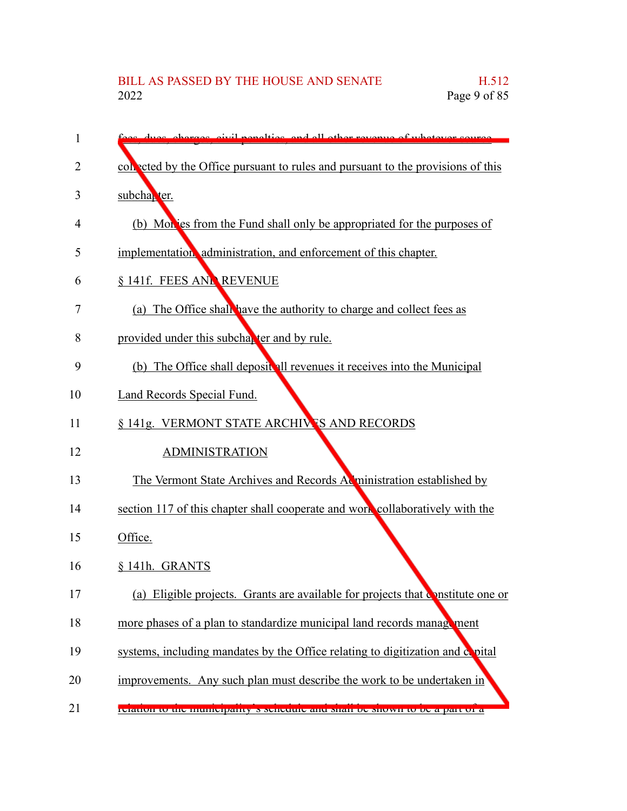| 1              | see dues charges eivil penalties and all other revenue of whatever source        |
|----------------|----------------------------------------------------------------------------------|
| $\overline{2}$ | collected by the Office pursuant to rules and pursuant to the provisions of this |
| 3              | subcha <sub>k</sub> ter.                                                         |
| 4              | (b) Monies from the Fund shall only be appropriated for the purposes of          |
| 5              | implementation administration, and enforcement of this chapter.                  |
| 6              | § 141f. FEES ANL REVENUE                                                         |
| 7              | (a) The Office shall have the authority to charge and collect fees as            |
| 8              | provided under this subcharter and by rule.                                      |
| 9              | (b) The Office shall deposit all revenues it receives into the Municipal         |
| 10             | Land Records Special Fund.                                                       |
| 11             | § 141g. VERMONT STATE ARCHIVES AND RECORDS                                       |
| 12             | <b>ADMINISTRATION</b>                                                            |
| 13             | The Vermont State Archives and Records Administration established by             |
| 14             | section 117 of this chapter shall cooperate and work collaboratively with the    |
| 15             | Office.                                                                          |
| 16             | § 141h. GRANTS                                                                   |
| 17             | (a) Eligible projects. Grants are available for projects that constitute one or  |
| 18             | more phases of a plan to standardize municipal land records management           |
| 19             | systems, including mandates by the Office relating to digitization and copital   |
| 20             | improvements. Any such plan must describe the work to be undertaken in           |
| 21             | relation to the municipality is seneutife and shart be shown to be a part of a   |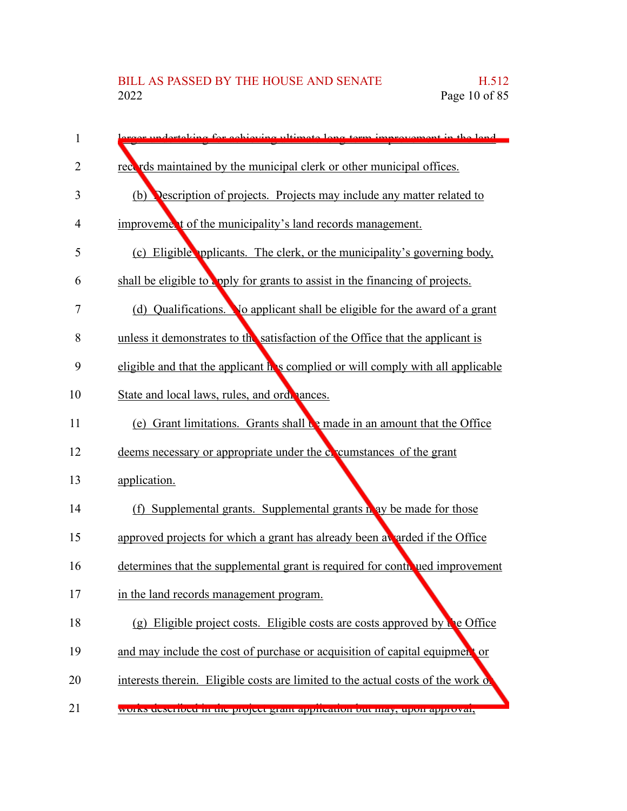| 1  | reex undertaking for achieving ultimate long term improvement in the land        |
|----|----------------------------------------------------------------------------------|
| 2  | records maintained by the municipal clerk or other municipal offices.            |
| 3  | (b) <b>Description of projects.</b> Projects may include any matter related to   |
| 4  | improvement of the municipality's land records management.                       |
| 5  | (c) Eligible pplicants. The clerk, or the municipality's governing body,         |
| 6  | shall be eligible to upply for grants to assist in the financing of projects.    |
| 7  | (d) Qualifications. No applicant shall be eligible for the award of a grant      |
| 8  | unless it demonstrates to the satisfaction of the Office that the applicant is   |
| 9  | eligible and that the applicant he s complied or will comply with all applicable |
| 10 | State and local laws, rules, and ordenances.                                     |
| 11 | (e) Grant limitations. Grants shall be made in an amount that the Office         |
| 12 | deems necessary or appropriate under the coveum stances of the grant             |
| 13 | application.                                                                     |
| 14 | (f) Supplemental grants. Supplemental grants in ay be made for those             |
| 15 | approved projects for which a grant has already been a arded if the Office       |
| 16 | determines that the supplemental grant is required for contributed improvement   |
| 17 | in the land records management program.                                          |
| 18 | (g) Eligible project costs. Eligible costs are costs approved by the Office      |
| 19 | and may include the cost of purchase or acquisition of capital equipment or      |
| 20 | interests therein. Eligible costs are limited to the actual costs of the work of |
| 21 | works described in the project grant application out may, upon approval,         |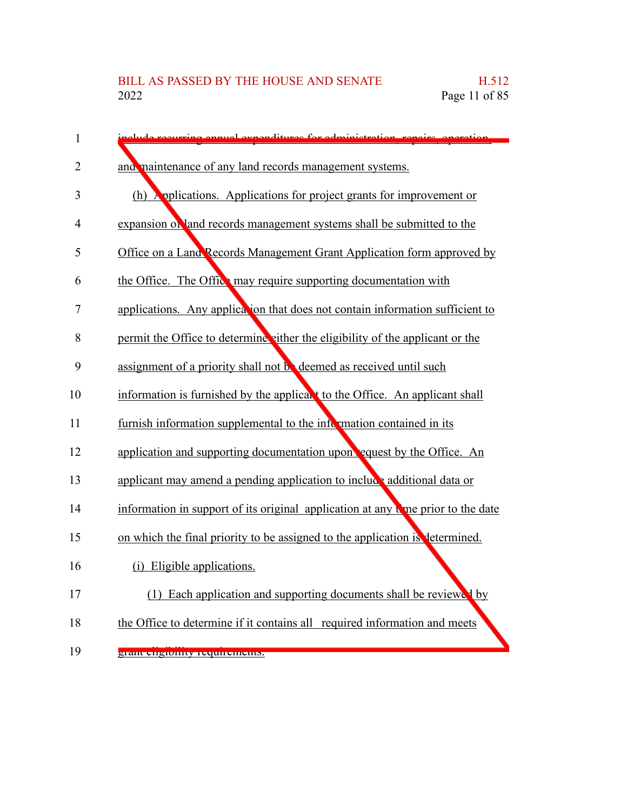| $\mathbf{1}$   | elude requiring enough expenditures for edministration, repairs, energies        |
|----------------|----------------------------------------------------------------------------------|
| $\overline{2}$ | and maintenance of any land records management systems.                          |
| 3              | (h) Applications. Applications for project grants for improvement or             |
| 4              | expansion of land records management systems shall be submitted to the           |
| 5              | Office on a Land Records Management Grant Application form approved by           |
| 6              | the Office. The Office may require supporting documentation with                 |
| 7              | applications. Any application that does not contain information sufficient to    |
| 8              | permit the Office to determine either the eligibility of the applicant or the    |
| 9              | assignment of a priority shall not be deemed as received until such              |
| 10             | information is furnished by the applicant to the Office. An applicant shall      |
| 11             | furnish information supplemental to the information contained in its             |
| 12             | application and supporting documentation upon equest by the Office. An           |
| 13             | applicant may amend a pending application to include additional data or          |
| 14             | information in support of its original application at any time prior to the date |
| 15             | on which the final priority to be assigned to the application is determined.     |
| 16             | (i) Eligible applications.                                                       |
| 17             | (1) Each application and supporting documents shall be reviewed by               |
| 18             | the Office to determine if it contains all required information and meets        |
| 19             | <u>ями спяшниу гершенень.</u>                                                    |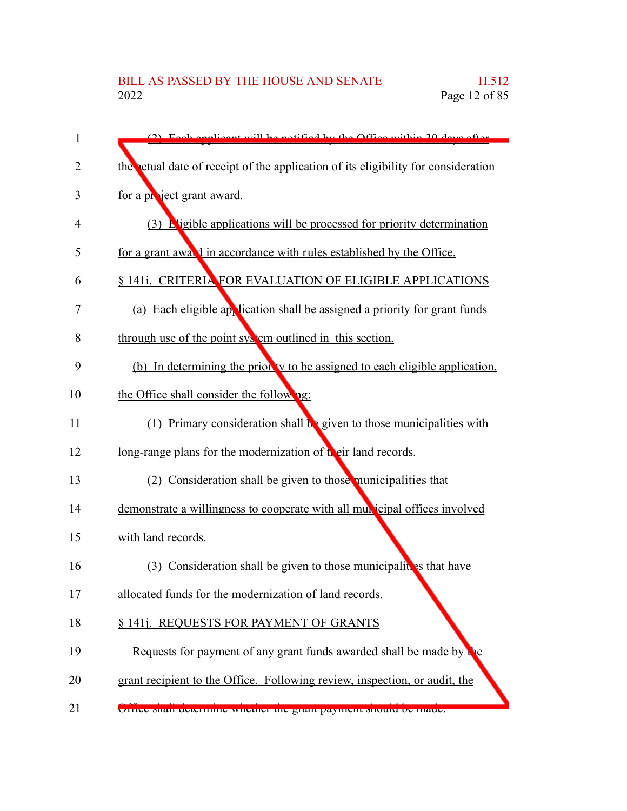| 1              | (2) Each employer will be notified by the Office within 20 days often              |
|----------------|------------------------------------------------------------------------------------|
| $\overline{2}$ | the ctual date of receipt of the application of its eligibility for consideration  |
| 3              | for a project grant award.                                                         |
| 4              | (3) <b>Pligible applications will be processed for priority determination</b>      |
| 5              | for a grant awald in accordance with rules established by the Office.              |
| 6              | § 141i. CRITERIA FOR EVALUATION OF ELIGIBLE APPLICATIONS                           |
| 7              | (a) Each eligible application shall be assigned a priority for grant funds         |
| 8              | through use of the point system outlined in this section.                          |
| 9              | (b) In determining the prior ty to be assigned to each eligible application,       |
| 10             | the Office shall consider the following:                                           |
| 11             | Primary consideration shall $\mathbf{b}$ given to those municipalities with<br>(1) |
| 12             | long-range plans for the modernization of their land records.                      |
| 13             | Consideration shall be given to those municipalities that<br>(2)                   |
| 14             | demonstrate a willingness to cooperate with all municipal offices involved         |
| 15             | with land records.                                                                 |
| 16             | Consideration shall be given to those municipalities that have<br>(3)              |
| 17             | allocated funds for the modernization of land records.                             |
| 18             | § 141j. REQUESTS FOR PAYMENT OF GRANTS                                             |
| 19             | Requests for payment of any grant funds awarded shall be made by                   |
| 20             | grant recipient to the Office. Following review, inspection, or audit, the         |
| 21             | UTHUC SHAH QUUTHIIIIC WHUHICI HIC grant paymunt Should be made.                    |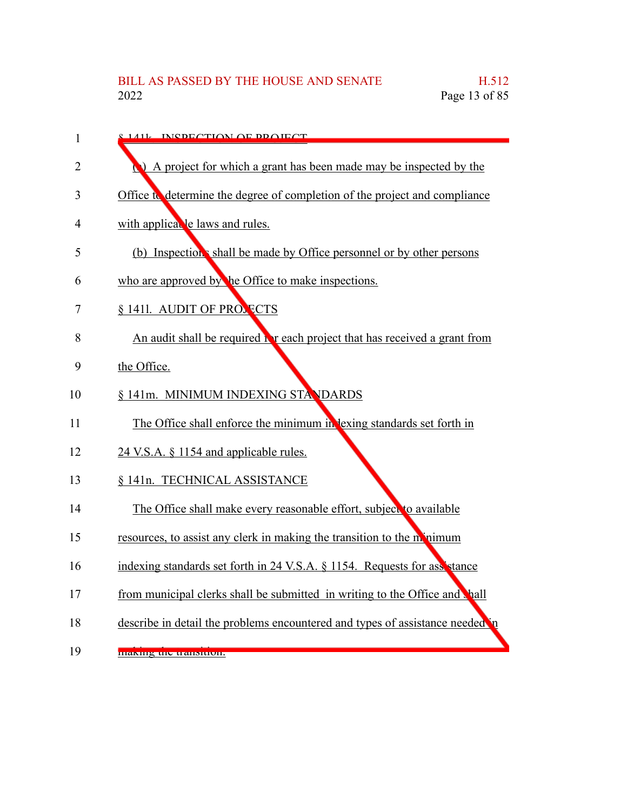| 1  | <u>s 1411 - INCDECTION OF DDOIECT</u>                                            |
|----|----------------------------------------------------------------------------------|
| 2  | A project for which a grant has been made may be inspected by the                |
| 3  | Office to determine the degree of completion of the project and compliance       |
| 4  | with applical le laws and rules.                                                 |
| 5  | (b) Inspection's shall be made by Office personnel or by other persons           |
| 6  | who are approved by the Office to make inspections.                              |
| 7  | § 1411. AUDIT OF PROSECTS                                                        |
| 8  | An audit shall be required <b>b</b> reach project that has received a grant from |
| 9  | the Office.                                                                      |
| 10 | § 141m. MINIMUM INDEXING STANDARDS                                               |
| 11 | The Office shall enforce the minimum in lexing standards set forth in            |
| 12 | 24 V.S.A. § 1154 and applicable rules.                                           |
| 13 | § 141n. TECHNICAL ASSISTANCE                                                     |
| 14 | The Office shall make every reasonable effort, subject to available              |
| 15 | resources, to assist any clerk in making the transition to the momentum          |
| 16 | indexing standards set forth in 24 V.S.A. § 1154. Requests for assistance        |
| 17 | from municipal clerks shall be submitted in writing to the Office and hall       |
| 18 | describe in detail the problems encountered and types of assistance needed       |

making the transition. 19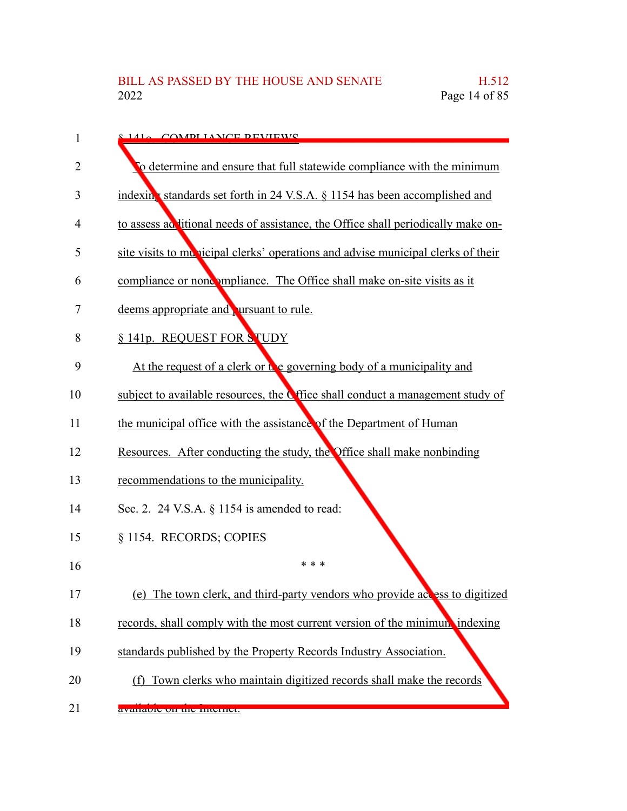| 1  | 141. COMPLIANCE DEVIEWS                                                                |
|----|----------------------------------------------------------------------------------------|
| 2  | To determine and ensure that full statewide compliance with the minimum                |
| 3  | indexing standards set forth in 24 V.S.A. § 1154 has been accomplished and             |
| 4  | to assess ad litional needs of assistance, the Office shall periodically make on-      |
| 5  | site visits to municipal clerks' operations and advise municipal clerks of their       |
| 6  | compliance or noncompliance. The Office shall make on-site visits as it                |
| 7  | deems appropriate and ursuant to rule.                                                 |
| 8  | § 141p. REQUEST FOR STUDY                                                              |
| 9  | At the request of a clerk or the governing body of a municipality and                  |
| 10 | subject to available resources, the <b>C</b> ffice shall conduct a management study of |
| 11 | the municipal office with the assistance of the Department of Human                    |
| 12 | Resources. After conducting the study, the Office shall make nonbinding                |
| 13 | recommendations to the municipality.                                                   |
| 14 | Sec. 2. 24 V.S.A. $\S$ 1154 is amended to read:                                        |
| 15 | § 1154. RECORDS; COPIES                                                                |
| 16 | * * *                                                                                  |
| 17 | (e) The town clerk, and third-party vendors who provide access to digitized            |
| 18 | records, shall comply with the most current version of the minimum indexing            |
| 19 | standards published by the Property Records Industry Association.                      |
| 20 | (f) Town clerks who maintain digitized records shall make the records                  |
| 21 | avanaute un me miemet.                                                                 |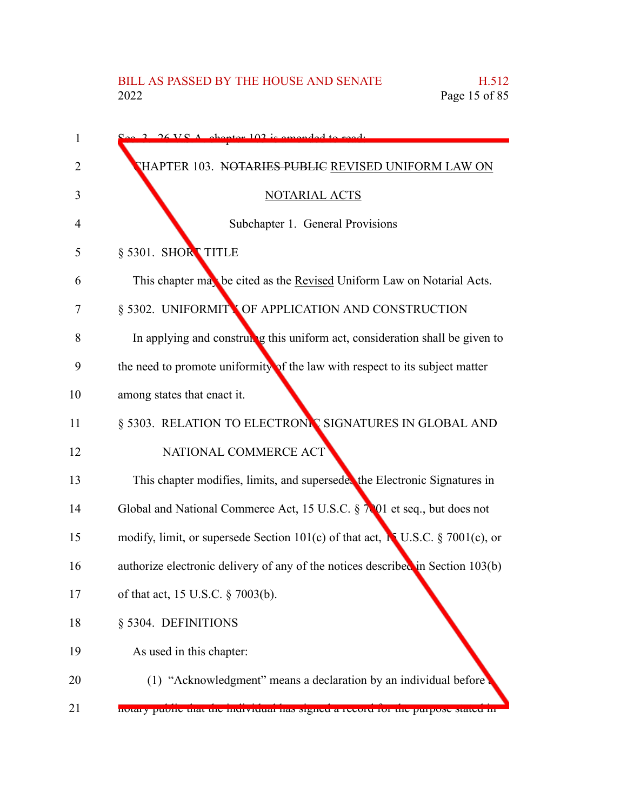| 1  | 26 VC A chapter 102 is amended to read.                                         |
|----|---------------------------------------------------------------------------------|
| 2  | THAPTER 103. NOTARIES PUBLIC REVISED UNIFORM LAW ON                             |
| 3  | NOTARIAL ACTS                                                                   |
| 4  | Subchapter 1. General Provisions                                                |
| 5  | § 5301. SHORT TITLE                                                             |
| 6  | This chapter may be cited as the Revised Uniform Law on Notarial Acts.          |
| 7  | § 5302. UNIFORMITY OF APPLICATION AND CONSTRUCTION                              |
| 8  | In applying and construm g this uniform act, consideration shall be given to    |
| 9  | the need to promote uniformity of the law with respect to its subject matter    |
| 10 | among states that enact it.                                                     |
| 11 | § 5303. RELATION TO ELECTRONIC SIGNATURES IN GLOBAL AND                         |
| 12 | NATIONAL COMMERCE ACT                                                           |
| 13 | This chapter modifies, limits, and superseder the Electronic Signatures in      |
| 14 | Global and National Commerce Act, 15 U.S.C. § 7001 et seq., but does not        |
| 15 | modify, limit, or supersede Section 101(c) of that act, NU.S.C. § 7001(c), or   |
| 16 | authorize electronic delivery of any of the notices described in Section 103(b) |
| 17 | of that act, 15 U.S.C. § 7003(b).                                               |
| 18 | § 5304. DEFINITIONS                                                             |
| 19 | As used in this chapter:                                                        |
| 20 | (1) "Acknowledgment" means a declaration by an individual before                |
| 21 | notary public that the murvitudar has signed a record for the purpose stated in |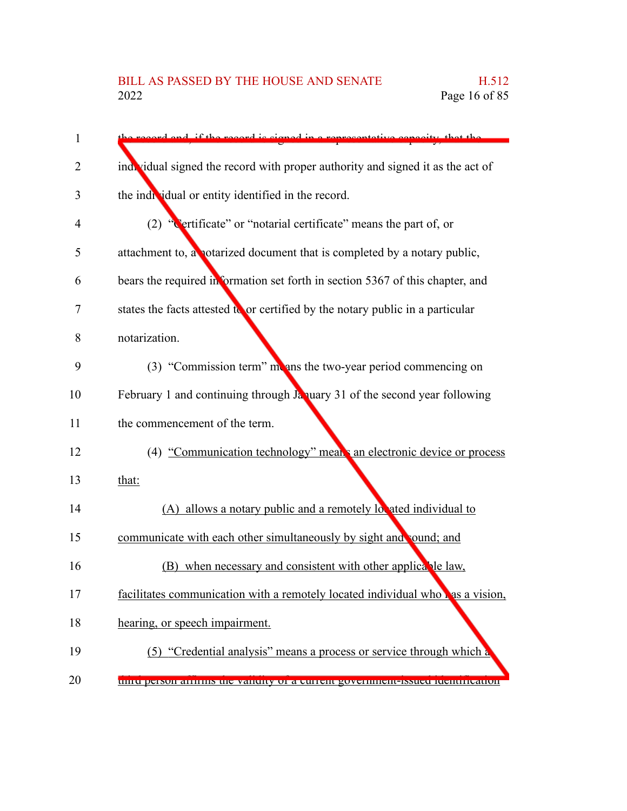| 1  | record and if the record is signed in a representative canceity that the        |
|----|---------------------------------------------------------------------------------|
| 2  | individual signed the record with proper authority and signed it as the act of  |
| 3  | the individual or entity identified in the record.                              |
| 4  | "Certificate" or "notarial certificate" means the part of, or<br>(2)            |
| 5  | attachment to, a notarized document that is completed by a notary public,       |
| 6  | bears the required information set forth in section 5367 of this chapter, and   |
| 7  | states the facts attested to or certified by the notary public in a particular  |
| 8  | notarization.                                                                   |
| 9  | (3) "Commission term" means the two-year period commencing on                   |
| 10 | February 1 and continuing through January 31 of the second year following       |
| 11 | the commencement of the term.                                                   |
| 12 | (4) "Communication technology" means an electronic device or process            |
| 13 | that:                                                                           |
| 14 | (A) allows a notary public and a remotely lovated individual to                 |
| 15 | communicate with each other simultaneously by sight and sound; and              |
| 16 | (B) when necessary and consistent with other applicable law,                    |
| 17 | facilitates communication with a remotely located individual whole as a vision, |
| 18 | hearing, or speech impairment.                                                  |
| 19 | (5) "Credential analysis" means a process or service through which a            |
| 20 | unici person annuis que vandity or a curient government-issued tuentification   |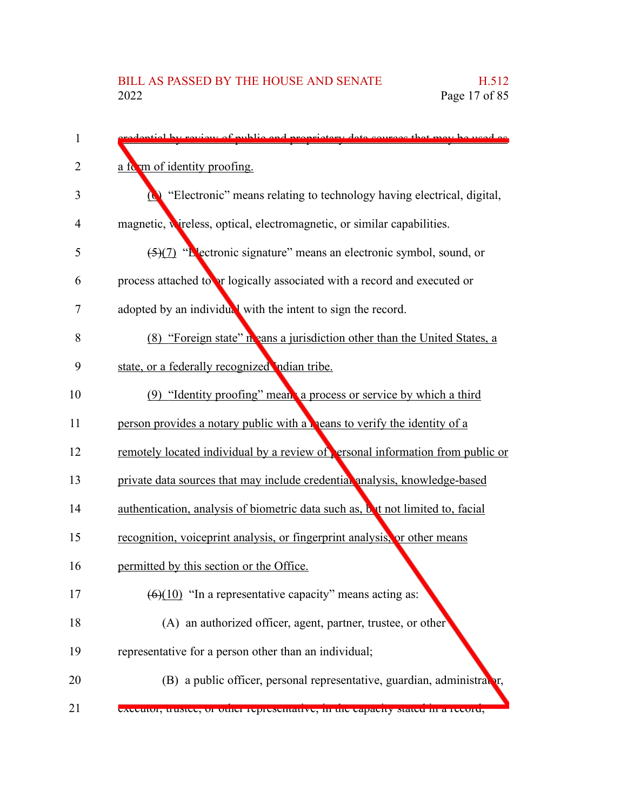| 1              | redential by review of public and proprietory data courses that may be used as    |
|----------------|-----------------------------------------------------------------------------------|
| $\overline{2}$ | a form of identity proofing.                                                      |
| 3              | "Electronic" means relating to technology having electrical, digital,<br>$\omega$ |
| 4              | magnetic, wireless, optical, electromagnetic, or similar capabilities.            |
| 5              | $\frac{5}{7}$ "Electronic signature" means an electronic symbol, sound, or        |
| 6              | process attached to or logically associated with a record and executed or         |
| 7              | adopted by an individual with the intent to sign the record.                      |
| 8              | (8) "Foreign state" in eans a jurisdiction other than the United States, a        |
| 9              | state, or a federally recognized indian tribe.                                    |
| 10             | (9) "Identity proofing" means a process or service by which a third               |
| 11             | person provides a notary public with a <b>h</b> eans to verify the identity of a  |
| 12             | remotely located individual by a review of ersonal information from public or     |
| 13             | private data sources that may include credential analysis, knowledge-based        |
| 14             | authentication, analysis of biometric data such as, but not limited to, facial    |
| 15             | recognition, voiceprint analysis, or fingerprint analysis, or other means         |
| 16             | permitted by this section or the Office.                                          |
| 17             | $(6)(10)$ "In a representative capacity" means acting as:                         |
| 18             | (A) an authorized officer, agent, partner, trustee, or other                      |
| 19             | representative for a person other than an individual;                             |
| 20             | (B) a public officer, personal representative, guardian, administrator,           |
| 21             | executor, trustee, or other representative, in the capacity stated in a record,   |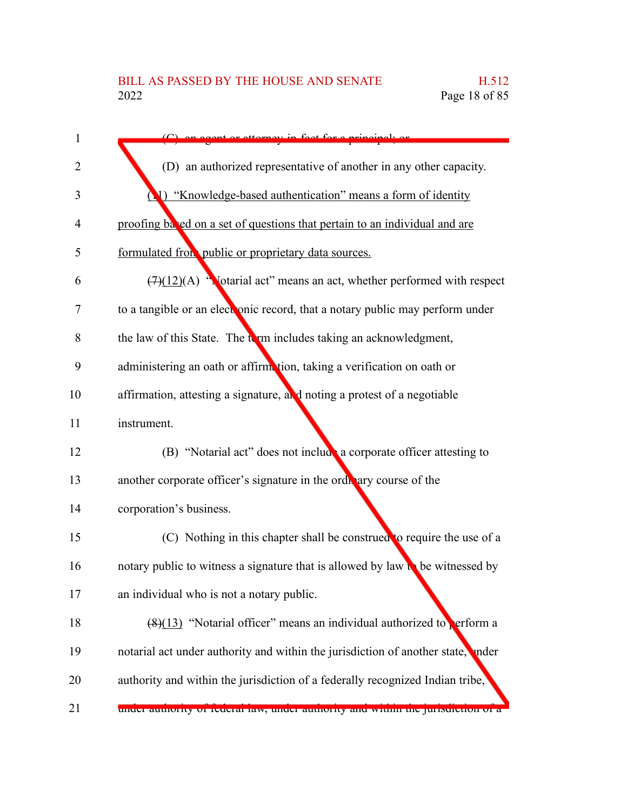| 1              | cont or attornou in fact for a principal.                                                |
|----------------|------------------------------------------------------------------------------------------|
| 2              | (D) an authorized representative of another in any other capacity.                       |
| 3              | (1) "Knowledge-based authentication" means a form of identity                            |
| $\overline{4}$ | proofing based on a set of questions that pertain to an individual and are               |
| 5              | formulated from public or proprietary data sources.                                      |
| 6              | $(7)(12)(A)$ "Notarial act" means an act, whether performed with respect                 |
| 7              | to a tangible or an electronic record, that a notary public may perform under            |
| 8              | the law of this State. The term includes taking an acknowledgment,                       |
| 9              | administering an oath or affirmetion, taking a verification on oath or                   |
| 10             | affirmation, attesting a signature, and noting a protest of a negotiable                 |
| 11             | instrument.                                                                              |
| 12             | (B) "Notarial act" does not include a corporate officer attesting to                     |
| 13             | another corporate officer's signature in the orditary course of the                      |
| 14             | corporation's business.                                                                  |
| 15             | (C) Nothing in this chapter shall be construed to require the use of a                   |
| 16             | notary public to witness a signature that is allowed by law $\mathbf{b}$ be witnessed by |
| 17             | an individual who is not a notary public.                                                |
| 18             | $(8)(13)$ "Notarial officer" means an individual authorized to perform a                 |
| 19             | notarial act under authority and within the jurisdiction of another state, under         |
| 20             | authority and within the jurisdiction of a federally recognized Indian tribe,            |
| 21             | unuer authority of reueral faw, unuer authority and within the jurisdiction of a         |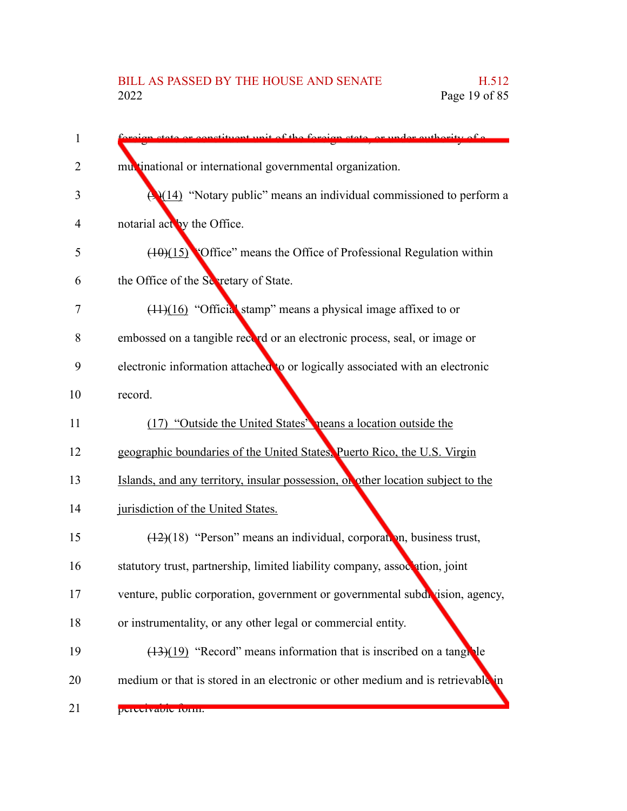| 1  | on state or constituent unit of the foreign state or under outhority of a        |
|----|----------------------------------------------------------------------------------|
| 2  | multinational or international governmental organization.                        |
| 3  | $\bigoplus (14)$ "Notary public" means an individual commissioned to perform a   |
| 4  | notarial act by the Office.                                                      |
| 5  | $(10)(15)$ 'Office'' means the Office of Professional Regulation within          |
| 6  | the Office of the Sevetary of State.                                             |
| 7  | $(11)(16)$ "Official stamp" means a physical image affixed to or                 |
| 8  | embossed on a tangible record or an electronic process, seal, or image or        |
| 9  | electronic information attached to or logically associated with an electronic    |
| 10 | record.                                                                          |
| 11 | (17) "Outside the United States" neans a location outside the                    |
| 12 | geographic boundaries of the United States, Puerto Rico, the U.S. Virgin         |
| 13 | Islands, and any territory, insular possession, or other location subject to the |
| 14 | jurisdiction of the United States.                                               |
| 15 | $(12)(18)$ "Person" means an individual, corporation, business trust,            |
| 16 | statutory trust, partnership, limited liability company, association, joint      |
| 17 | venture, public corporation, government or governmental subdivision, agency,     |
| 18 | or instrumentality, or any other legal or commercial entity.                     |
| 19 | $(13)(19)$ "Record" means information that is inscribed on a tangule             |
| 20 | medium or that is stored in an electronic or other medium and is retrievable in  |
| 21 | perceivaule furm.                                                                |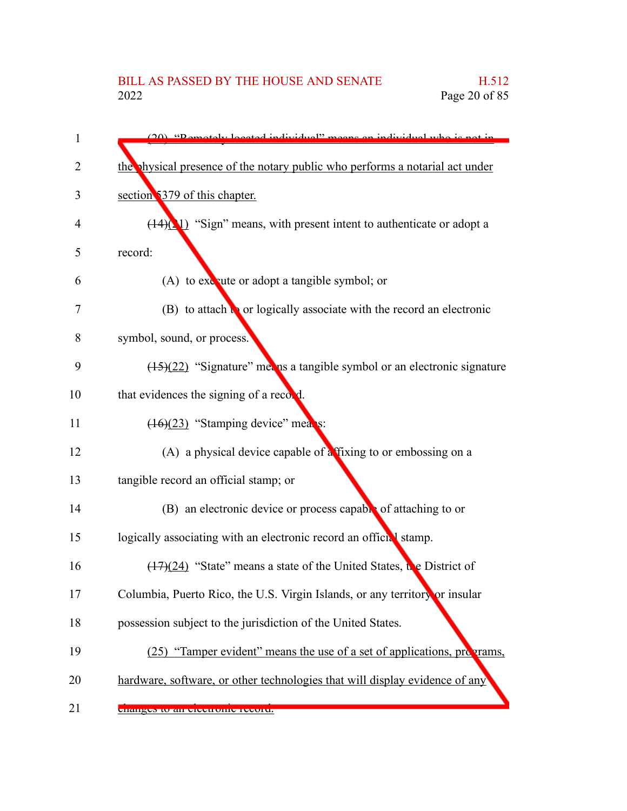| 1  | (20) "Demotely located individual" means on individual who is not in         |
|----|------------------------------------------------------------------------------|
| 2  | the physical presence of the notary public who performs a notarial act under |
| 3  | section 5379 of this chapter.                                                |
| 4  | $(14)(1)$ "Sign" means, with present intent to authenticate or adopt a       |
| 5  | record:                                                                      |
| 6  | (A) to execute or adopt a tangible symbol; or                                |
| 7  | $(B)$ to attach to or logically associate with the record an electronic      |
| 8  | symbol, sound, or process.                                                   |
| 9  | $(15)(22)$ "Signature" met ns a tangible symbol or an electronic signature   |
| 10 | that evidences the signing of a record.                                      |
| 11 | $(16)(23)$ "Stamping device" means:                                          |
| 12 | (A) a physical device capable of $\frac{1}{4}$ fixing to or embossing on a   |
| 13 | tangible record an official stamp; or                                        |
| 14 | (B) an electronic device or process capable of attaching to or               |
| 15 | logically associating with an electronic record an official stamp.           |
| 16 | $(17)(24)$ "State" means a state of the United States, the District of       |
| 17 | Columbia, Puerto Rico, the U.S. Virgin Islands, or any territory or insular  |
| 18 | possession subject to the jurisdiction of the United States.                 |
| 19 | (25) "Tamper evident" means the use of a set of applications, programs,      |
| 20 | hardware, software, or other technologies that will display evidence of any  |
| 21 | changes to an electronic record.                                             |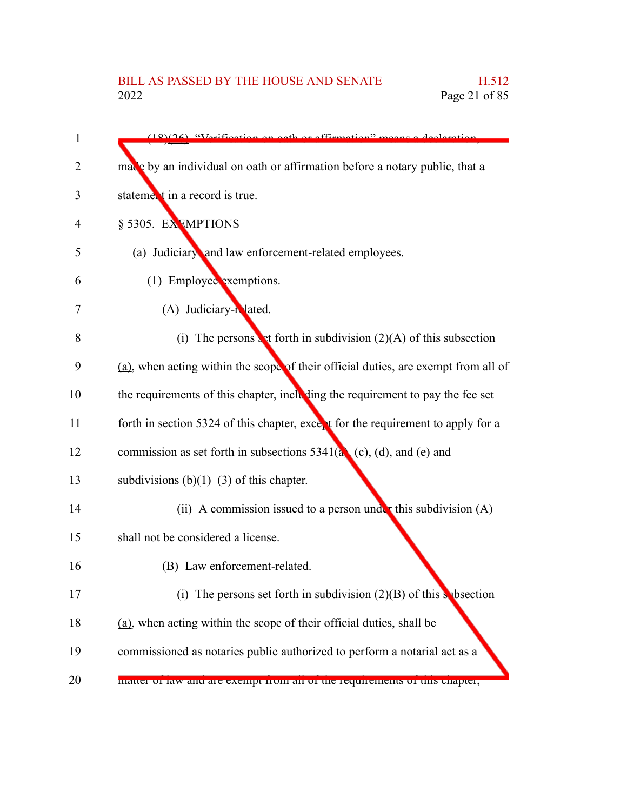## BILL AS PASSED BY THE HOUSE AND SENATE H.512<br>2022 Page 21 of 85 Page 21 of 85

| 1  | $(18)(26)$ "Vorification on oath or affirmation" means a declaration               |
|----|------------------------------------------------------------------------------------|
| 2  | made by an individual on oath or affirmation before a notary public, that a        |
| 3  | statement in a record is true.                                                     |
| 4  | § 5305. EXEMPTIONS                                                                 |
| 5  | (a) Judiciary and law enforcement-related employees.                               |
| 6  | (1) Employee exemptions.                                                           |
| 7  | (A) Judiciary-related.                                                             |
| 8  | (i) The persons set forth in subdivision $(2)(A)$ of this subsection               |
| 9  | (a), when acting within the scope of their official duties, are exempt from all of |
| 10 | the requirements of this chapter, including the requirement to pay the fee set     |
| 11 | forth in section 5324 of this chapter, except for the requirement to apply for a   |
| 12 | commission as set forth in subsections $5341(a)$ (c), (d), and (e) and             |
| 13 | subdivisions $(b)(1)$ – $(3)$ of this chapter.                                     |
| 14 | (ii) A commission issued to a person under this subdivision $(A)$                  |
| 15 | shall not be considered a license.                                                 |
| 16 | (B) Law enforcement-related.                                                       |
| 17 | (i) The persons set forth in subdivision $(2)(B)$ of this subsection               |
| 18 | (a), when acting within the scope of their official duties, shall be               |
| 19 | commissioned as notaries public authorized to perform a notarial act as a          |
| 20 | matter or law and are exempt from an or the requirements or this enapter,          |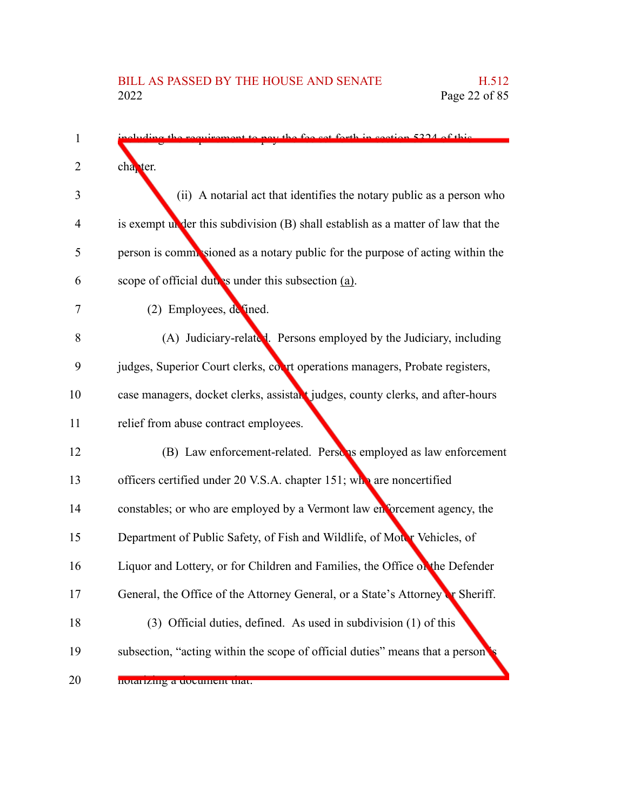| 1  | mont to nove the fee got forth in gootian 5224 of this                             |
|----|------------------------------------------------------------------------------------|
| 2  | cha <sub>r</sub> ter.                                                              |
| 3  | (ii) A notarial act that identifies the notary public as a person who              |
| 4  | is exempt under this subdivision $(B)$ shall establish as a matter of law that the |
| 5  | person is commissioned as a notary public for the purpose of acting within the     |
| 6  | scope of official duties under this subsection (a).                                |
| 7  | (2) Employees, defined.                                                            |
| 8  | (A) Judiciary-related. Persons employed by the Judiciary, including                |
| 9  | judges, Superior Court clerks, court operations managers, Probate registers,       |
| 10 | case managers, docket clerks, assistant judges, county clerks, and after-hours     |
| 11 | relief from abuse contract employees.                                              |
| 12 | (B) Law enforcement-related. Person is employed as law enforcement                 |
| 13 | officers certified under 20 V.S.A. chapter 151; who are noncertified               |
| 14 | constables; or who are employed by a Vermont law enforcement agency, the           |
| 15 | Department of Public Safety, of Fish and Wildlife, of Motor Vehicles, of           |
| 16 | Liquor and Lottery, or for Children and Families, the Office of the Defender       |
| 17 | General, the Office of the Attorney General, or a State's Attorney or Sheriff.     |
| 18 | (3) Official duties, defined. As used in subdivision (1) of this                   |
| 19 | subsection, "acting within the scope of official duties" means that a person       |
| 20 | notarizing a document that.                                                        |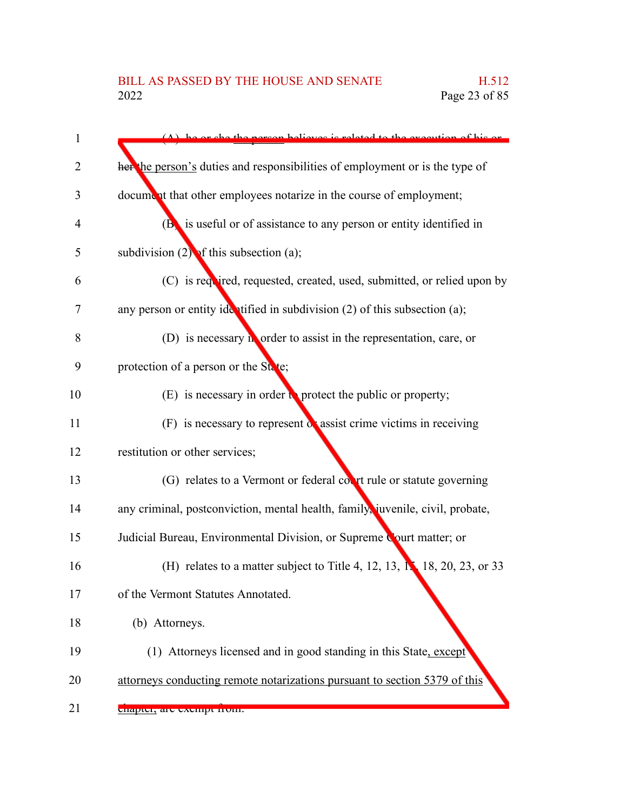| 1  | person believes is related to the execution of his or                              |
|----|------------------------------------------------------------------------------------|
| 2  | her the person's duties and responsibilities of employment or is the type of       |
| 3  | document that other employees notarize in the course of employment;                |
| 4  | $(B)$ is useful or of assistance to any person or entity identified in             |
| 5  | subdivision $(2)$ of this subsection (a);                                          |
| 6  | (C) is required, requested, created, used, submitted, or relied upon by            |
| 7  | any person or entity identified in subdivision $(2)$ of this subsection $(a)$ ;    |
| 8  | (D) is necessary $\mathbf{h}$ order to assist in the representation, care, or      |
| 9  | protection of a person or the State;                                               |
| 10 | (E) is necessary in order $\mathbf{t}$ protect the public or property;             |
| 11 | $(F)$ is necessary to represent $\alpha$ assist crime victims in receiving         |
| 12 | restitution or other services;                                                     |
| 13 | (G) relates to a Vermont or federal court rule or statute governing                |
| 14 | any criminal, postconviction, mental health, family, juvenile, civil, probate,     |
| 15 | Judicial Bureau, Environmental Division, or Supreme Court matter; or               |
| 16 | (H) relates to a matter subject to Title 4, 12, 13, $\mathbb{N}$ 18, 20, 23, or 33 |
| 17 | of the Vermont Statutes Annotated.                                                 |
| 18 | (b) Attorneys.                                                                     |
| 19 | (1) Attorneys licensed and in good standing in this State, except                  |
| 20 | attorneys conducting remote notarizations pursuant to section 5379 of this         |
| 21 | enapter, are exempt nom.                                                           |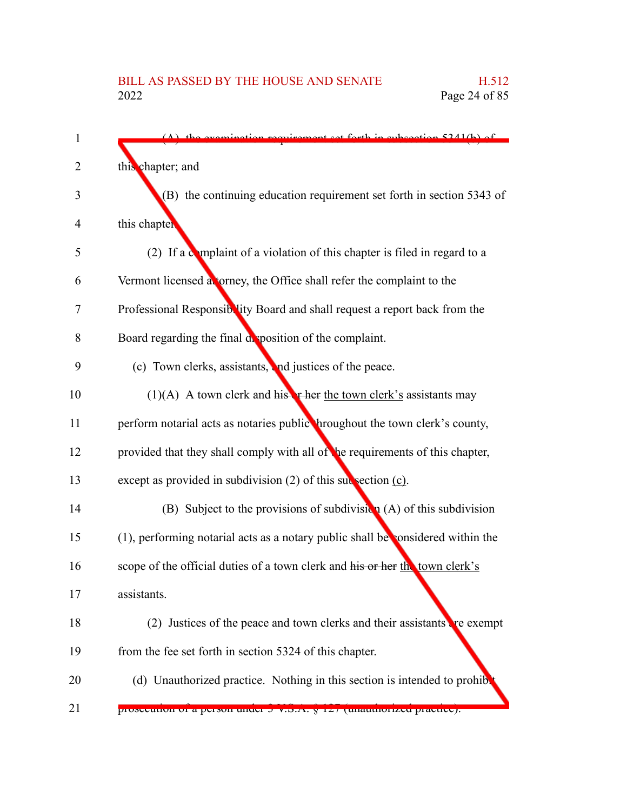| 1  | $(A)$ the examination requirement set forth in subsection 5341(b) of                  |
|----|---------------------------------------------------------------------------------------|
| 2  | this chapter; and                                                                     |
| 3  | (B) the continuing education requirement set forth in section 5343 of                 |
| 4  | this chapter                                                                          |
| 5  | (2) If a complaint of a violation of this chapter is filed in regard to a             |
| 6  | Vermont licensed atorney, the Office shall refer the complaint to the                 |
| 7  | Professional Responsiblity Board and shall request a report back from the             |
| 8  | Board regarding the final deposition of the complaint.                                |
| 9  | (c) Town clerks, assistants, and justices of the peace.                               |
| 10 | $(1)(A)$ A town clerk and histrictube the town clerk's assistants may                 |
| 11 | perform notarial acts as notaries public hroughout the town clerk's county,           |
| 12 | provided that they shall comply with all of the requirements of this chapter,         |
| 13 | except as provided in subdivision $(2)$ of this subsection $(c)$ .                    |
| 14 | (B) Subject to the provisions of subdivision $(A)$ of this subdivision                |
| 15 | $(1)$ , performing notarial acts as a notary public shall be considered within the    |
| 16 | scope of the official duties of a town clerk and his or her the town clerk's          |
| 17 | assistants.                                                                           |
| 18 | (2) Justices of the peace and town clerks and their assistants $\mathbf{r}$ re exempt |
| 19 | from the fee set forth in section 5324 of this chapter.                               |
| 20 | (d) Unauthorized practice. Nothing in this section is intended to prohib              |
| 21 | prosecution or a person under 5 v.S.A. y 127 (unauthorized practice).                 |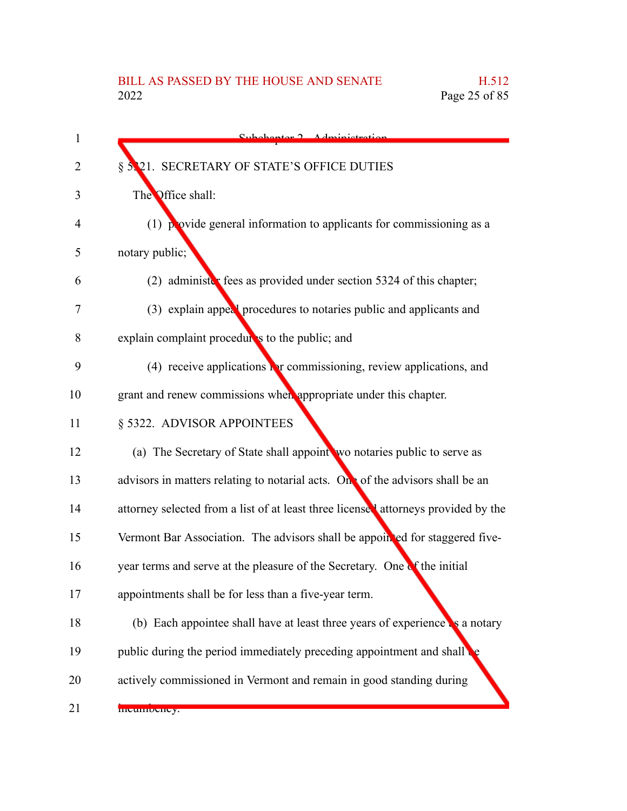| 1  | Subchantor 7 Administration                                                        |
|----|------------------------------------------------------------------------------------|
| 2  | § 5.21. SECRETARY OF STATE'S OFFICE DUTIES                                         |
| 3  | The Office shall:                                                                  |
| 4  | $(1)$ provide general information to applicants for commissioning as a             |
| 5  | notary public;                                                                     |
| 6  | (2) administer fees as provided under section 5324 of this chapter;                |
| 7  | (3) explain appeal procedures to notaries public and applicants and                |
| 8  | explain complaint procedures to the public; and                                    |
| 9  | (4) receive applications $\Gamma$ r commissioning, review applications, and        |
| 10 | grant and renew commissions when appropriate under this chapter.                   |
| 11 | § 5322. ADVISOR APPOINTEES                                                         |
| 12 | (a) The Secretary of State shall appoint wo notaries public to serve as            |
| 13 | advisors in matters relating to notarial acts. On of the advisors shall be an      |
| 14 | attorney selected from a list of at least three licensed attorneys provided by the |
| 15 | Vermont Bar Association. The advisors shall be appointed for staggered five-       |
| 16 | year terms and serve at the pleasure of the Secretary. One of the initial          |
| 17 | appointments shall be for less than a five-year term.                              |
| 18 | (b) Each appointee shall have at least three years of experience as a notary       |
| 19 | public during the period immediately preceding appointment and shall               |
| 20 | actively commissioned in Vermont and remain in good standing during                |
| 21 | meumoency.                                                                         |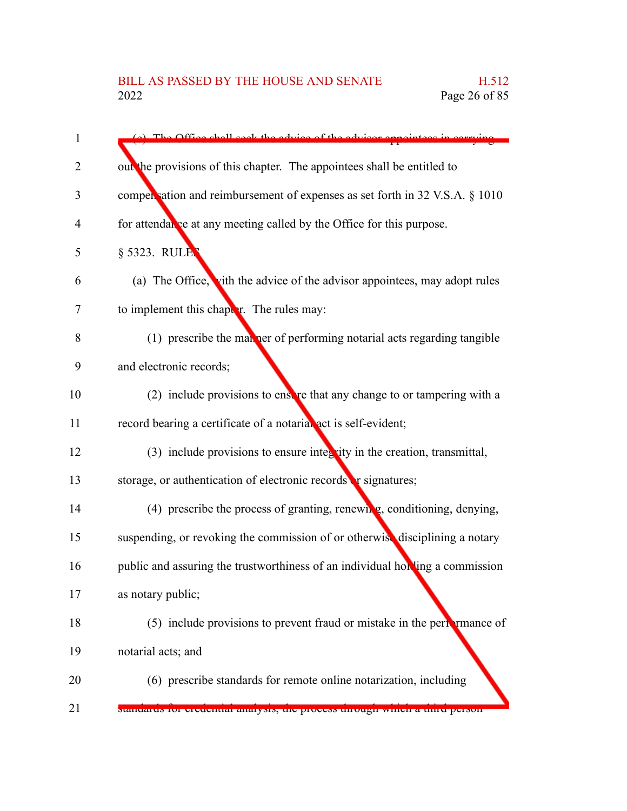| $\mathbf{1}$   | (a) The Office shall seek the advice of the advisor ann                       |
|----------------|-------------------------------------------------------------------------------|
| 2              | out the provisions of this chapter. The appointees shall be entitled to       |
| 3              | compensation and reimbursement of expenses as set forth in 32 V.S.A. § 1010   |
| $\overline{4}$ | for attendal se at any meeting called by the Office for this purpose.         |
| 5              | § 5323. RULE                                                                  |
| 6              | (a) The Office, vith the advice of the advisor appointees, may adopt rules    |
| 7              | to implement this chapter. The rules may:                                     |
| 8              | (1) prescribe the man ner of performing notarial acts regarding tangible      |
| 9              | and electronic records;                                                       |
| 10             | (2) include provisions to ensere that any change to or tampering with a       |
| 11             | record bearing a certificate of a notarial act is self-evident;               |
| 12             | $(3)$ include provisions to ensure integrity in the creation, transmittal,    |
| 13             | storage, or authentication of electronic records or signatures;               |
| 14             | (4) prescribe the process of granting, renewing, conditioning, denying,       |
| 15             | suspending, or revoking the commission of or otherwise disciplining a notary  |
| 16             | public and assuring the trustworthiness of an individual holding a commission |
| 17             | as notary public;                                                             |
| 18             | (5) include provisions to prevent fraud or mistake in the pertamance of       |
| 19             | notarial acts; and                                                            |
| 20             | (6) prescribe standards for remote online notarization, including             |
| 21             | stanuarus for creuential anarysis, the process unough which a timu person     |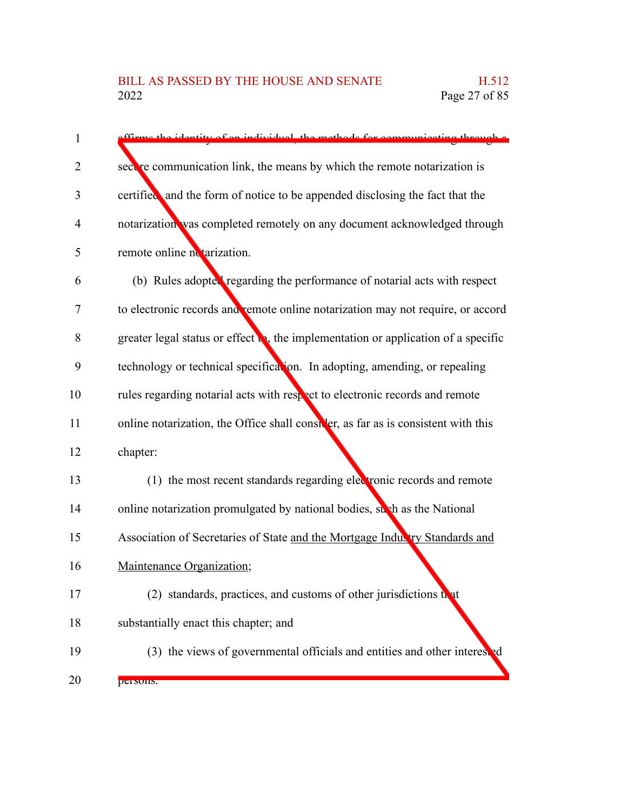| 1  | offirms the identity of an individual, the methods for communicating through a             |
|----|--------------------------------------------------------------------------------------------|
| 2  | sect re communication link, the means by which the remote notarization is                  |
| 3  | certified and the form of notice to be appended disclosing the fact that the               |
| 4  | notarization was completed remotely on any document acknowledged through                   |
| 5  | remote online no tarization.                                                               |
| 6  | (b) Rules adopted regarding the performance of notarial acts with respect                  |
| 7  | to electronic records and remote online notarization may not require, or accord            |
| 8  | greater legal status or effect $\bullet$ , the implementation or application of a specific |
| 9  | technology or technical specification. In adopting, amending, or repealing                 |
| 10 | rules regarding notarial acts with respect to electronic records and remote                |
| 11 | online notarization, the Office shall consider, as far as is consistent with this          |
| 12 | chapter:                                                                                   |
| 13 | (1) the most recent standards regarding electronic records and remote                      |
| 14 | online notarization promulgated by national bodies, such as the National                   |
| 15 | Association of Secretaries of State and the Mortgage Industry Standards and                |
| 16 | Maintenance Organization;                                                                  |
| 17 | (2) standards, practices, and customs of other jurisdictions that                          |
| 18 | substantially enact this chapter; and                                                      |
| 19 | (3) the views of governmental officials and entities and other interested                  |
| 20 | persons.                                                                                   |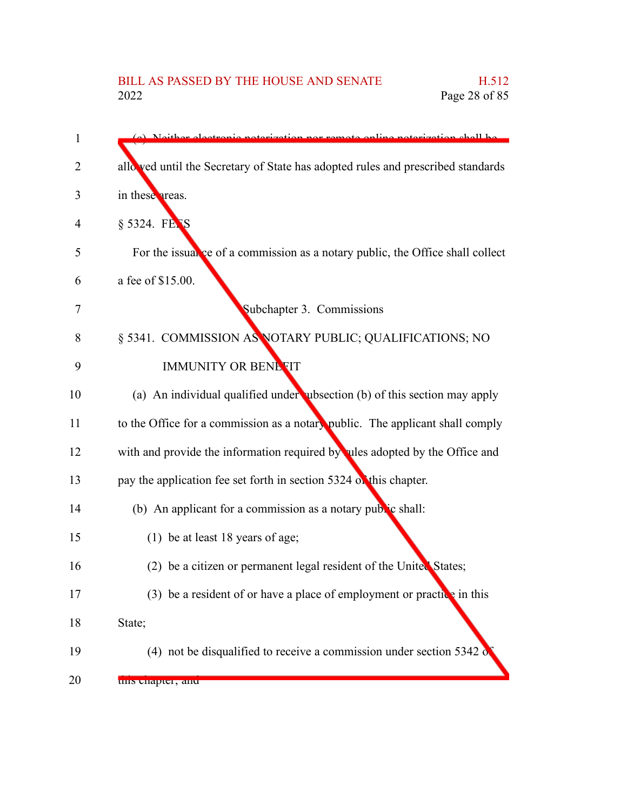## BILL AS PASSED BY THE HOUSE AND SENATE H.512<br>2022 Page 28 of 85 Page 28 of 85

| $\mathbf{1}$ | (c) Notther electronic noterization nor remote online noterization shall be      |
|--------------|----------------------------------------------------------------------------------|
| 2            | allo ved until the Secretary of State has adopted rules and prescribed standards |
| 3            | in these areas.                                                                  |
| 4            | § 5324. FETS                                                                     |
| 5            | For the issual ce of a commission as a notary public, the Office shall collect   |
| 6            | a fee of \$15.00.                                                                |
| 7            | Subchapter 3. Commissions                                                        |
| 8            | § 5341. COMMISSION AS NOTARY PUBLIC; QUALIFICATIONS; NO                          |
| 9            | <b>IMMUNITY OR BENEFIT</b>                                                       |
| 10           | (a) An individual qualified under ubsection (b) of this section may apply        |
| 11           | to the Office for a commission as a notary public. The applicant shall comply    |
| 12           | with and provide the information required by ules adopted by the Office and      |
| 13           | pay the application fee set forth in section 5324 of this chapter.               |
| 14           | (b) An applicant for a commission as a notary public shall:                      |
| 15           | (1) be at least 18 years of age;                                                 |
| 16           | (2) be a citizen or permanent legal resident of the United States;               |
| 17           | (3) be a resident of or have a place of employment or practice in this           |
| 18           | State;                                                                           |
| 19           | (4) not be disqualified to receive a commission under section 5342 $\delta$      |
| 20           | uns chapter, and                                                                 |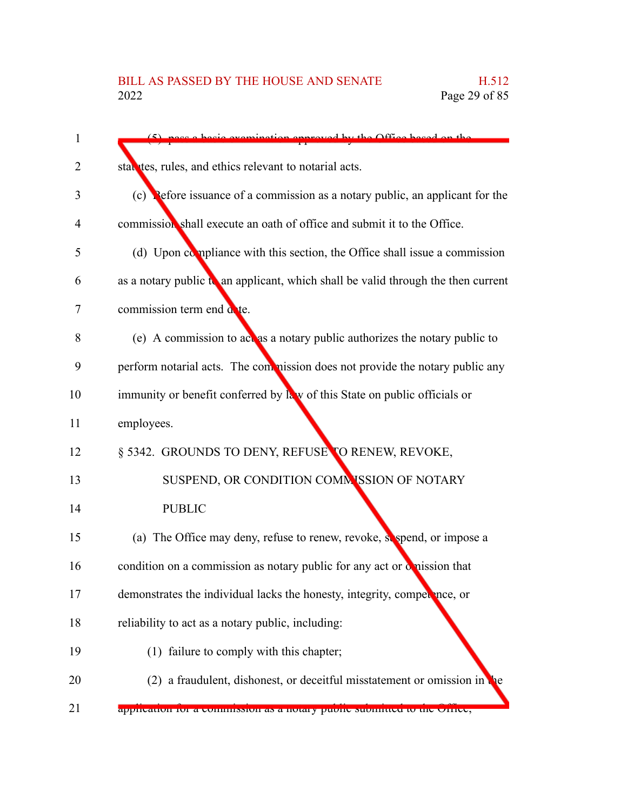| 1              | pace a basic examination approved by the Office based on the                      |
|----------------|-----------------------------------------------------------------------------------|
| 2              | statutes, rules, and ethics relevant to notarial acts.                            |
| 3              | (c) Pefore issuance of a commission as a notary public, an applicant for the      |
| $\overline{4}$ | commission shall execute an oath of office and submit it to the Office.           |
| 5              | (d) Upon compliance with this section, the Office shall issue a commission        |
| 6              | as a notary public to an applicant, which shall be valid through the then current |
| 7              | commission term end a te.                                                         |
| 8              | (e) A commission to act as a notary public authorizes the notary public to        |
| 9              | perform notarial acts. The commission does not provide the notary public any      |
| 10             | immunity or benefit conferred by law of this State on public officials or         |
| 11             | employees.                                                                        |
| 12             | § 5342. GROUNDS TO DENY, REFUSE TO RENEW, REVOKE,                                 |
| 13             | SUSPEND, OR CONDITION COMMISSION OF NOTARY                                        |
| 14             | <b>PUBLIC</b>                                                                     |
| 15             | (a) The Office may deny, refuse to renew, revoke, sespend, or impose a            |
| 16             | condition on a commission as notary public for any act or omission that           |
| 17             | demonstrates the individual lacks the honesty, integrity, competence, or          |
| 18             | reliability to act as a notary public, including:                                 |
| 19             | (1) failure to comply with this chapter;                                          |
| 20             | (2) a fraudulent, dishonest, or deceitful misstatement or omission in<br>ne       |
| 21             | application for a commission as a hotaly public submitted to the Office,          |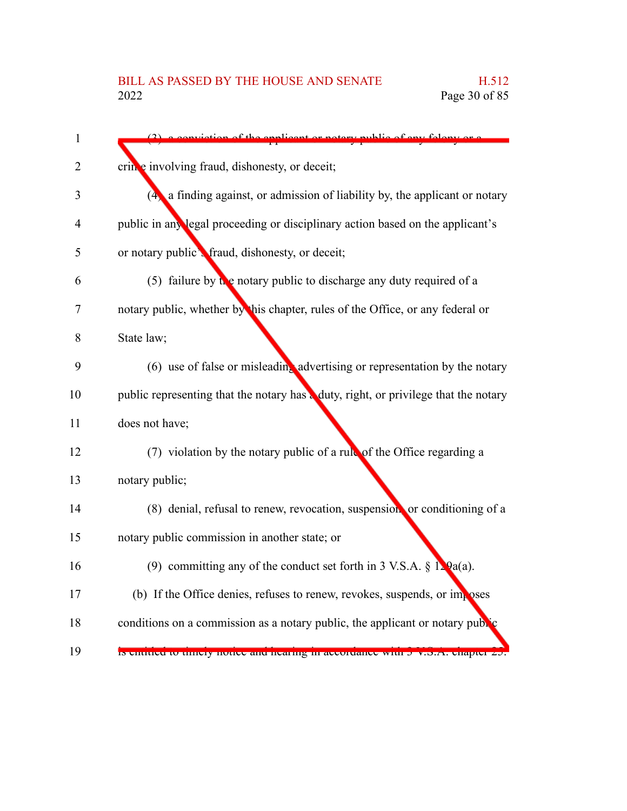|                | thlie of any folger                                                                 |
|----------------|-------------------------------------------------------------------------------------|
| 2              | cring involving fraud, dishonesty, or deceit;                                       |
|                | (4) a finding against, or admission of liability by, the applicant or notary        |
| $\overline{4}$ | public in any legal proceeding or disciplinary action based on the applicant's      |
| 5              | or notary public's fraud, dishonesty, or deceit;                                    |
|                | (5) failure by the notary public to discharge any duty required of a                |
|                | notary public, whether by this chapter, rules of the Office, or any federal or      |
|                | State law;                                                                          |
|                | (6) use of false or misleading advertising or representation by the notary          |
|                | public representing that the notary has a duty, right, or privilege that the notary |
|                | does not have;                                                                      |
|                | $(7)$ violation by the notary public of a rubble of the Office regarding a          |
|                | notary public;                                                                      |
|                | (8) denial, refusal to renew, revocation, suspension or conditioning of a           |
|                | notary public commission in another state; or                                       |
|                | (9) committing any of the conduct set forth in 3 V.S.A. $\S$ 1. $Qa(a)$ .           |
|                | (b) If the Office denies, refuses to renew, revokes, suspends, or imposes           |
|                | conditions on a commission as a notary public, the applicant or notary public       |
|                | Is chutted to thricly notice and nearing in accordance with 5 v.S.A. chapter 2      |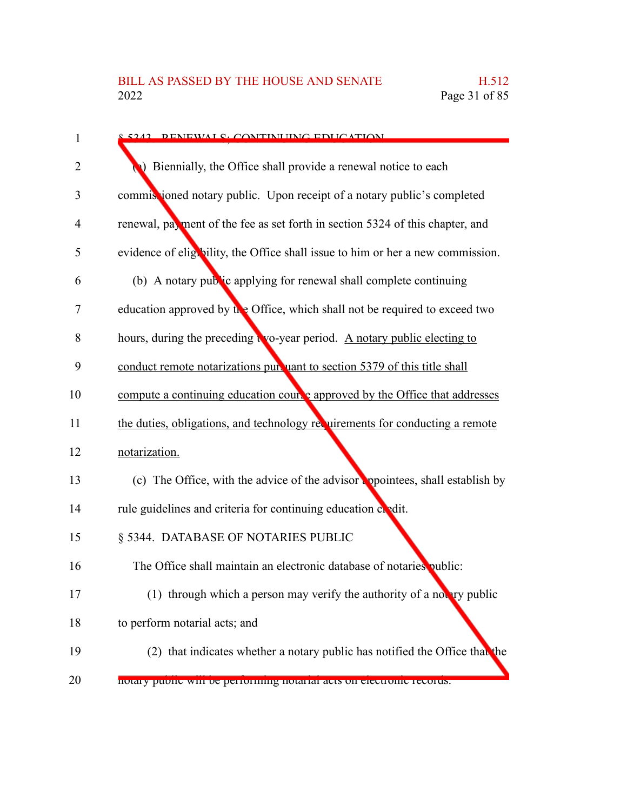| 8.5242 DENEWALS, CONTINUING EDUCATION                                           |
|---------------------------------------------------------------------------------|
| Biennially, the Office shall provide a renewal notice to each                   |
| commissioned notary public. Upon receipt of a notary public's completed         |
| renewal, payment of the fee as set forth in section 5324 of this chapter, and   |
| evidence of eligibility, the Office shall issue to him or her a new commission. |
| (b) A notary public applying for renewal shall complete continuing              |
| education approved by the Office, which shall not be required to exceed two     |
| hours, during the preceding two-year period. A notary public electing to        |
| conduct remote notarizations pur uant to section 5379 of this title shall       |
| compute a continuing education course approved by the Office that addresses     |
| the duties, obligations, and technology requirements for conducting a remote    |
| notarization.                                                                   |
| (c) The Office, with the advice of the advisor appointees, shall establish by   |
| rule guidelines and criteria for continuing education condit.                   |
| § 5344. DATABASE OF NOTARIES PUBLIC                                             |
| The Office shall maintain an electronic database of notaries public:            |
| (1) through which a person may verify the authority of a notary public          |
| to perform notarial acts; and                                                   |
| (2) that indicates whether a notary public has notified the Office that the     |
| notary public will be performing notarial acts on electronic records.           |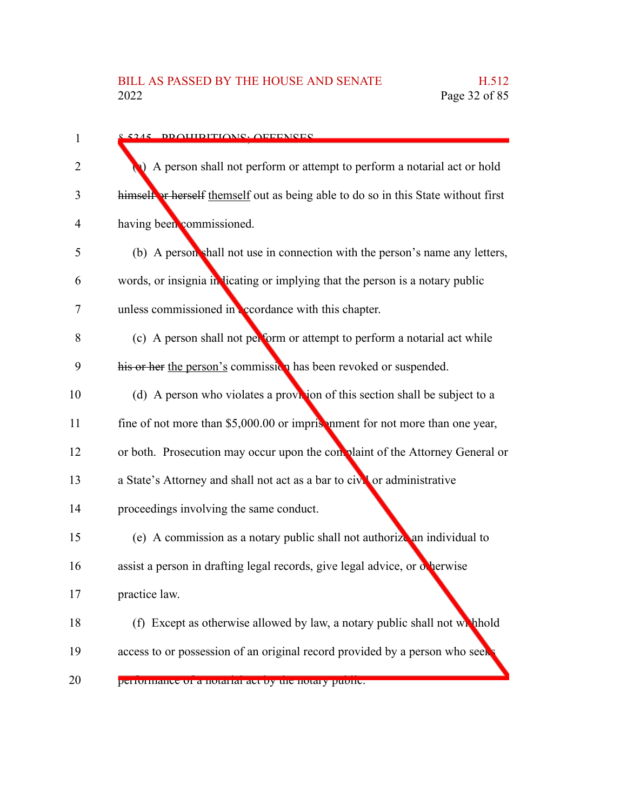| $\mathbf{1}$   | 8.5245 DDAUIDITIANS. AFFENSES                                                      |
|----------------|------------------------------------------------------------------------------------|
| $\overline{2}$ | A person shall not perform or attempt to perform a notarial act or hold            |
| 3              | himself or herself themself out as being able to do so in this State without first |
| $\overline{4}$ | having been commissioned.                                                          |
| 5              | (b) A person shall not use in connection with the person's name any letters,       |
| 6              | words, or insignia in licating or implying that the person is a notary public      |
| 7              | unless commissioned in coordance with this chapter.                                |
| 8              | (c) A person shall not perform or attempt to perform a notarial act while          |
| 9              | his or her the person's commission has been revoked or suspended.                  |
| 10             | (d) A person who violates a provision of this section shall be subject to a        |
| 11             | fine of not more than \$5,000.00 or imprisonment for not more than one year,       |
| 12             | or both. Prosecution may occur upon the con plaint of the Attorney General or      |
| 13             | a State's Attorney and shall not act as a bar to civil or administrative           |
| 14             | proceedings involving the same conduct.                                            |
| 15             | (e) A commission as a notary public shall not authorize an individual to           |
| 16             | assist a person in drafting legal records, give legal advice, or otherwise         |
| 17             | practice law.                                                                      |
| 18             | (f) Except as otherwise allowed by law, a notary public shall not which hold       |
| 19             | access to or possession of an original record provided by a person who seek        |
| 20             | performance or a notarial act by the notary public.                                |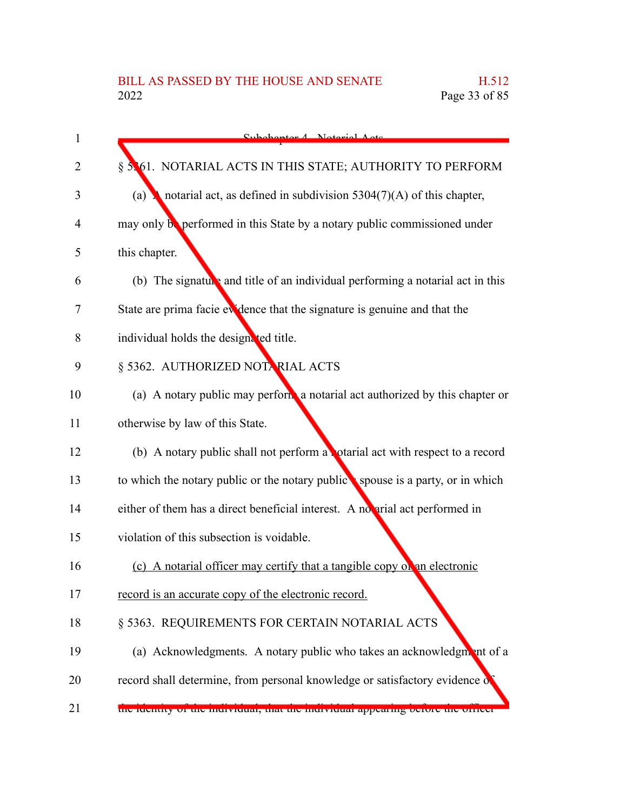| 1  | Cubohantor 1 Notorial Acto                                                     |
|----|--------------------------------------------------------------------------------|
| 2  | § 5361. NOTARIAL ACTS IN THIS STATE; AUTHORITY TO PERFORM                      |
| 3  | notarial act, as defined in subdivision $5304(7)(A)$ of this chapter,<br>(a)   |
| 4  | may only be performed in this State by a notary public commissioned under      |
| 5  | this chapter.                                                                  |
| 6  | (b) The signature and title of an individual performing a notarial act in this |
| 7  | State are prima facie evidence that the signature is genuine and that the      |
| 8  | individual holds the designated title.                                         |
| 9  | § 5362. AUTHORIZED NOTARIAL ACTS                                               |
| 10 | (a) A notary public may perform a notarial act authorized by this chapter or   |
| 11 | otherwise by law of this State.                                                |
| 12 | (b) A notary public shall not perform a potarial act with respect to a record  |
| 13 | to which the notary public or the notary public spouse is a party, or in which |
| 14 | either of them has a direct beneficial interest. A no arial act performed in   |
| 15 | violation of this subsection is voidable.                                      |
| 16 | (c) A notarial officer may certify that a tangible copy on an electronic       |
| 17 | record is an accurate copy of the electronic record.                           |
| 18 | § 5363. REQUIREMENTS FOR CERTAIN NOTARIAL ACTS                                 |
| 19 | (a) Acknowledgments. A notary public who takes an acknowledgment of a          |
| 20 | record shall determine, from personal knowledge or satisfactory evidence of    |
| 21 | the fuentity of the murvidual, that the murvidual appearing before the officer |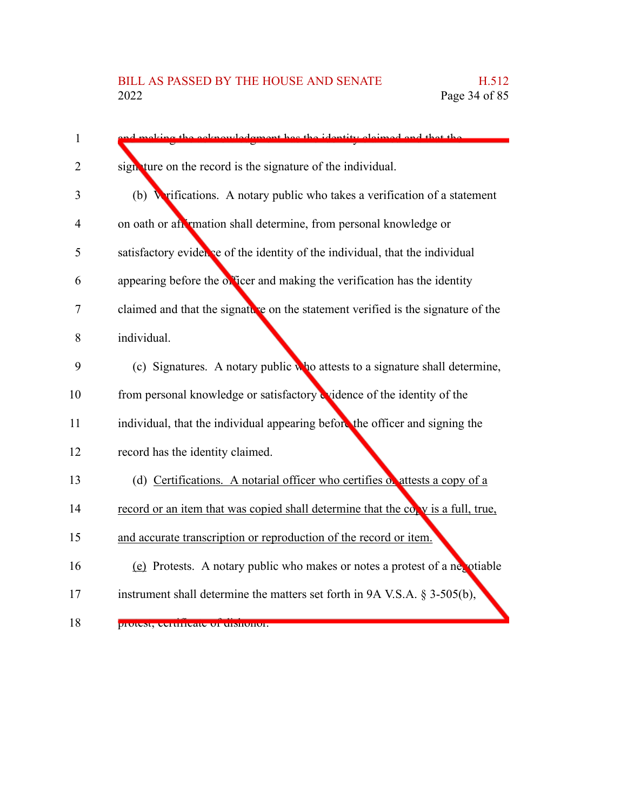| $\mathbf{1}$   | ocknowledgment has the identity claimed and that the                             |
|----------------|----------------------------------------------------------------------------------|
| $\overline{2}$ | sign ture on the record is the signature of the individual.                      |
| 3              | Wrifications. A notary public who takes a verification of a statement<br>(b)     |
| 4              | on oath or an imation shall determine, from personal knowledge or                |
| 5              | satisfactory evidence of the identity of the individual, that the individual     |
| 6              | appearing before the officer and making the verification has the identity        |
| 7              | claimed and that the signature on the statement verified is the signature of the |
| 8              | individual.                                                                      |
| 9              | (c) Signatures. A notary public who attests to a signature shall determine,      |
| 10             | from personal knowledge or satisfactory widence of the identity of the           |
| 11             | individual, that the individual appearing before the officer and signing the     |
| 12             | record has the identity claimed.                                                 |
| 13             | (d) Certifications. A notarial officer who certifies of attests a copy of a      |
| 14             | record or an item that was copied shall determine that the copy is a full, true, |
| 15             | and accurate transcription or reproduction of the record or item.                |
| 16             | (e) Protests. A notary public who makes or notes a protest of a negotiable       |
| 17             | instrument shall determine the matters set forth in 9A V.S.A. $\S$ 3-505(b),     |
| 18             | protest, certificate of uishonor.                                                |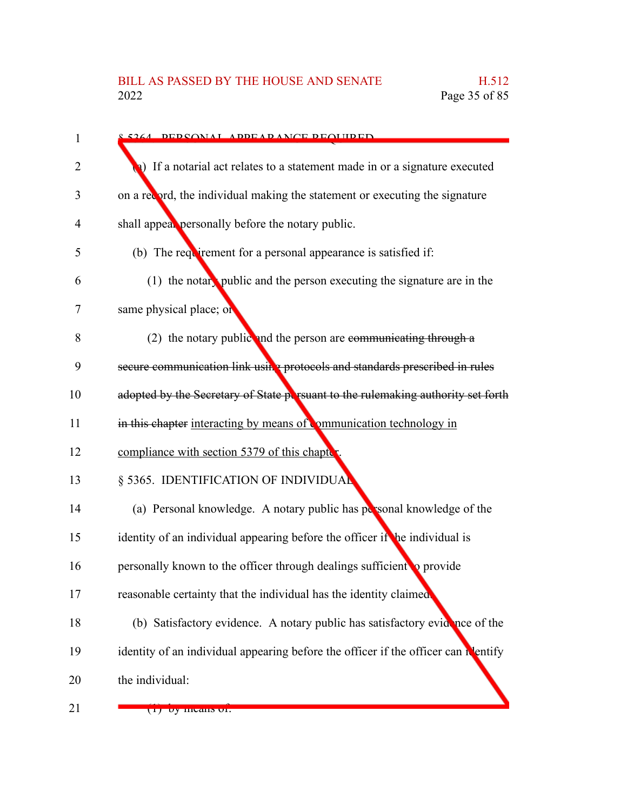| 1                 | 8.5264 DEDSONAL ADDEAD ANCE DEOLIIDED                                            |
|-------------------|----------------------------------------------------------------------------------|
| $\overline{2}$    | 1) If a notarial act relates to a statement made in or a signature executed      |
| 3                 | on a record, the individual making the statement or executing the signature      |
| 4                 | shall appeal personally before the notary public.                                |
| 5                 | (b) The requirement for a personal appearance is satisfied if:                   |
| 6                 | $(1)$ the notary public and the person executing the signature are in the        |
| 7                 | same physical place; or                                                          |
| 8                 | (2) the notary public and the person are communicating through $a$               |
| 9                 | secure communication link using protocols and standards prescribed in rules      |
| 10                | adopted by the Secretary of State persuant to the rulemaking authority set forth |
| 11                | in this chapter interacting by means of mmunication technology in                |
| 12                | compliance with section 5379 of this chapter                                     |
| 13                | § 5365. IDENTIFICATION OF INDIVIDUAL                                             |
| 14                | (a) Personal knowledge. A notary public has personal knowledge of the            |
| 15                | identity of an individual appearing before the officer if the individual is      |
| 16                | personally known to the officer through dealings sufficient to provide           |
| 17                | reasonable certainty that the individual has the identity claimed                |
| 18                | (b) Satisfactory evidence. A notary public has satisfactory evidence of the      |
| 19                | identity of an individual appearing before the officer if the officer can neitly |
| 20                | the individual:                                                                  |
| $\mathbf{\Omega}$ |                                                                                  |

21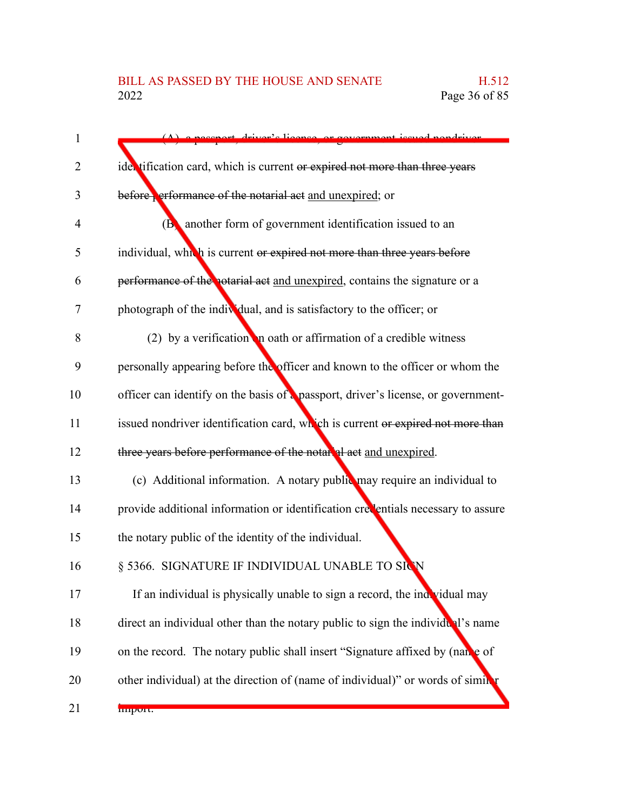| pecapat driver's ligence or covernment issued nondriver                           |
|-----------------------------------------------------------------------------------|
| ider tification card, which is current or expired not more than three years       |
| before efformance of the notarial act and unexpired; or                           |
| ( <b>B</b> ) another form of government identification issued to an               |
| individual, which is current or expired not more than three years before          |
| performance of the notarial act and unexpired, contains the signature or a        |
| photograph of the individual, and is satisfactory to the officer; or              |
| (2) by a verification in oath or affirmation of a credible witness                |
| personally appearing before the officer and known to the officer or whom the      |
| officer can identify on the basis of a passport, driver's license, or government- |
| issued nondriver identification card, which is current or expired not more than   |
| three years before performance of the notareal at and unexpired.                  |
| (c) Additional information. A notary public may require an individual to          |
| provide additional information or identification creventials necessary to assure  |
| the notary public of the identity of the individual.                              |
| § 5366. SIGNATURE IF INDIVIDUAL UNABLE TO SICN                                    |
| If an individual is physically unable to sign a record, the individual may        |
| direct an individual other than the notary public to sign the individual's name   |
| on the record. The notary public shall insert "Signature affixed by (name of      |
| other individual) at the direction of (name of individual)" or words of similar   |
| miport.                                                                           |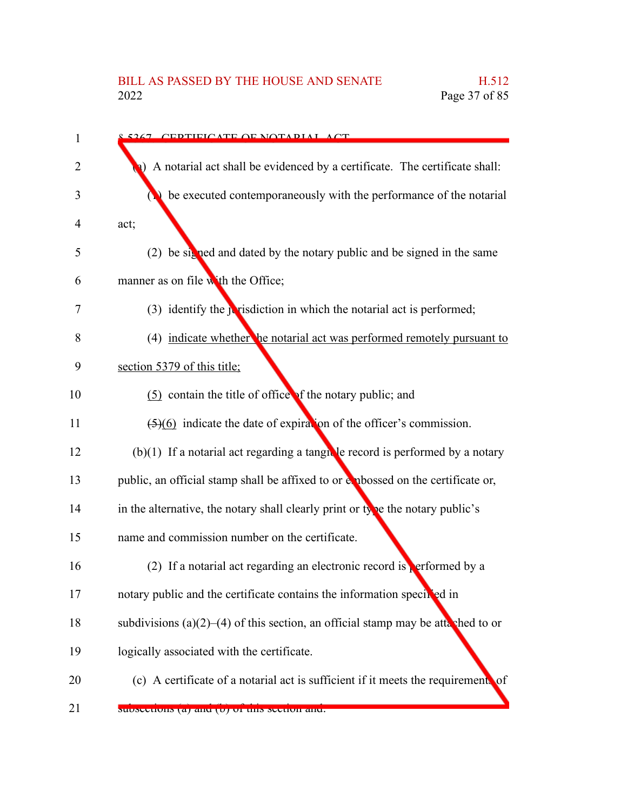| <u>s 5267 - CEDTIEICATE OE NOTADIAI - ACT</u>                                           |
|-----------------------------------------------------------------------------------------|
| A notarial act shall be evidenced by a certificate. The certificate shall:              |
| be executed contemporaneously with the performance of the notarial                      |
| act;                                                                                    |
| (2) be signed and dated by the notary public and be signed in the same                  |
| manner as on file with the Office;                                                      |
| (3) identify the <i>j</i> risdiction in which the notarial act is performed;            |
| (4) indicate whether he notarial act was performed remotely pursuant to                 |
| section 5379 of this title;                                                             |
| (5) contain the title of office of the notary public; and                               |
| $\left(\frac{5}{6}\right)$ indicate the date of expiration of the officer's commission. |
| $(b)(1)$ If a notarial act regarding a tangular example is performed by a notary        |
| public, an official stamp shall be affixed to or explossed on the certificate or,       |
| in the alternative, the notary shall clearly print or type the notary public's          |
| name and commission number on the certificate.                                          |
| (2) If a notarial act regarding an electronic record is performed by a                  |
| notary public and the certificate contains the information specified in                 |
| subdivisions (a) $(2)$ –(4) of this section, an official stamp may be attached to or    |
| logically associated with the certificate.                                              |
| (c) A certificate of a notarial act is sufficient if it meets the requirement. of       |
| subsections (a) and (b) or this section and.                                            |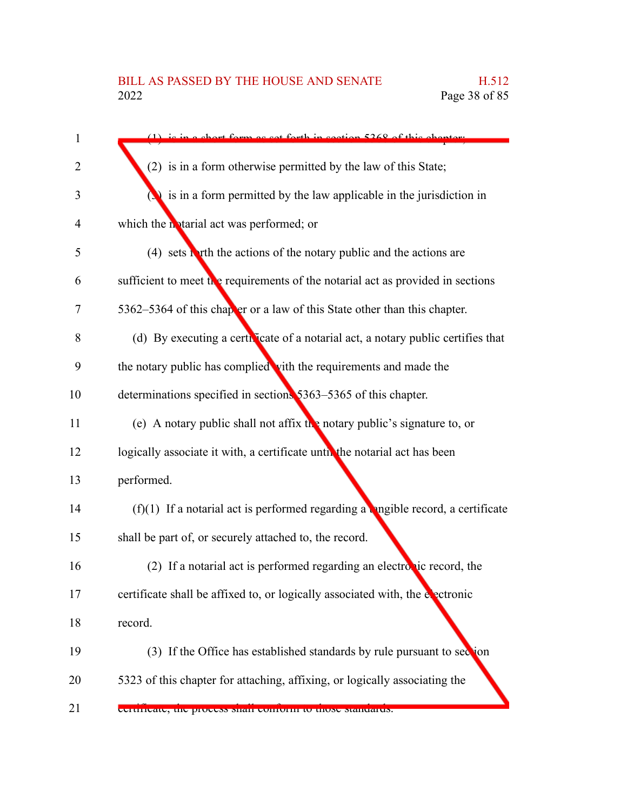| a short form as set forth in section 5268 of this chanter.                        |
|-----------------------------------------------------------------------------------|
| (2) is in a form otherwise permitted by the law of this State;                    |
| $\Box$ is in a form permitted by the law applicable in the jurisdiction in        |
| which the notarial act was performed; or                                          |
| $(4)$ sets to the actions of the notary public and the actions are                |
| sufficient to meet the requirements of the notarial act as provided in sections   |
| 5362–5364 of this chapter or a law of this State other than this chapter.         |
| (d) By executing a certificate of a notarial act, a notary public certifies that  |
| the notary public has complied with the requirements and made the                 |
| determinations specified in sections 5363–5365 of this chapter.                   |
| (e) A notary public shall not affix the notary public's signature to, or          |
| logically associate it with, a certificate until the notarial act has been        |
| performed.                                                                        |
| $(f)(1)$ If a notarial act is performed regarding a ungible record, a certificate |
| shall be part of, or securely attached to, the record.                            |
| (2) If a notarial act is performed regarding an electronic record, the            |
| certificate shall be affixed to, or logically associated with, the electronic     |
| record.                                                                           |
| (3) If the Office has established standards by rule pursuant to section           |
| 5323 of this chapter for attaching, affixing, or logically associating the        |
| certificate, the process shall comform to those standards.                        |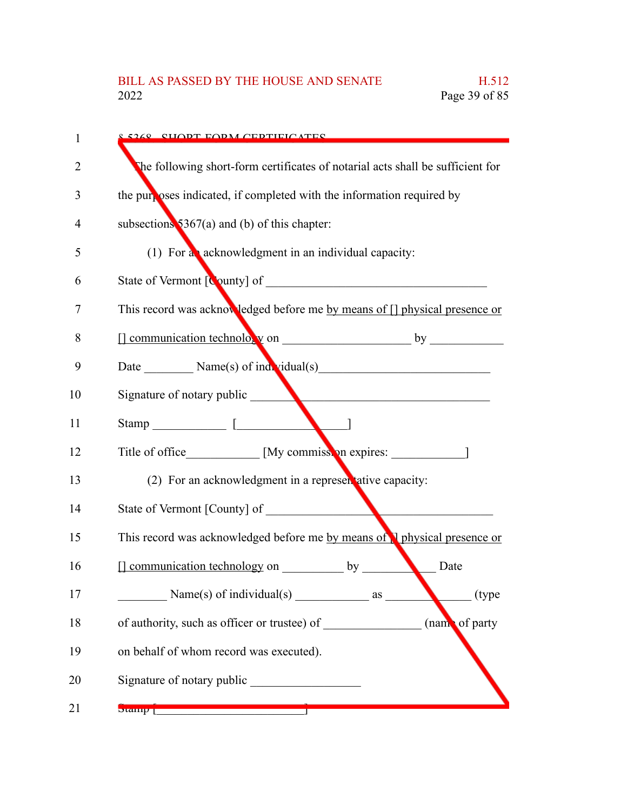| 1              | <u>s 5269 – CHODT FORM CEDTIFICATES</u>                                                                                                                                                                                                                                                                             |
|----------------|---------------------------------------------------------------------------------------------------------------------------------------------------------------------------------------------------------------------------------------------------------------------------------------------------------------------|
| $\overline{2}$ | The following short-form certificates of notarial acts shall be sufficient for                                                                                                                                                                                                                                      |
| 3              | the purposes indicated, if completed with the information required by                                                                                                                                                                                                                                               |
| 4              | subsections $$367(a)$ and (b) of this chapter:                                                                                                                                                                                                                                                                      |
| 5              | (1) For a acknowledgment in an individual capacity:                                                                                                                                                                                                                                                                 |
| 6              |                                                                                                                                                                                                                                                                                                                     |
| 7              | This record was acknowledged before me by means of [] physical presence or                                                                                                                                                                                                                                          |
| 8              |                                                                                                                                                                                                                                                                                                                     |
| 9              |                                                                                                                                                                                                                                                                                                                     |
| 10             | Signature of notary public                                                                                                                                                                                                                                                                                          |
| 11             | Stamp [                                                                                                                                                                                                                                                                                                             |
| 12             | Title of office _____________ [My commission expires: ____________________                                                                                                                                                                                                                                          |
| 13             | (2) For an acknowledgment in a representative capacity:                                                                                                                                                                                                                                                             |
| 14             | State of Vermont [County] of                                                                                                                                                                                                                                                                                        |
| 15             | This record was acknowledged before me by means of I physical presence or                                                                                                                                                                                                                                           |
| 16             | [] communication technology on by<br>Date                                                                                                                                                                                                                                                                           |
| 17             | Name(s) of individual(s)<br>(type<br>as                                                                                                                                                                                                                                                                             |
| 18             | (name of party<br>of authority, such as officer or trustee) of                                                                                                                                                                                                                                                      |
| 19             | on behalf of whom record was executed).                                                                                                                                                                                                                                                                             |
| 20             | Signature of notary public                                                                                                                                                                                                                                                                                          |
| 21             | $\frac{1}{2}$ $\frac{1}{2}$ $\frac{1}{2}$ $\frac{1}{2}$ $\frac{1}{2}$ $\frac{1}{2}$ $\frac{1}{2}$ $\frac{1}{2}$ $\frac{1}{2}$ $\frac{1}{2}$ $\frac{1}{2}$ $\frac{1}{2}$ $\frac{1}{2}$ $\frac{1}{2}$ $\frac{1}{2}$ $\frac{1}{2}$ $\frac{1}{2}$ $\frac{1}{2}$ $\frac{1}{2}$ $\frac{1}{2}$ $\frac{1}{2}$ $\frac{1}{2}$ |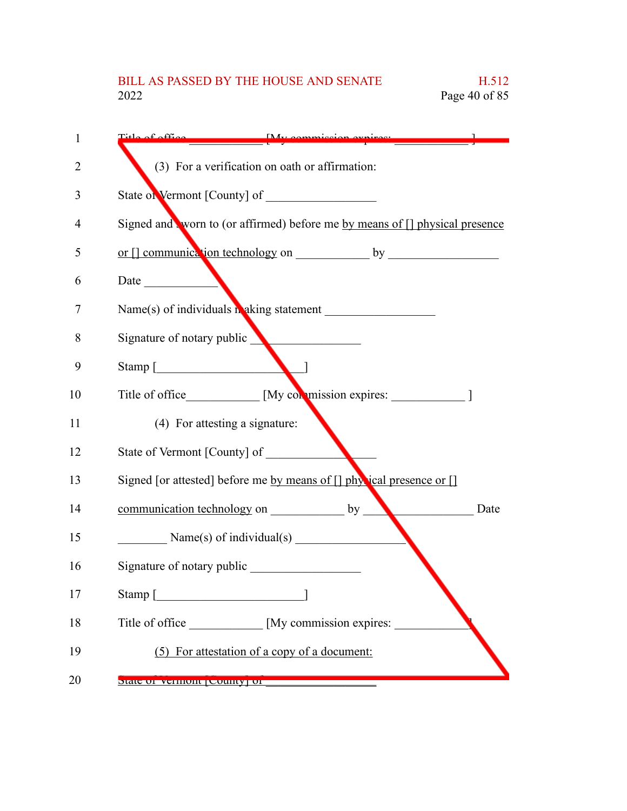## BILL AS PASSED BY THE HOUSE AND SENATE H.512<br>2022 Page 40 of 85 Page 40 of 85

| 1  | Title of office My commission evaires                                                                                                                                                                                                                                                                                                                                                                      |
|----|------------------------------------------------------------------------------------------------------------------------------------------------------------------------------------------------------------------------------------------------------------------------------------------------------------------------------------------------------------------------------------------------------------|
| 2  | (3) For a verification on oath or affirmation:                                                                                                                                                                                                                                                                                                                                                             |
| 3  |                                                                                                                                                                                                                                                                                                                                                                                                            |
| 4  | Signed and worn to (or affirmed) before me by means of [] physical presence                                                                                                                                                                                                                                                                                                                                |
| 5  |                                                                                                                                                                                                                                                                                                                                                                                                            |
| 6  |                                                                                                                                                                                                                                                                                                                                                                                                            |
| 7  |                                                                                                                                                                                                                                                                                                                                                                                                            |
| 8  | Signature of notary public                                                                                                                                                                                                                                                                                                                                                                                 |
| 9  | Stamp [                                                                                                                                                                                                                                                                                                                                                                                                    |
| 10 | Title of office [My commission expires: 1]                                                                                                                                                                                                                                                                                                                                                                 |
| 11 | (4) For attesting a signature:                                                                                                                                                                                                                                                                                                                                                                             |
| 12 | State of Vermont [County] of                                                                                                                                                                                                                                                                                                                                                                               |
| 13 | Signed [or attested] before me by means of [] physical presence or []                                                                                                                                                                                                                                                                                                                                      |
| 14 | communication technology on by<br>Date                                                                                                                                                                                                                                                                                                                                                                     |
| 15 | Name(s) of individual(s) $\frac{1}{\sqrt{1-\frac{1}{\sqrt{1-\frac{1}{\sqrt{1-\frac{1}{\sqrt{1-\frac{1}{\sqrt{1-\frac{1}{\sqrt{1-\frac{1}{\sqrt{1-\frac{1}{\sqrt{1-\frac{1}{\sqrt{1-\frac{1}{\sqrt{1-\frac{1}{\sqrt{1-\frac{1}{\sqrt{1-\frac{1}{\sqrt{1-\frac{1}{\sqrt{1-\frac{1}{\sqrt{1-\frac{1}{\sqrt{1-\frac{1}{\sqrt{1-\frac{1}{\sqrt{1-\frac{1}{\sqrt{1-\frac{1}{\sqrt{1-\frac{1}{\sqrt{1-\frac{1}{\$ |
| 16 |                                                                                                                                                                                                                                                                                                                                                                                                            |
| 17 | Stamp [ <i>________________________</i>                                                                                                                                                                                                                                                                                                                                                                    |
| 18 | Title of office _____________ [My commission expires:                                                                                                                                                                                                                                                                                                                                                      |
| 19 | (5) For attestation of a copy of a document:                                                                                                                                                                                                                                                                                                                                                               |
| 20 | <b>DRUG OF VEHILUIL   COUILLY   OF THE</b>                                                                                                                                                                                                                                                                                                                                                                 |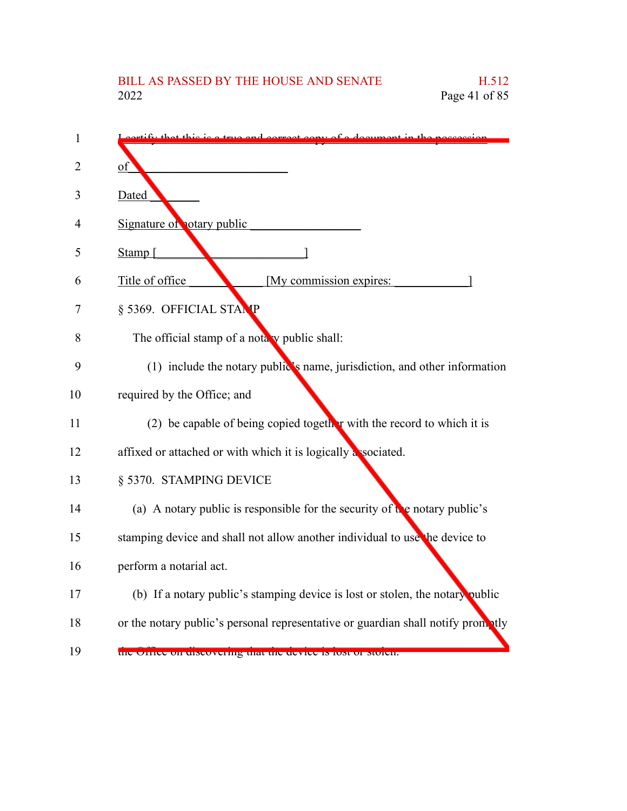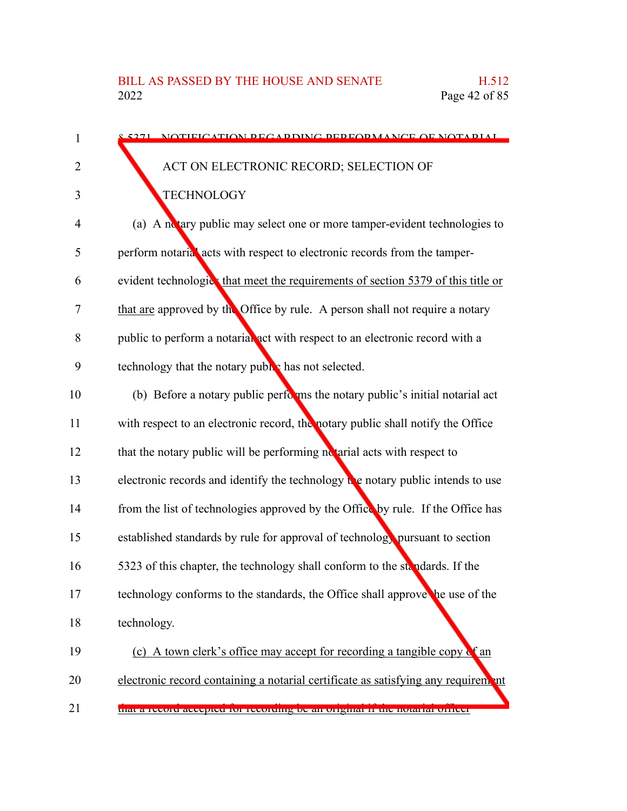| 1              | 5271 NOTIFICATION PECAPDING PEPEOPMANCE OF NOTAPIAL                                            |
|----------------|------------------------------------------------------------------------------------------------|
| $\overline{2}$ | ACT ON ELECTRONIC RECORD; SELECTION OF                                                         |
| 3              | <b>TECHNOLOGY</b>                                                                              |
| 4              | (a) A notary public may select one or more tamper-evident technologies to                      |
| 5              | perform notarial acts with respect to electronic records from the tamper-                      |
| 6              | evident technologics that meet the requirements of section 5379 of this title or               |
| 7              | that are approved by the Office by rule. A person shall not require a notary                   |
| 8              | public to perform a notarial act with respect to an electronic record with a                   |
| 9              | technology that the notary public has not selected.                                            |
| 10             | (b) Before a notary public performs the notary public's initial notarial act                   |
| 11             | with respect to an electronic record, the notary public shall notify the Office                |
| 12             | that the notary public will be performing notarial acts with respect to                        |
| 13             | electronic records and identify the technology $\mathbf{t}$ e notary public intends to use     |
| 14             | from the list of technologies approved by the Office by rule. If the Office has                |
| 15             | established standards by rule for approval of technology pursuant to section                   |
| 16             | 5323 of this chapter, the technology shall conform to the standards. If the                    |
| 17             | technology conforms to the standards, the Office shall approve the use of the                  |
| 18             | technology.                                                                                    |
| 19             | (c) A town clerk's office may accept for recording a tangible copy $\mathbf{c}^{\epsilon}$ and |
| 20             | electronic record containing a notarial certificate as satisfying any requirem ant             |
| 21             | that a record accepted for recording oc an original ir the notarial officer                    |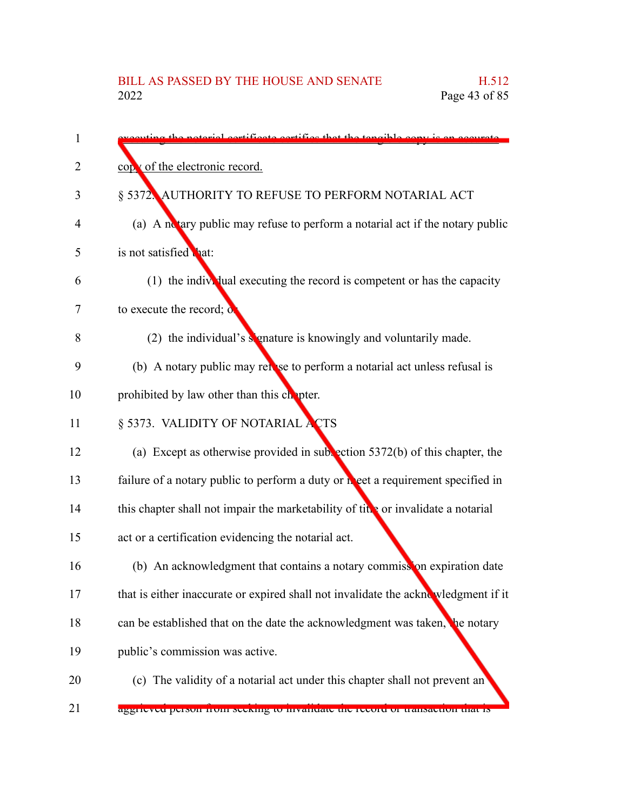| 1  | ting the natorial certificate certifies that the tangible convict                  |
|----|------------------------------------------------------------------------------------|
| 2  | copy of the electronic record.                                                     |
| 3  | § 5372. AUTHORITY TO REFUSE TO PERFORM NOTARIAL ACT                                |
| 4  | (a) A notary public may refuse to perform a notarial act if the notary public      |
| 5  | is not satisfied that:                                                             |
| 6  | $(1)$ the individual executing the record is competent or has the capacity         |
| 7  | to execute the record; $\mathbf{o}$                                                |
| 8  | (2) the individual's signature is knowingly and voluntarily made.                  |
| 9  | (b) A notary public may relose to perform a notarial act unless refusal is         |
| 10 | prohibited by law other than this chapter.                                         |
| 11 | § 5373. VALIDITY OF NOTARIAL ACTS                                                  |
| 12 | (a) Except as otherwise provided in subsection $5372(b)$ of this chapter, the      |
| 13 | failure of a notary public to perform a duty or neet a requirement specified in    |
| 14 | this chapter shall not impair the marketability of title or invalidate a notarial  |
| 15 | act or a certification evidencing the notarial act.                                |
| 16 | (b) An acknowledgment that contains a notary commission expiration date            |
| 17 | that is either inaccurate or expired shall not invalidate the acknowledgment if it |
| 18 | can be established that on the date the acknowledgment was taken, the notary       |
| 19 | public's commission was active.                                                    |
| 20 | (c) The validity of a notarial act under this chapter shall not prevent an         |
| 21 | aggrieved person from seeking to invantiate the record of transaction that is      |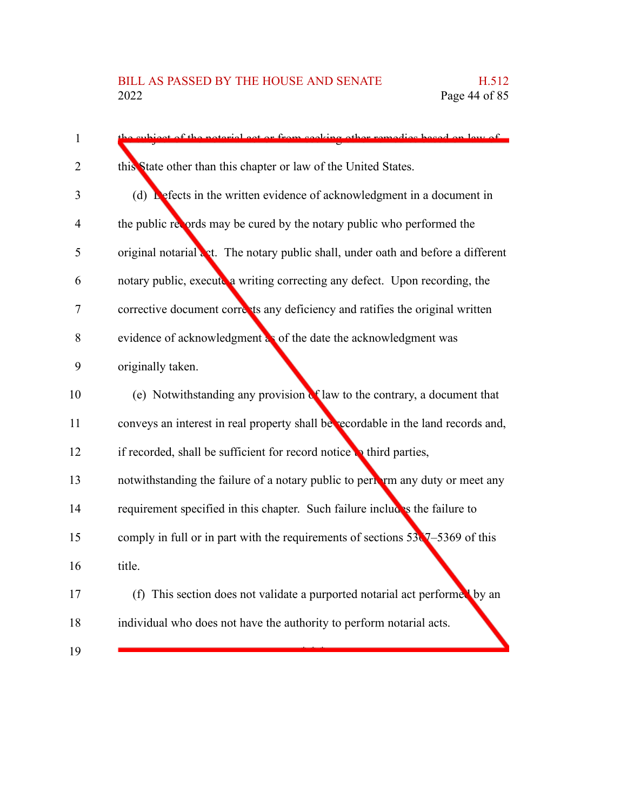| thight of the notorial got or from sooki<br>a other remedies hesed on law of            |
|-----------------------------------------------------------------------------------------|
| this State other than this chapter or law of the United States.                         |
| (d) Lefects in the written evidence of acknowledgment in a document in                  |
| the public records may be cured by the notary public who performed the                  |
| original notarial act. The notary public shall, under oath and before a different       |
| notary public, execute a writing correcting any defect. Upon recording, the             |
| corrective document corrects any deficiency and ratifies the original written           |
| evidence of acknowledgment as of the date the acknowledgment was                        |
| originally taken.                                                                       |
| (e) Notwithstanding any provision of law to the contrary, a document that               |
| conveys an interest in real property shall be recordable in the land records and,       |
| if recorded, shall be sufficient for record notice to third parties,                    |
| notwithstanding the failure of a notary public to pertain any duty or meet any          |
| requirement specified in this chapter. Such failure includes the failure to             |
| comply in full or in part with the requirements of sections $53\sqrt{7} - 5369$ of this |
| title.                                                                                  |
| (f) This section does not validate a purported notarial act performed by an             |
| individual who does not have the authority to perform notarial acts.                    |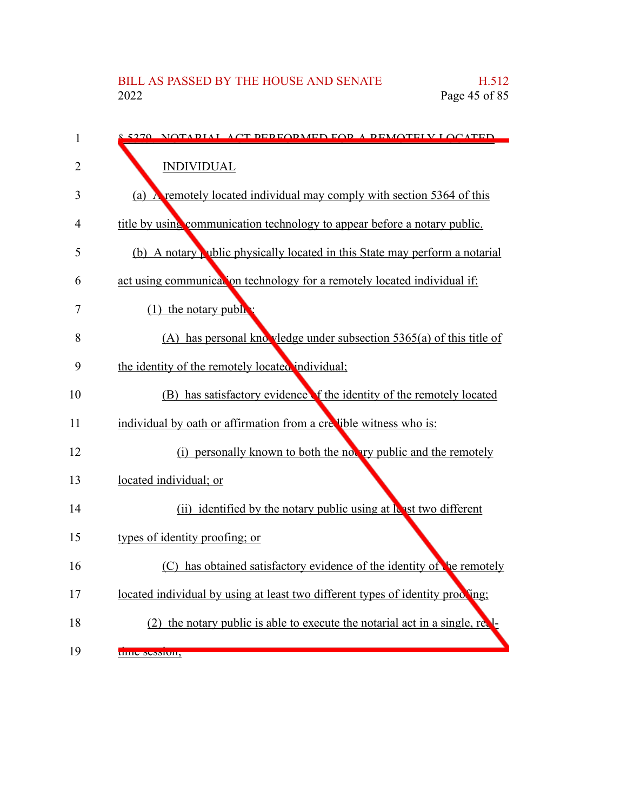| $\mathbf{1}$ | 5270 NOTADIAI ACT DEDEODMED EOD A DEMOTEIV LOCATED                             |
|--------------|--------------------------------------------------------------------------------|
| 2            | <b>INDIVIDUAL</b>                                                              |
| 3            | (a) A remotely located individual may comply with section 5364 of this         |
| 4            | title by using communication technology to appear before a notary public.      |
| 5            | (b) A notary which physically located in this State may perform a notarial     |
| 6            | act using communication technology for a remotely located individual if:       |
| 7            | $(1)$ the notary public                                                        |
| 8            | (A) has personal knowledge under subsection $5365(a)$ of this title of         |
| 9            | the identity of the remotely located individual;                               |
| 10           | (B) has satisfactory evidence f the identity of the remotely located           |
| 11           | individual by oath or affirmation from a crellible witness who is:             |
| 12           | (i) personally known to both the notary public and the remotely                |
| 13           | located individual; or                                                         |
| 14           | (ii) identified by the notary public using at least two different              |
| 15           | types of identity proofing; or                                                 |
| 16           | (C) has obtained satisfactory evidence of the identity of the remotely         |
| 17           | located individual by using at least two different types of identity proofing; |
| 18           | (2) the notary public is able to execute the notarial act in a single, real-   |
| 19           | unic Session,                                                                  |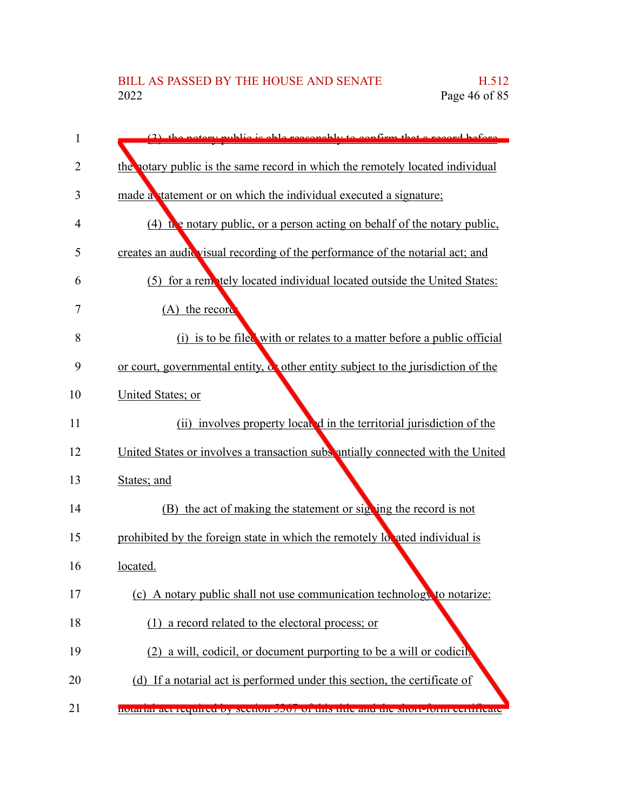| 1  | (2) the notary public is able reasonably to confirm that a regard before                |
|----|-----------------------------------------------------------------------------------------|
| 2  | the notary public is the same record in which the remotely located individual           |
| 3  | made a statement or on which the individual executed a signature;                       |
| 4  | $(4)$ the notary public, or a person acting on behalf of the notary public,             |
| 5  | creates an audic visual recording of the performance of the notarial act; and           |
| 6  | (5) for a remotely located individual located outside the United States:                |
| 7  | (A) the record                                                                          |
| 8  | (i) is to be filed with or relates to a matter before a public official                 |
| 9  | or court, governmental entity, $\alpha$ other entity subject to the jurisdiction of the |
| 10 | United States; or                                                                       |
| 11 | (ii) involves property local d in the territorial jurisdiction of the                   |
| 12 | United States or involves a transaction subs antially connected with the United         |
| 13 | States; and                                                                             |
| 14 | (B) the act of making the statement or signing the record is not                        |
| 15 | prohibited by the foreign state in which the remotely located individual is             |
| 16 | located.                                                                                |
| 17 | (c) A notary public shall not use communication technology to notarize:                 |
| 18 | (1) a record related to the electoral process; or                                       |
| 19 | (2) a will, codicil, or document purporting to be a will or codicil.                    |
| 20 | (d) If a notarial act is performed under this section, the certificate of               |
| 21 | notanai au requireu dy secuon 9907 or uns une anu ule short-romi certificate            |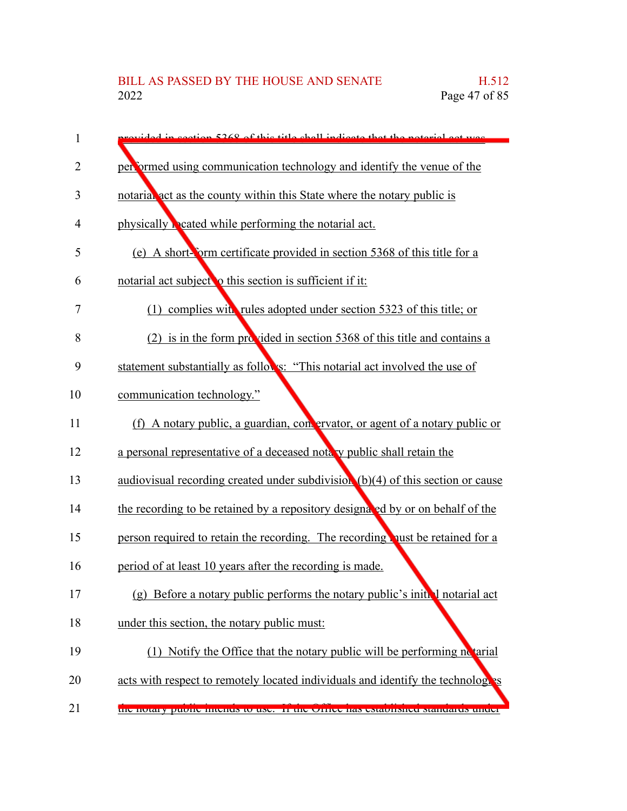| 1  | rovided in section 5268 of this title shall indicate that the naterial act west |
|----|---------------------------------------------------------------------------------|
| 2  | performed using communication technology and identify the venue of the          |
| 3  | notarial act as the county within this State where the notary public is         |
| 4  | physically beated while performing the notarial act.                            |
| 5  | (e) A short-form certificate provided in section 5368 of this title for a       |
| 6  | notarial act subject o this section is sufficient if it:                        |
| 7  | complies with rules adopted under section 5323 of this title; or<br>(1)         |
| 8  | (2) is in the form provided in section 5368 of this title and contains a        |
| 9  | statement substantially as follows: "This notarial act involved the use of      |
| 10 | communication technology."                                                      |
| 11 | (f) A notary public, a guardian, convervator, or agent of a notary public or    |
| 12 | a personal representative of a deceased note y public shall retain the          |
| 13 | audiovisual recording created under subdivision (b)(4) of this section or cause |
| 14 | the recording to be retained by a repository designated by or on behalf of the  |
| 15 | person required to retain the recording. The recording qust be retained for a   |
| 16 | period of at least 10 years after the recording is made.                        |
| 17 | (g) Before a notary public performs the notary public's initial notarial act    |
| 18 | under this section, the notary public must:                                     |
| 19 | (1) Notify the Office that the notary public will be performing no tarial       |
| 20 | acts with respect to remotely located individuals and identify the technologies |
| 21 | the hotally public memus to use. If the Office has established standards under  |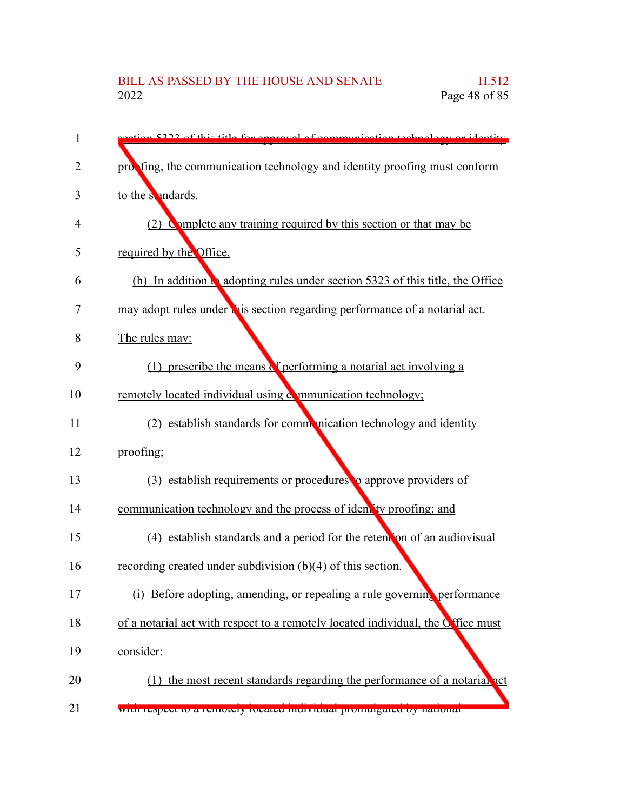| 1  | etion 5222 of this title for enneavel of communication technology or identity    |
|----|----------------------------------------------------------------------------------|
| 2  | probling, the communication technology and identity proofing must conform        |
| 3  | to the sendards.                                                                 |
| 4  | (2) Complete any training required by this section or that may be                |
| 5  | required by the Office.                                                          |
| 6  | (h) In addition to adopting rules under section 5323 of this title, the Office   |
| 7  | may adopt rules under this section regarding performance of a notarial act.      |
| 8  | The rules may:                                                                   |
| 9  | (1) prescribe the means of performing a notarial act involving a                 |
| 10 | remotely located individual using communication technology;                      |
| 11 | (2) establish standards for communication technology and identity                |
| 12 | proofing;                                                                        |
| 13 | (3) establish requirements or procedures to approve providers of                 |
| 14 | communication technology and the process of identity proofing; and               |
| 15 | (4) establish standards and a period for the retend on of an audiovisual         |
| 16 | recording created under subdivision (b)(4) of this section.                      |
| 17 | (i) Before adopting, amending, or repealing a rule governing performance         |
| 18 | of a notarial act with respect to a remotely located individual, the Office must |
| 19 | consider:                                                                        |
| 20 | the most recent standards regarding the performance of a notarial act<br>(1)     |
| 21 | with respect to a remotely focated muryluttar promurgated by national            |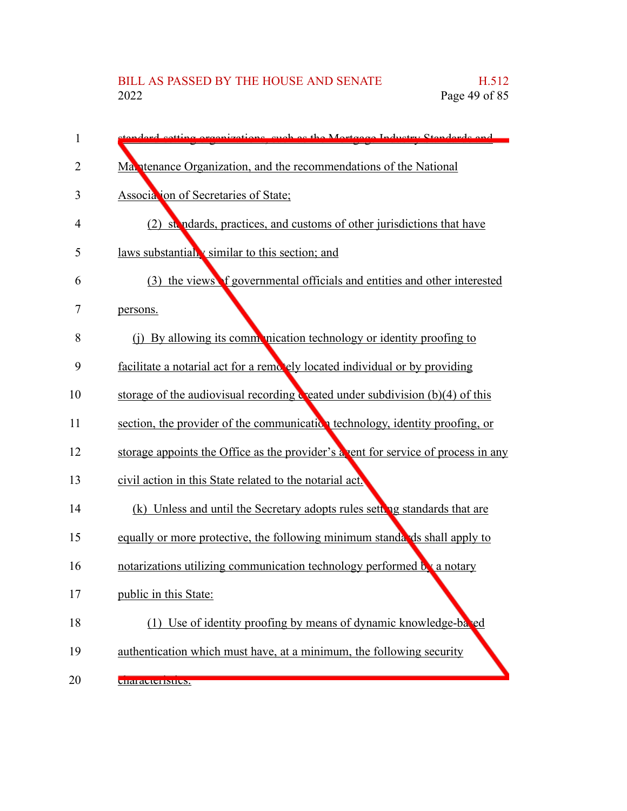| 1              | tondard cotting organizations, such as the Mortgogo Industry Standards and                      |
|----------------|-------------------------------------------------------------------------------------------------|
| $\overline{2}$ | Mantenance Organization, and the recommendations of the National                                |
| 3              | Association of Secretaries of State;                                                            |
| 4              | (2) stendards, practices, and customs of other jurisdictions that have                          |
| 5              | laws substantially similar to this section; and                                                 |
| 6              | (3) the views f governmental officials and entities and other interested                        |
| 7              | persons.                                                                                        |
| 8              | (i) By allowing its communication technology or identity proofing to                            |
| 9              | facilitate a notarial act for a remotely located individual or by providing                     |
| 10             | storage of the audiovisual recording $\ddot{\mathbf{c}}$ eated under subdivision (b)(4) of this |
| 11             | section, the provider of the communication technology, identity proofing, or                    |
| 12             | storage appoints the Office as the provider's a vent for service of process in any              |
| 13             | civil action in this State related to the notarial act.                                         |
| 14             | (k) Unless and until the Secretary adopts rules setting standards that are                      |
| 15             | equally or more protective, the following minimum standards shall apply to                      |
| 16             | notarizations utilizing communication technology performed by a notary                          |
| 17             | public in this State:                                                                           |
| 18             | (1) Use of identity proofing by means of dynamic knowledge-balled                               |
| 19             | authentication which must have, at a minimum, the following security                            |
| 20             | <b>URITACIU INHUS.</b>                                                                          |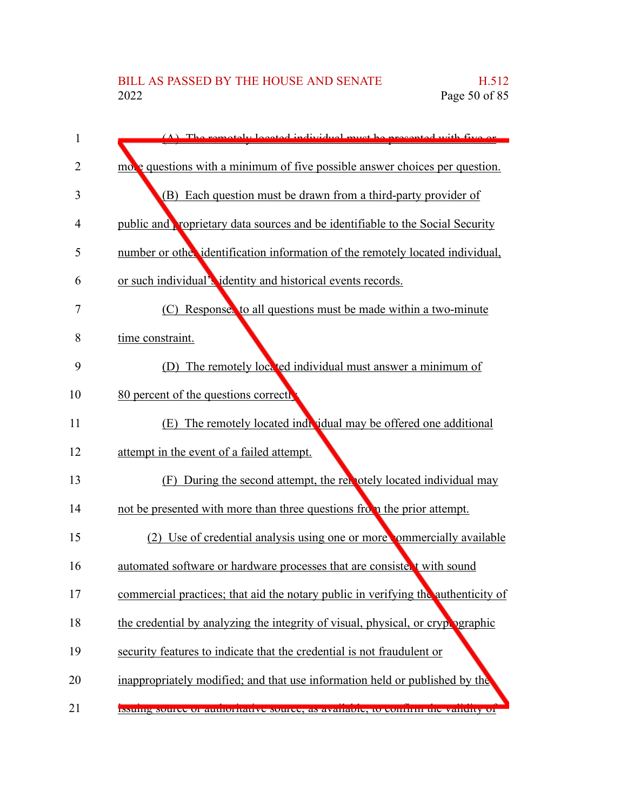| 1  | $(\Lambda)$ The remotely located individual must be presented with five or            |
|----|---------------------------------------------------------------------------------------|
| 2  | more questions with a minimum of five possible answer choices per question.           |
| 3  | (B) Each question must be drawn from a third-party provider of                        |
| 4  | public and <b>proprietary</b> data sources and be identifiable to the Social Security |
| 5  | number or other identification information of the remotely located individual,        |
| 6  | or such individual's identity and historical events records.                          |
| 7  | (C) Responses to all questions must be made within a two-minute                       |
| 8  | time constraint.                                                                      |
| 9  | The remotely located individual must answer a minimum of                              |
| 10 | 80 percent of the questions correctly                                                 |
| 11 | (E) The remotely located individual may be offered one additional                     |
| 12 | attempt in the event of a failed attempt.                                             |
| 13 | (F) During the second attempt, the remotely located individual may                    |
| 14 | not be presented with more than three questions from the prior attempt.               |
| 15 | (2) Use of credential analysis using one or more commercially available               |
| 16 | automated software or hardware processes that are consistent with sound               |
| 17 | commercial practices; that aid the notary public in verifying the authenticity of     |
| 18 | the credential by analyzing the integrity of visual, physical, or crypt ographic      |
| 19 | security features to indicate that the credential is not fraudulent or                |
| 20 | inappropriately modified; and that use information held or published by the           |
| 21 | issume source or admortiance source, as available, to commit the validity of          |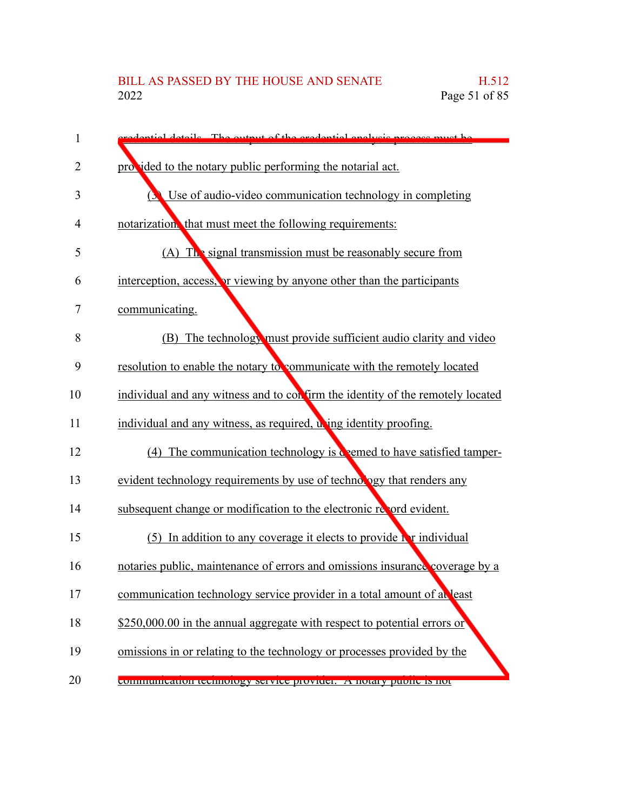| 1  | redential details. The output of the credential analysis process must be       |
|----|--------------------------------------------------------------------------------|
| 2  | pro ided to the notary public performing the notarial act.                     |
| 3  | Use of audio-video communication technology in completing                      |
| 4  | notarization, that must meet the following requirements:                       |
| 5  | $(A)$ The signal transmission must be reasonably secure from                   |
| 6  | interception, access, or viewing by anyone other than the participants         |
| 7  | communicating.                                                                 |
| 8  | (B) The technology must provide sufficient audio clarity and video             |
| 9  | resolution to enable the notary to communicate with the remotely located       |
| 10 | individual and any witness and to confirm the identity of the remotely located |
| 11 | individual and any witness, as required, wing identity proofing.               |
| 12 | (4) The communication technology is deemed to have satisfied tamper-           |
| 13 | evident technology requirements by use of technology that renders any          |
| 14 | subsequent change or modification to the electronic record evident.            |
| 15 | $(5)$ In addition to any coverage it elects to provide in individual           |
| 16 | notaries public, maintenance of errors and omissions insurance coverage by a   |
| 17 | communication technology service provider in a total amount of at least        |
| 18 | \$250,000.00 in the annual aggregate with respect to potential errors or       |
| 19 | omissions in or relating to the technology or processes provided by the        |
| 20 | communication technology service provider. A notary public is not              |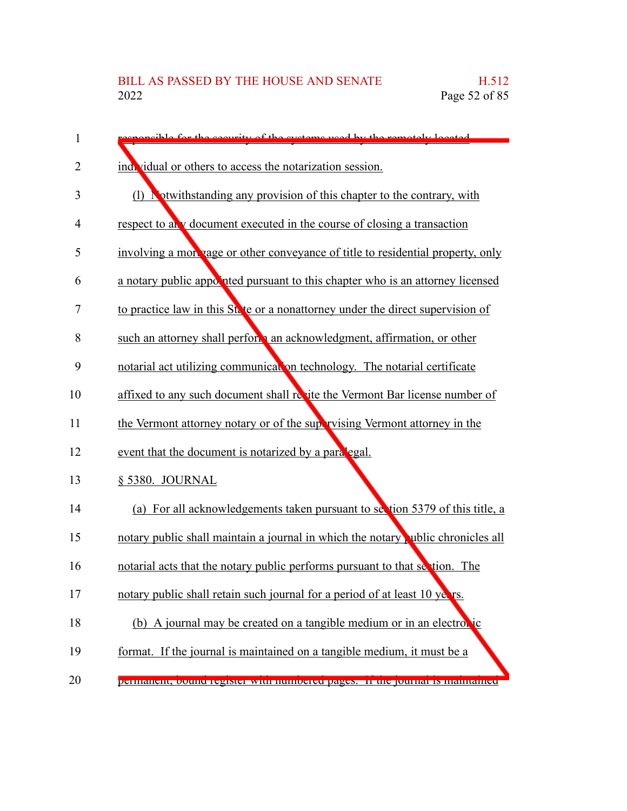| 1              | enongible for the sequrity of the eveterns used by the remotely located          |
|----------------|----------------------------------------------------------------------------------|
| $\overline{2}$ | individual or others to access the notarization session.                         |
| 3              | (1) Notwithstanding any provision of this chapter to the contrary, with          |
| 4              | respect to any document executed in the course of closing a transaction          |
| 5              | involving a morpage or other conveyance of title to residential property, only   |
| 6              | a notary public appointed pursuant to this chapter who is an attorney licensed   |
| 7              | to practice law in this State or a nonattorney under the direct supervision of   |
| 8              | such an attorney shall perform an acknowledgment, affirmation, or other          |
| 9              | notarial act utilizing communication technology. The notarial certificate        |
| 10             | affixed to any such document shall resite the Vermont Bar license number of      |
| 11             | the Vermont attorney notary or of the supervising Vermont attorney in the        |
| 12             | event that the document is notarized by a paralegal.                             |
| 13             | § 5380. JOURNAL                                                                  |
| 14             | (a) For all acknowledgements taken pursuant to section 5379 of this title, a     |
| 15             | notary public shall maintain a journal in which the notary public chronicles all |
| 16             | notarial acts that the notary public performs pursuant to that section. The      |
| 17             | notary public shall retain such journal for a period of at least 10 years.       |
| 18             | (b) A journal may be created on a tangible medium or in an electronic            |
| 19             | format. If the journal is maintained on a tangible medium, it must be a          |
| 20             | реннанене, болно гедыет whir плиностей радем. - и тис роннат в планианией        |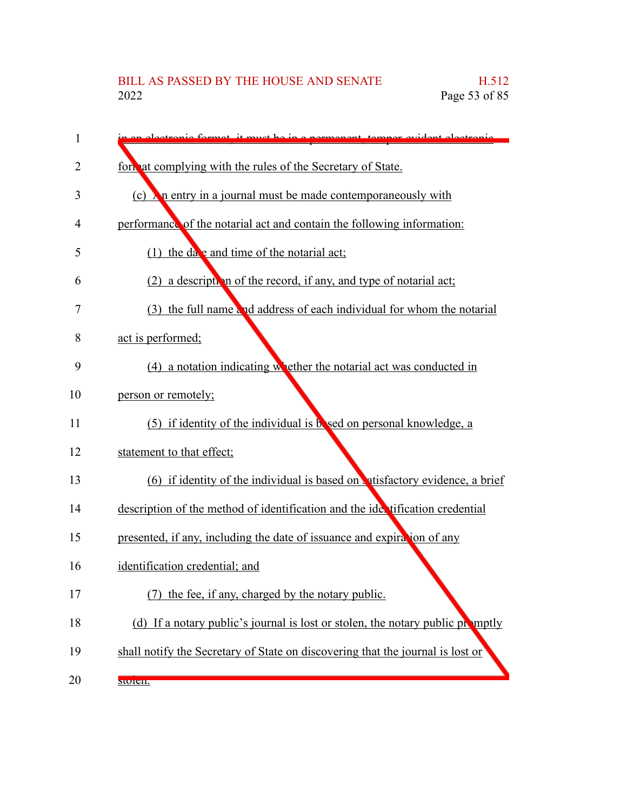| 1  | algetranic formet it must be in a normanent tamper evident electronic          |
|----|--------------------------------------------------------------------------------|
| 2  | form at complying with the rules of the Secretary of State.                    |
| 3  | (c) $\lambda$ n entry in a journal must be made contemporaneously with         |
| 4  | performance of the notarial act and contain the following information:         |
| 5  | (1) the date and time of the notarial act;                                     |
| 6  | (2) a description of the record, if any, and type of notarial act;             |
| 7  | (3) the full name and address of each individual for whom the notarial         |
| 8  | act is performed;                                                              |
| 9  | $(4)$ a notation indicating whether the notarial act was conducted in          |
| 10 | person or remotely;                                                            |
| 11 | $(5)$ if identity of the individual is bosed on personal knowledge, a          |
| 12 | statement to that effect;                                                      |
| 13 | $(6)$ if identity of the individual is based on atisfactory evidence, a brief  |
| 14 | description of the method of identification and the identification credential  |
| 15 | presented, if any, including the date of issuance and expiration of any        |
| 16 | identification credential; and                                                 |
| 17 | the fee, if any, charged by the notary public.                                 |
| 18 | (d) If a notary public's journal is lost or stolen, the notary public promptly |
| 19 | shall notify the Secretary of State on discovering that the journal is lost or |
| 20 | SIQICII.                                                                       |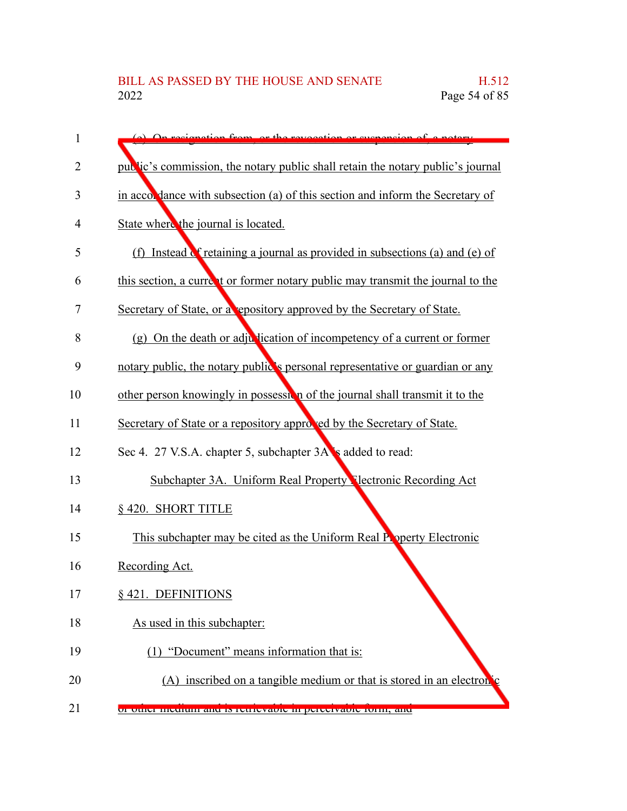| 1  | (a) On regionation from or the revocation or guarancian of                      |
|----|---------------------------------------------------------------------------------|
| 2  | public's commission, the notary public shall retain the notary public's journal |
| 3  | in accordance with subsection (a) of this section and inform the Secretary of   |
| 4  | State where the journal is located.                                             |
| 5  | (f) Instead C retaining a journal as provided in subsections (a) and (e) of     |
| 6  | this section, a current or former notary public may transmit the journal to the |
| 7  | Secretary of State, or a repository approved by the Secretary of State.         |
| 8  | (g) On the death or adjustication of incompetency of a current or former        |
| 9  | notary public, the notary public's personal representative or guardian or any   |
| 10 | other person knowingly in possession of the journal shall transmit it to the    |
| 11 | Secretary of State or a repository approved by the Secretary of State.          |
| 12 | Sec 4. 27 V.S.A. chapter 5, subchapter 3A's added to read:                      |
| 13 | Subchapter 3A. Uniform Real Property Nectronic Recording Act                    |
| 14 | § 420. SHORT TITLE                                                              |
| 15 | This subchapter may be cited as the Uniform Real Property Electronic            |
| 16 | Recording Act.                                                                  |
| 17 | § 421. DEFINITIONS                                                              |
| 18 | As used in this subchapter:                                                     |
| 19 | (1) "Document" means information that is:                                       |
| 20 | (A) inscribed on a tangible medium or that is stored in an electron c           |
| 21 | or other medium and is retrievable in perceivable romi, and                     |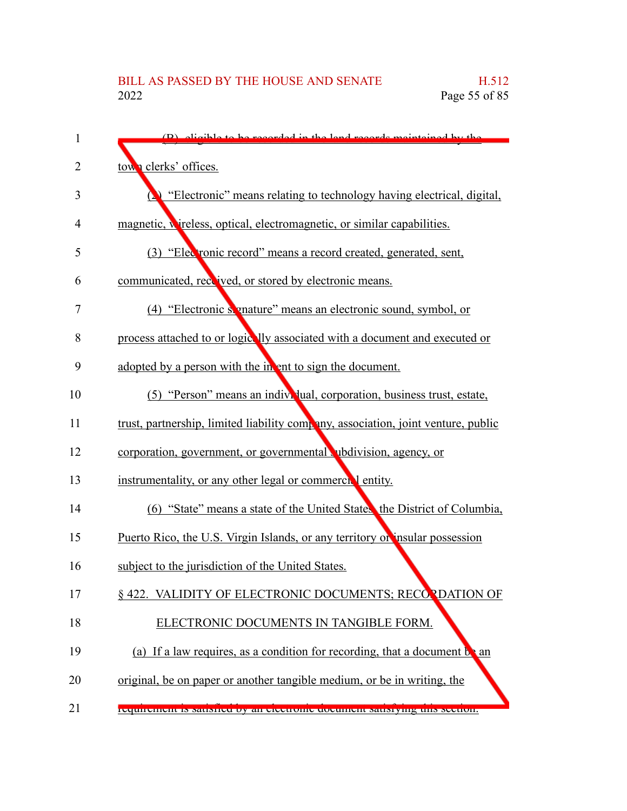| 1  | (B) sligible to be recorded in the land records maintained by the                 |
|----|-----------------------------------------------------------------------------------|
| 2  | town clerks' offices.                                                             |
| 3  | "Electronic" means relating to technology having electrical, digital,             |
| 4  | magnetic, wireless, optical, electromagnetic, or similar capabilities.            |
| 5  | (3) "Electronic record" means a record created, generated, sent,                  |
| 6  | communicated, received, or stored by electronic means.                            |
| 7  | (4) "Electronic signature" means an electronic sound, symbol, or                  |
| 8  | process attached to or logically associated with a document and executed or       |
| 9  | adopted by a person with the in ent to sign the document.                         |
| 10 | (5) "Person" means an individual, corporation, business trust, estate,            |
| 11 | trust, partnership, limited liability company, association, joint venture, public |
| 12 | corporation, government, or governmental ubdivision, agency, or                   |
| 13 | instrumentality, or any other legal or commercial entity.                         |
| 14 | (6) "State" means a state of the United States, the District of Columbia,         |
| 15 | Puerto Rico, the U.S. Virgin Islands, or any territory or insular possession      |
| 16 | subject to the jurisdiction of the United States.                                 |
| 17 | § 422. VALIDITY OF ELECTRONIC DOCUMENTS; RECORDATION OF                           |
| 18 | ELECTRONIC DOCUMENTS IN TANGIBLE FORM.                                            |
| 19 | (a) If a law requires, as a condition for recording, that a document $b \cdot a$  |
| 20 | original, be on paper or another tangible medium, or be in writing, the           |
| 21 | requirement is sausired by an electronic document sausrying this section.         |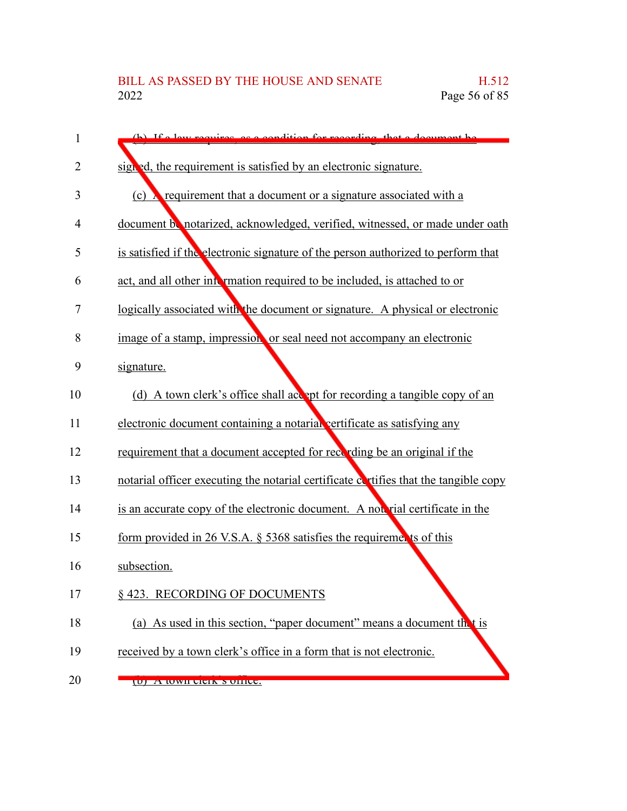| 1              | (b) If a law required as a condition for recording that a document be                |
|----------------|--------------------------------------------------------------------------------------|
| $\overline{2}$ | signed, the requirement is satisfied by an electronic signature.                     |
| 3              | (c) $\lambda$ requirement that a document or a signature associated with a           |
| 4              | document be notarized, acknowledged, verified, witnessed, or made under oath         |
| 5              | is satisfied if the electronic signature of the person authorized to perform that    |
| 6              | act, and all other into mation required to be included, is attached to or            |
| 7              | logically associated with the document or signature. A physical or electronic        |
| 8              | image of a stamp, impression or seal need not accompany an electronic                |
| 9              | signature.                                                                           |
| 10             | (d) A town clerk's office shall accept for recording a tangible copy of an           |
| 11             | electronic document containing a notarial certificate as satisfying any              |
| 12             | requirement that a document accepted for recording be an original if the             |
| 13             | notarial officer executing the notarial certificate cortifies that the tangible copy |
| 14             | is an accurate copy of the electronic document. A not rial certificate in the        |
| 15             | form provided in 26 V.S.A. § 5368 satisfies the requirements of this                 |
| 16             | subsection.                                                                          |
| 17             | § 423. RECORDING OF DOCUMENTS                                                        |
| 18             | (a) As used in this section, "paper document" means a document thet is               |
| 19             | received by a town clerk's office in a form that is not electronic.                  |
| 20             | (U) A WWII CICIK S UHICC.                                                            |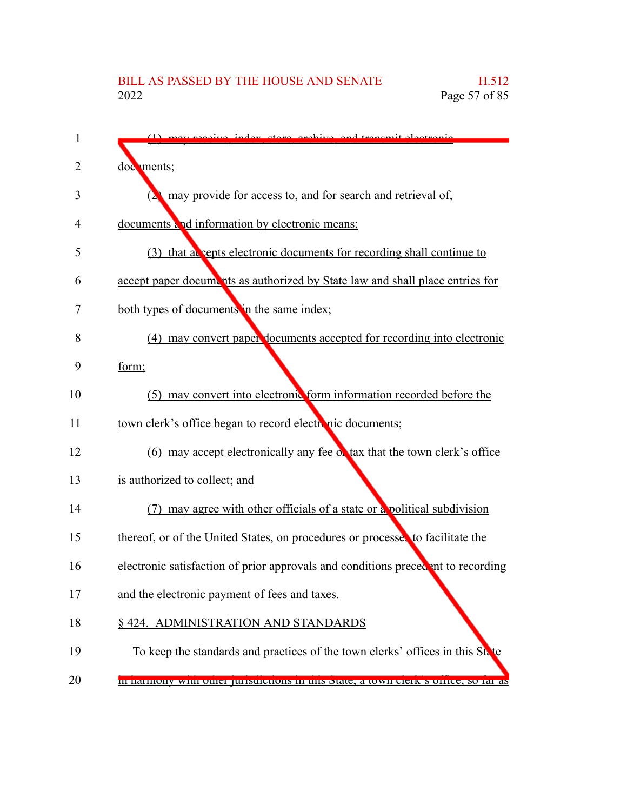| 1  | (1) may receive index store excluye and transmit electronic                              |
|----|------------------------------------------------------------------------------------------|
| 2  | documents;                                                                               |
| 3  | may provide for access to, and for search and retrieval of,                              |
| 4  | documents and information by electronic means;                                           |
| 5  | (3) that accepts electronic documents for recording shall continue to                    |
| 6  | accept paper documents as authorized by State law and shall place entries for            |
| 7  | both types of documents in the same index;                                               |
| 8  | (4) may convert paper documents accepted for recording into electronic                   |
| 9  | form;                                                                                    |
| 10 | (5) may convert into electronic form information recorded before the                     |
| 11 | town clerk's office began to record electronic documents;                                |
| 12 | (6) may accept electronically any fee of tax that the town clerk's office                |
| 13 | is authorized to collect; and                                                            |
| 14 | may agree with other officials of a state or a political subdivision                     |
| 15 | thereof, or of the United States, on procedures or processes to facilitate the           |
| 16 | electronic satisfaction of prior approvals and conditions precedent to recording         |
| 17 | and the electronic payment of fees and taxes.                                            |
| 18 | § 424. ADMINISTRATION AND STANDARDS                                                      |
| 19 | To keep the standards and practices of the town clerks' offices in this State            |
| 20 | <u>In harmony with other phistichens in this state, a town elern stoffied, so far as</u> |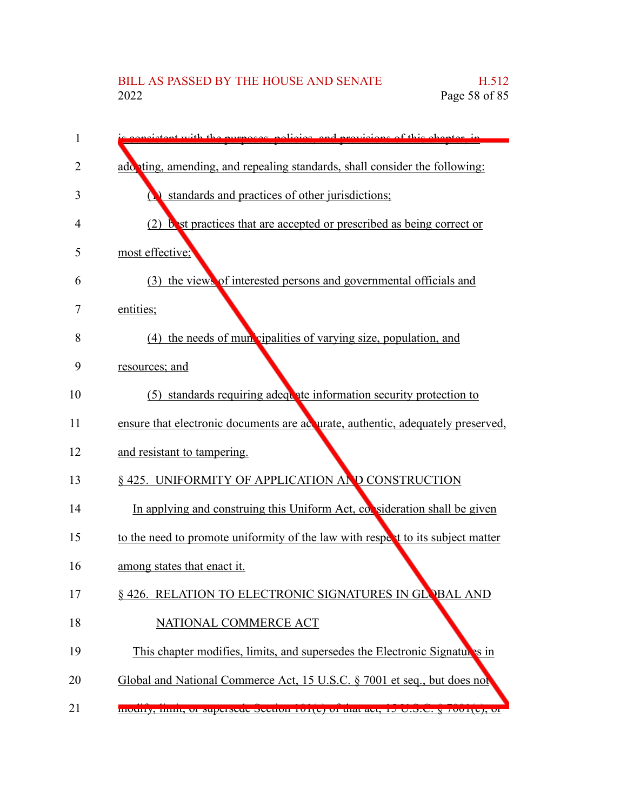| 1  | ictor with the purposes policies, and provisions of this chapter in              |
|----|----------------------------------------------------------------------------------|
| 2  | add ting, amending, and repealing standards, shall consider the following:       |
| 3  | standards and practices of other jurisdictions;                                  |
| 4  | (2) but practices that are accepted or prescribed as being correct or            |
| 5  | most effective;                                                                  |
| 6  | (3) the views of interested persons and governmental officials and               |
| 7  | entities;                                                                        |
| 8  | (4) the needs of mun cipalities of varying size, population, and                 |
| 9  | resources; and                                                                   |
| 10 | (5) standards requiring adequate information security protection to              |
| 11 | ensure that electronic documents are acquirate, authentic, adequately preserved, |
| 12 | and resistant to tampering.                                                      |
| 13 | § 425. UNIFORMITY OF APPLICATION AND CONSTRUCTION                                |
| 14 | In applying and construing this Uniform Act, consideration shall be given        |
| 15 | to the need to promote uniformity of the law with respect to its subject matter  |
| 16 | among states that enact it.                                                      |
| 17 | § 426. RELATION TO ELECTRONIC SIGNATURES IN GLOBAL AND                           |
| 18 | NATIONAL COMMERCE ACT                                                            |
| 19 | This chapter modifies, limits, and supersedes the Electronic Signatures in       |
| 20 | Global and National Commerce Act, 15 U.S.C. § 7001 et seq., but does not         |
| 21 | modify, mint, or supersede secuon for e) or mat act, 15 C.S.C. y 7001(c), or     |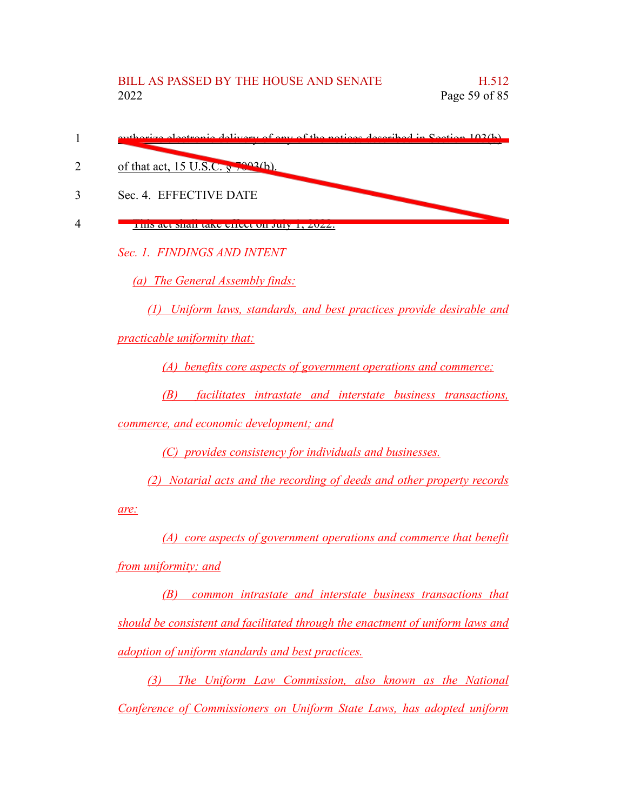| euthorize electronic delivery of eny of the notices described in Section 102(b) |
|---------------------------------------------------------------------------------|
| of that act, 15 U.S.C. $\frac{10003}{h}$ .                                      |
| Sec. 4. EFFECTIVE DATE                                                          |
| THIS act shall take chect on July 1, 2022.                                      |
| Sec. 1. FINDINGS AND INTENT                                                     |
|                                                                                 |

*(a) The General Assembly finds:*

*(1) Uniform laws, standards, and best practices provide desirable and*

*practicable uniformity that:*

*(A) benefits core aspects of government operations and commerce;*

*(B) facilitates intrastate and interstate business transactions,*

*commerce, and economic development; and*

*(C) provides consistency for individuals and businesses.*

*(2) Notarial acts and the recording of deeds and other property records*

*are:*

*(A) core aspects of government operations and commerce that benefit from uniformity; and*

*(B) common intrastate and interstate business transactions that should be consistent and facilitated through the enactment of uniform laws and adoption of uniform standards and best practices.*

*(3) The Uniform Law Commission, also known as the National Conference of Commissioners on Uniform State Laws, has adopted uniform*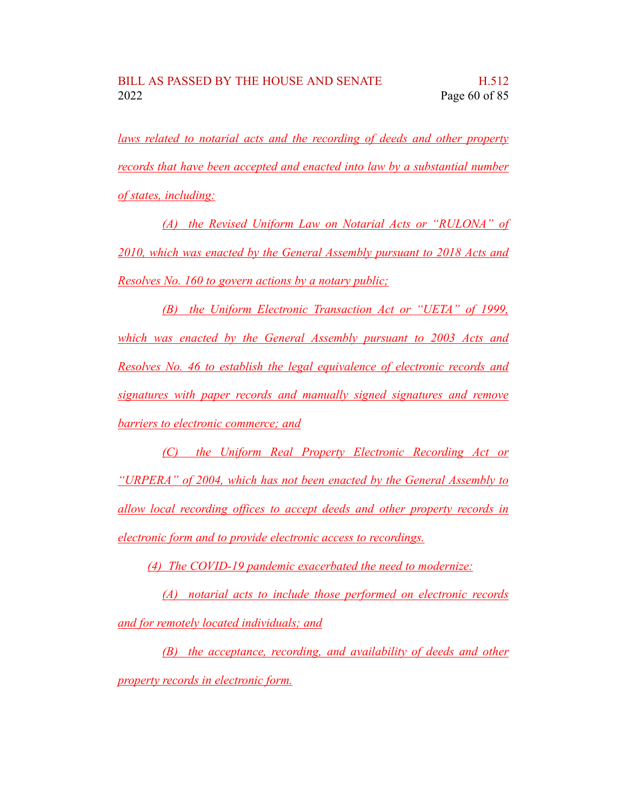*laws related to notarial acts and the recording of deeds and other property records that have been accepted and enacted into law by a substantial number of states, including:*

*(A) the Revised Uniform Law on Notarial Acts or "RULONA" of 2010, which was enacted by the General Assembly pursuant to 2018 Acts and Resolves No. 160 to govern actions by a notary public;*

*(B) the Uniform Electronic Transaction Act or "UETA" of 1999, which was enacted by the General Assembly pursuant to 2003 Acts and Resolves No. 46 to establish the legal equivalence of electronic records and signatures with paper records and manually signed signatures and remove barriers to electronic commerce; and*

*(C) the Uniform Real Property Electronic Recording Act or "URPERA" of 2004, which has not been enacted by the General Assembly to allow local recording offices to accept deeds and other property records in electronic form and to provide electronic access to recordings.*

*(4) The COVID-19 pandemic exacerbated the need to modernize:*

*(A) notarial acts to include those performed on electronic records and for remotely located individuals; and*

*(B) the acceptance, recording, and availability of deeds and other property records in electronic form.*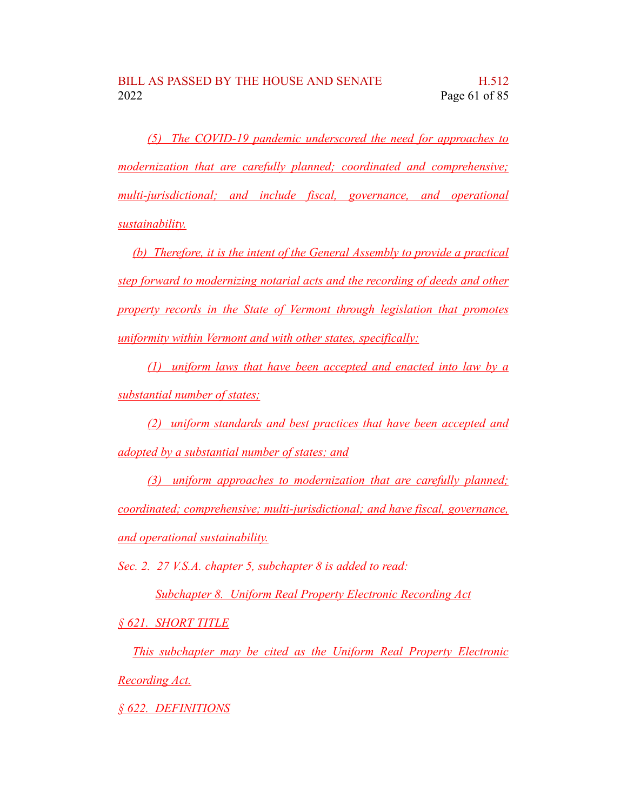*(5) The COVID-19 pandemic underscored the need for approaches to modernization that are carefully planned; coordinated and comprehensive; multi-jurisdictional; and include fiscal, governance, and operational sustainability.*

*(b) Therefore, it is the intent of the General Assembly to provide a practical step forward to modernizing notarial acts and the recording of deeds and other property records in the State of Vermont through legislation that promotes uniformity within Vermont and with other states, specifically:*

*(1) uniform laws that have been accepted and enacted into law by a substantial number of states;*

*(2) uniform standards and best practices that have been accepted and adopted by a substantial number of states; and*

*(3) uniform approaches to modernization that are carefully planned; coordinated; comprehensive; multi-jurisdictional; and have fiscal, governance, and operational sustainability.*

*Sec. 2. 27 V.S.A. chapter 5, subchapter 8 is added to read:*

*Subchapter 8. Uniform Real Property Electronic Recording Act*

*§ 621. SHORT TITLE*

*This subchapter may be cited as the Uniform Real Property Electronic Recording Act.*

*§ 622. DEFINITIONS*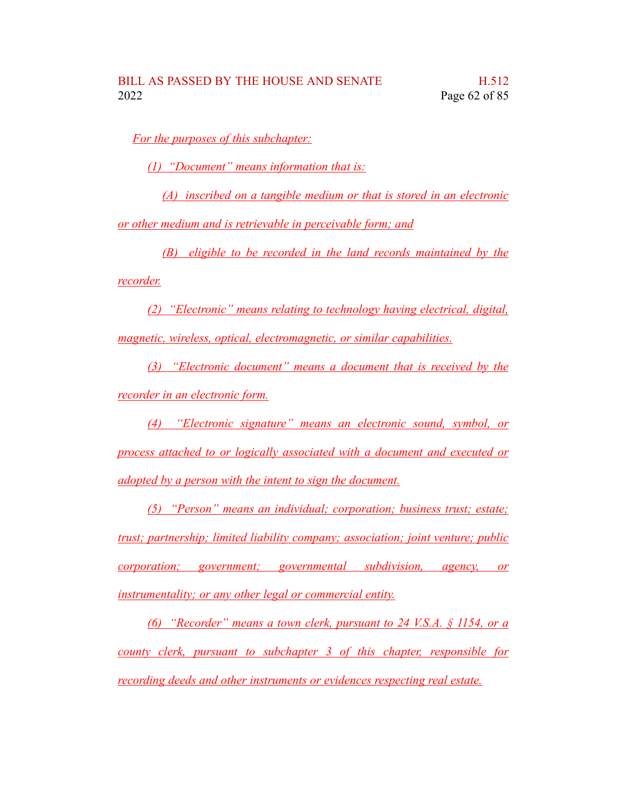*For the purposes of this subchapter:*

*(1) "Document" means information that is:*

*(A) inscribed on a tangible medium or that is stored in an electronic*

*or other medium and is retrievable in perceivable form; and*

*(B) eligible to be recorded in the land records maintained by the*

*recorder.*

*(2) "Electronic" means relating to technology having electrical, digital, magnetic, wireless, optical, electromagnetic, or similar capabilities.*

*(3) "Electronic document" means a document that is received by the recorder in an electronic form.*

*(4) "Electronic signature" means an electronic sound, symbol, or process attached to or logically associated with a document and executed or adopted by a person with the intent to sign the document.*

*(5) "Person" means an individual; corporation; business trust; estate; trust; partnership; limited liability company; association; joint venture; public corporation; government; governmental subdivision, agency, or instrumentality; or any other legal or commercial entity.*

*(6) "Recorder" means a town clerk, pursuant to 24 V.S.A. § 1154, or a county clerk, pursuant to subchapter 3 of this chapter, responsible for recording deeds and other instruments or evidences respecting real estate.*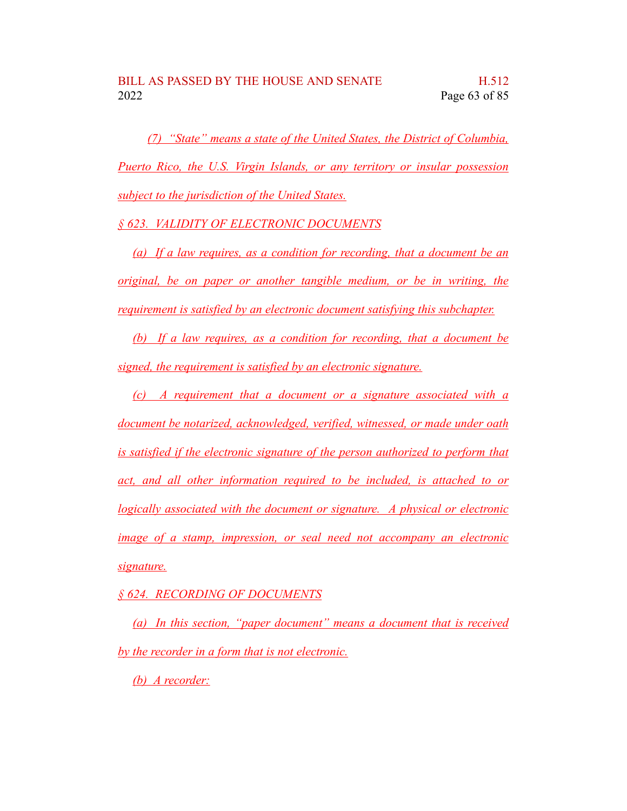*(7) "State" means a state of the United States, the District of Columbia, Puerto Rico, the U.S. Virgin Islands, or any territory or insular possession subject to the jurisdiction of the United States.*

*§ 623. VALIDITY OF ELECTRONIC DOCUMENTS*

*(a) If a law requires, as a condition for recording, that a document be an original, be on paper or another tangible medium, or be in writing, the requirement is satisfied by an electronic document satisfying this subchapter.*

*(b) If a law requires, as a condition for recording, that a document be signed, the requirement is satisfied by an electronic signature.*

*(c) A requirement that a document or a signature associated with a document be notarized, acknowledged, verified, witnessed, or made under oath is satisfied if the electronic signature of the person authorized to perform that act, and all other information required to be included, is attached to or logically associated with the document or signature. A physical or electronic image of a stamp, impression, or seal need not accompany an electronic signature.*

*§ 624. RECORDING OF DOCUMENTS*

*(a) In this section, "paper document" means a document that is received by the recorder in a form that is not electronic.*

*(b) A recorder:*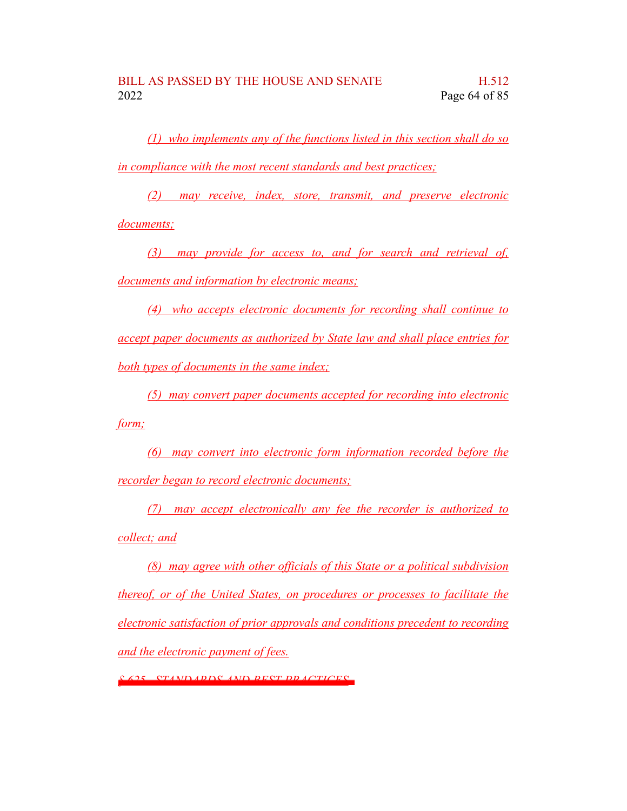*(1) who implements any of the functions listed in this section shall do so in compliance with the most recent standards and best practices;*

*(2) may receive, index, store, transmit, and preserve electronic documents;*

*(3) may provide for access to, and for search and retrieval of, documents and information by electronic means;*

*(4) who accepts electronic documents for recording shall continue to accept paper documents as authorized by State law and shall place entries for both types of documents in the same index;*

*(5) may convert paper documents accepted for recording into electronic form;*

*(6) may convert into electronic form information recorded before the recorder began to record electronic documents;*

*(7) may accept electronically any fee the recorder is authorized to collect; and*

*(8) may agree with other officials of this State or a political subdivision thereof, or of the United States, on procedures or processes to facilitate the electronic satisfaction of prior approvals and conditions precedent to recording and the electronic payment of fees.*

*§ 625. STANDARDS AND BEST PRACTICES*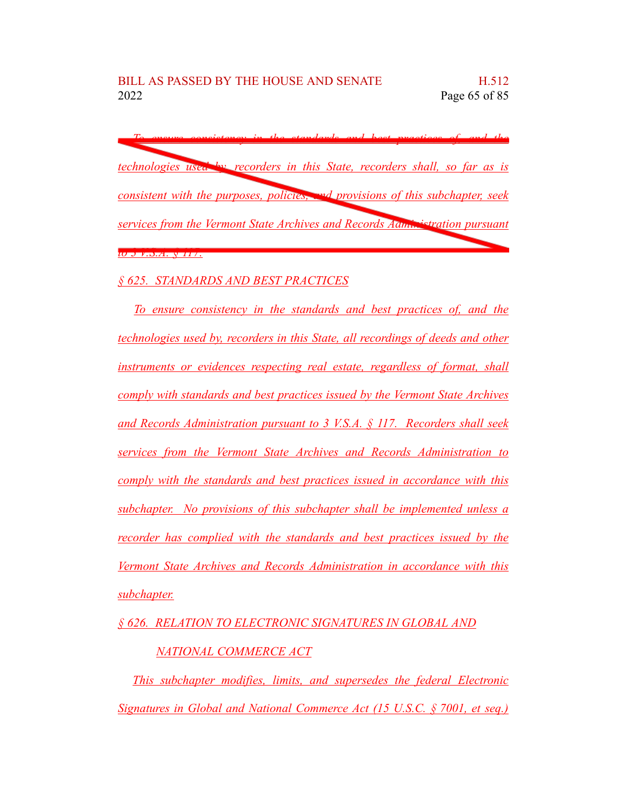*To ensure consistency in the standards and best practices of, and the technologies used by, recorders in this State, recorders shall, so far as is consistent with the purposes, policies, and provisions of this subchapter, seek services from the Vermont State Archives and Records Administration pursuant to 3 V.S.A. § 117.*

## *§ 625. STANDARDS AND BEST PRACTICES*

*To ensure consistency in the standards and best practices of, and the technologies used by, recorders in this State, all recordings of deeds and other instruments or evidences respecting real estate, regardless of format, shall comply with standards and best practices issued by the Vermont State Archives and Records Administration pursuant to 3 V.S.A. § 117. Recorders shall seek services from the Vermont State Archives and Records Administration to comply with the standards and best practices issued in accordance with this subchapter. No provisions of this subchapter shall be implemented unless a recorder has complied with the standards and best practices issued by the Vermont State Archives and Records Administration in accordance with this subchapter.*

*§ 626. RELATION TO ELECTRONIC SIGNATURES IN GLOBAL AND*

## *NATIONAL COMMERCE ACT*

*This subchapter modifies, limits, and supersedes the federal Electronic Signatures in Global and National Commerce Act (15 U.S.C. § 7001, et seq.)*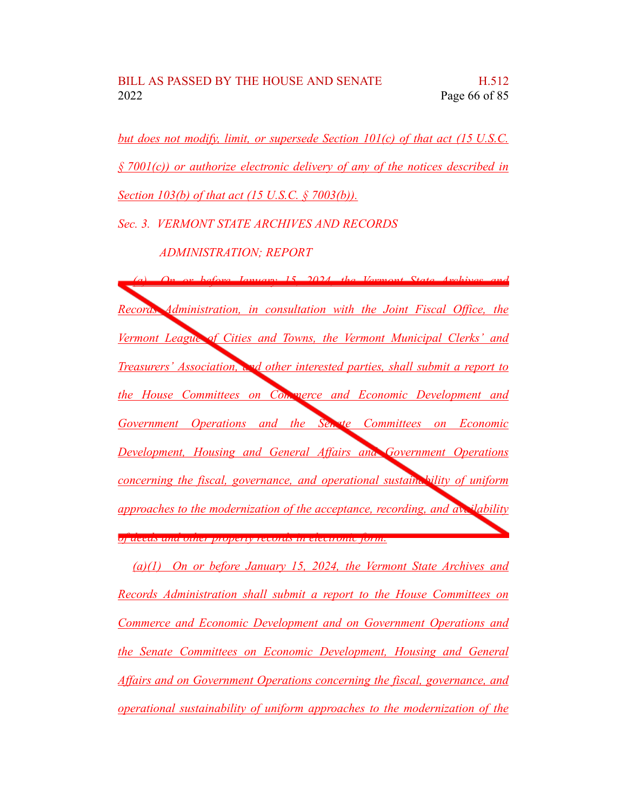*but does not modify, limit, or supersede Section 101(c) of that act (15 U.S.C. § 7001(c)) or authorize electronic delivery of any of the notices described in Section 103(b) of that act (15 U.S.C. § 7003(b)).*

*Sec. 3. VERMONT STATE ARCHIVES AND RECORDS*

## *ADMINISTRATION; REPORT*

*(a) On or before January 15, 2024, the Vermont State Archives and Records Administration, in consultation with the Joint Fiscal Office, the Vermont League of Cities and Towns, the Vermont Municipal Clerks' and Treasurers' Association, and other interested parties, shall submit a report to the House Committees on Commerce and Economic Development and Government Operations and the Senate Committees on Economic Development, Housing and General Affairs and Government Operations concerning the fiscal, governance, and operational sustainability of uniform approaches to the modernization of the acceptance, recording, and availability of deeds and other property records in electronic form.*

*(a)(1) On or before January 15, 2024, the Vermont State Archives and Records Administration shall submit a report to the House Committees on Commerce and Economic Development and on Government Operations and the Senate Committees on Economic Development, Housing and General Affairs and on Government Operations concerning the fiscal, governance, and operational sustainability of uniform approaches to the modernization of the*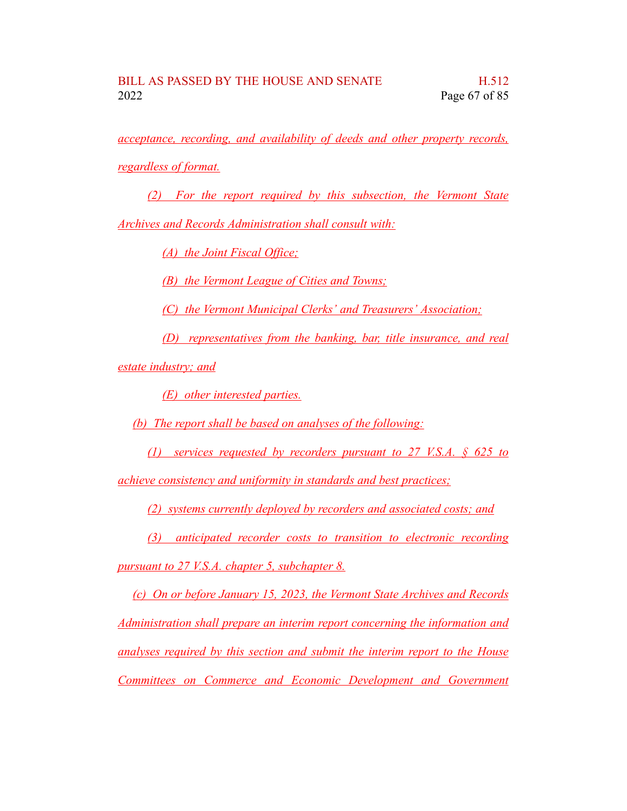*acceptance, recording, and availability of deeds and other property records, regardless of format.*

*(2) For the report required by this subsection, the Vermont State*

*Archives and Records Administration shall consult with:*

*(A) the Joint Fiscal Office;*

*(B) the Vermont League of Cities and Towns;*

*(C) the Vermont Municipal Clerks' and Treasurers' Association;*

*(D) representatives from the banking, bar, title insurance, and real*

*estate industry; and*

*(E) other interested parties.*

*(b) The report shall be based on analyses of the following:*

*(1) services requested by recorders pursuant to 27 V.S.A. § 625 to*

*achieve consistency and uniformity in standards and best practices;*

*(2) systems currently deployed by recorders and associated costs; and*

*(3) anticipated recorder costs to transition to electronic recording pursuant to 27 V.S.A. chapter 5, subchapter 8.*

*(c) On or before January 15, 2023, the Vermont State Archives and Records Administration shall prepare an interim report concerning the information and analyses required by this section and submit the interim report to the House Committees on Commerce and Economic Development and Government*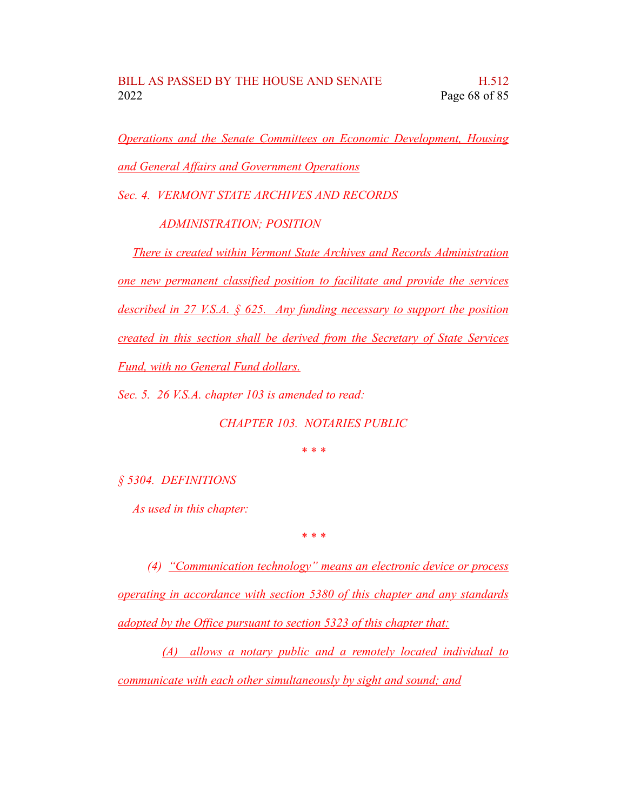*Operations and the Senate Committees on Economic Development, Housing and General Affairs and Government Operations*

*Sec. 4. VERMONT STATE ARCHIVES AND RECORDS*

*ADMINISTRATION; POSITION*

*There is created within Vermont State Archives and Records Administration one new permanent classified position to facilitate and provide the services described in 27 V.S.A. § 625. Any funding necessary to support the position created in this section shall be derived from the Secretary of State Services Fund, with no General Fund dollars.*

*Sec. 5. 26 V.S.A. chapter 103 is amended to read:*

*CHAPTER 103. NOTARIES PUBLIC*

*\* \* \**

*§ 5304. DEFINITIONS*

*As used in this chapter:*

*\* \* \**

*(4) "Communication technology" means an electronic device or process operating in accordance with section 5380 of this chapter and any standards adopted by the Office pursuant to section 5323 of this chapter that:*

*(A) allows a notary public and a remotely located individual to communicate with each other simultaneously by sight and sound; and*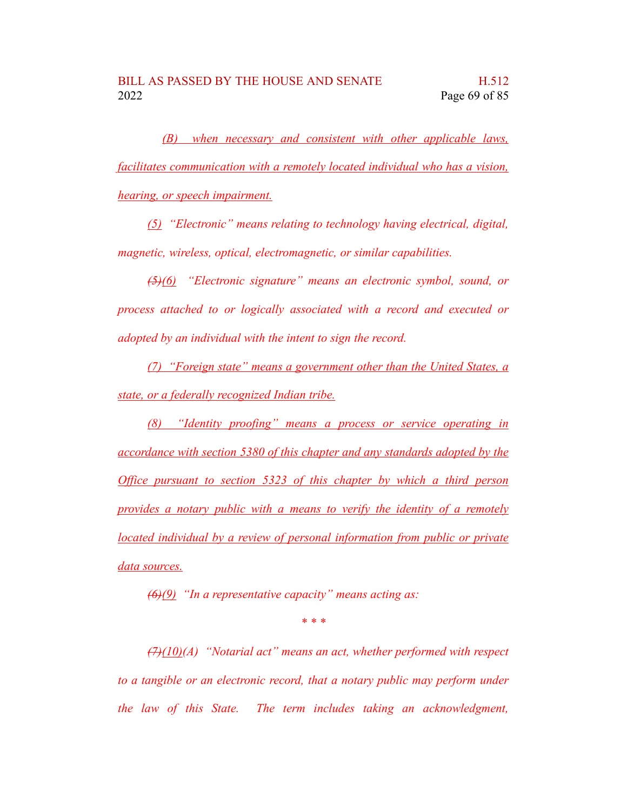*(B) when necessary and consistent with other applicable laws, facilitates communication with a remotely located individual who has a vision, hearing, or speech impairment.*

*(5) "Electronic" means relating to technology having electrical, digital, magnetic, wireless, optical, electromagnetic, or similar capabilities.*

*(5)(6) "Electronic signature" means an electronic symbol, sound, or process attached to or logically associated with a record and executed or adopted by an individual with the intent to sign the record.*

*(7) "Foreign state" means a government other than the United States, a state, or a federally recognized Indian tribe.*

*(8) "Identity proofing" means a process or service operating in accordance with section 5380 of this chapter and any standards adopted by the Office pursuant to section 5323 of this chapter by which a third person provides a notary public with a means to verify the identity of a remotely located individual by a review of personal information from public or private data sources.*

*(6)(9) "In a representative capacity" means acting as:*

*\* \* \**

*(7)(10)(A) "Notarial act" means an act, whether performed with respect to a tangible or an electronic record, that a notary public may perform under the law of this State. The term includes taking an acknowledgment,*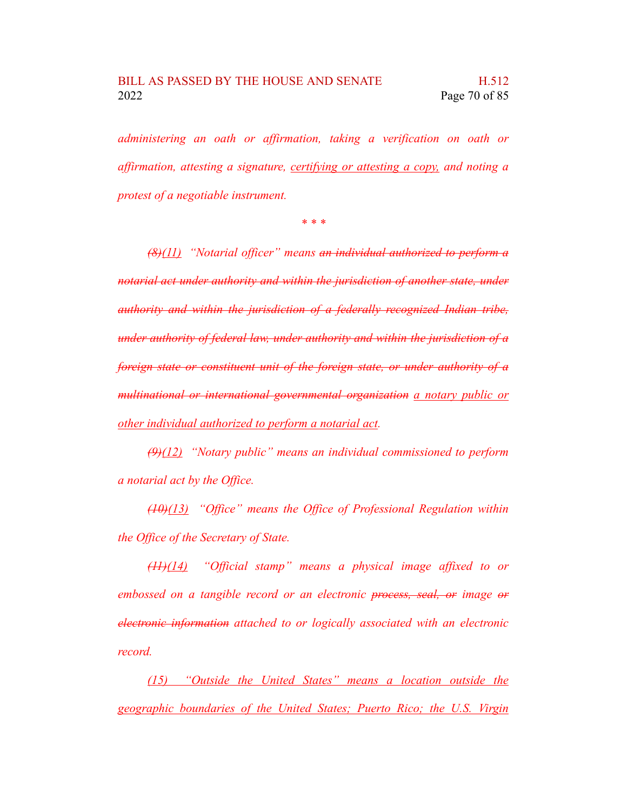*administering an oath or affirmation, taking a verification on oath or affirmation, attesting a signature, certifying or attesting a copy, and noting a protest of a negotiable instrument.*

*\* \* \**

*(8)(11) "Notarial officer" means an individual authorized to perform a notarial act under authority and within the jurisdiction of another state, under authority and within the jurisdiction of a federally recognized Indian tribe, under authority of federal law, under authority and within the jurisdiction of a foreign state or constituent unit of the foreign state, or under authority of a multinational or international governmental organization a notary public or other individual authorized to perform a notarial act.*

*(9)(12) "Notary public" means an individual commissioned to perform a notarial act by the Office.*

*(10)(13) "Office" means the Office of Professional Regulation within the Office of the Secretary of State.*

*(11)(14) "Official stamp" means a physical image affixed to or embossed on a tangible record or an electronic process, seal, or image or electronic information attached to or logically associated with an electronic record.*

*(15) "Outside the United States" means a location outside the geographic boundaries of the United States; Puerto Rico; the U.S. Virgin*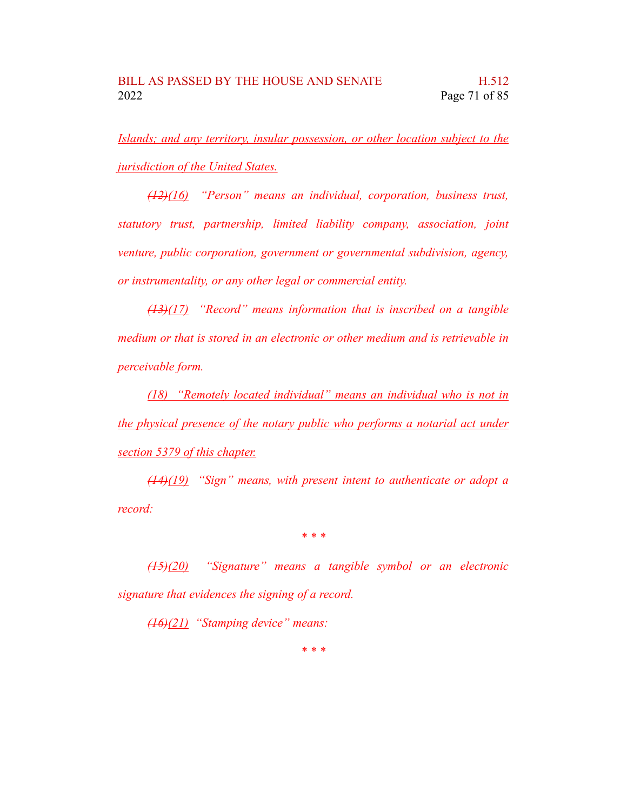*Islands; and any territory, insular possession, or other location subject to the jurisdiction of the United States.*

*(12)(16) "Person" means an individual, corporation, business trust, statutory trust, partnership, limited liability company, association, joint venture, public corporation, government or governmental subdivision, agency, or instrumentality, or any other legal or commercial entity.*

*(13)(17) "Record" means information that is inscribed on a tangible medium or that is stored in an electronic or other medium and is retrievable in perceivable form.*

*(18) "Remotely located individual" means an individual who is not in the physical presence of the notary public who performs a notarial act under section 5379 of this chapter.*

*(14)(19) "Sign" means, with present intent to authenticate or adopt a record:*

*\* \* \**

*(15)(20) "Signature" means a tangible symbol or an electronic signature that evidences the signing of a record.*

*(16)(21) "Stamping device" means:*

*\* \* \**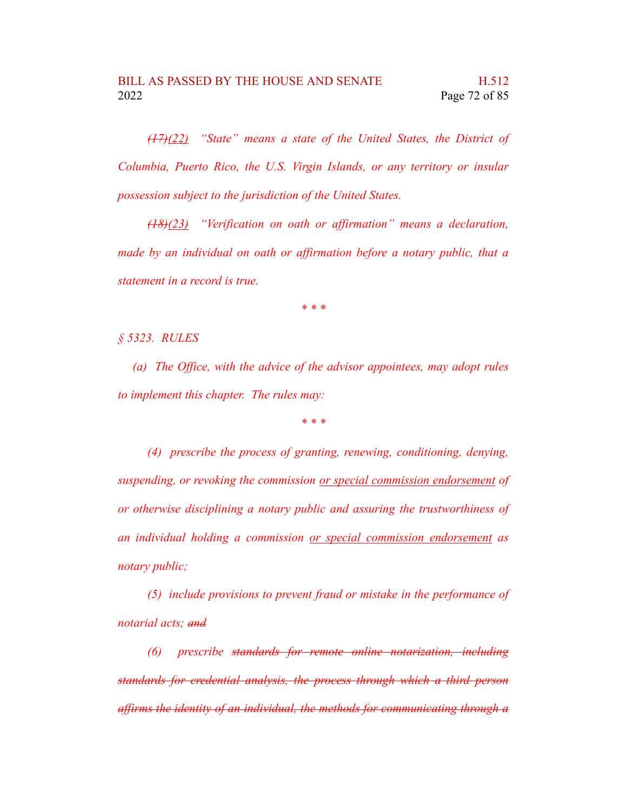*(17)(22) "State" means a state of the United States, the District of Columbia, Puerto Rico, the U.S. Virgin Islands, or any territory or insular possession subject to the jurisdiction of the United States.*

*(18)(23) "Verification on oath or affirmation" means a declaration, made by an individual on oath or affirmation before a notary public, that a statement in a record is true.*

*\* \* \**

*§ 5323. RULES*

*(a) The Office, with the advice of the advisor appointees, may adopt rules to implement this chapter. The rules may:*

*\* \* \**

*(4) prescribe the process of granting, renewing, conditioning, denying, suspending, or revoking the commission or special commission endorsement of or otherwise disciplining a notary public and assuring the trustworthiness of an individual holding a commission or special commission endorsement as notary public;*

*(5) include provisions to prevent fraud or mistake in the performance of notarial acts; and*

*(6) prescribe standards for remote online notarization, including standards for credential analysis, the process through which a third person affirms the identity of an individual, the methods for communicating through a*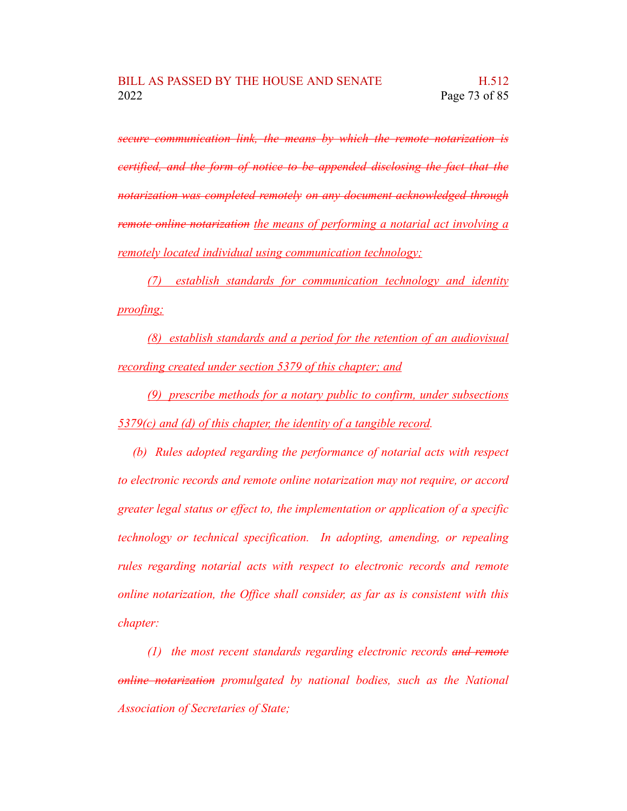*secure communication link, the means by which the remote notarization is certified, and the form of notice to be appended disclosing the fact that the notarization was completed remotely on any document acknowledged through remote online notarization the means of performing a notarial act involving a remotely located individual using communication technology;*

*(7) establish standards for communication technology and identity proofing;*

*(8) establish standards and a period for the retention of an audiovisual recording created under section 5379 of this chapter; and*

*(9) prescribe methods for a notary public to confirm, under subsections 5379(c) and (d) of this chapter, the identity of a tangible record.*

*(b) Rules adopted regarding the performance of notarial acts with respect to electronic records and remote online notarization may not require, or accord greater legal status or effect to, the implementation or application of a specific technology or technical specification. In adopting, amending, or repealing rules regarding notarial acts with respect to electronic records and remote online notarization, the Office shall consider, as far as is consistent with this chapter:*

*(1) the most recent standards regarding electronic records and remote online notarization promulgated by national bodies, such as the National Association of Secretaries of State;*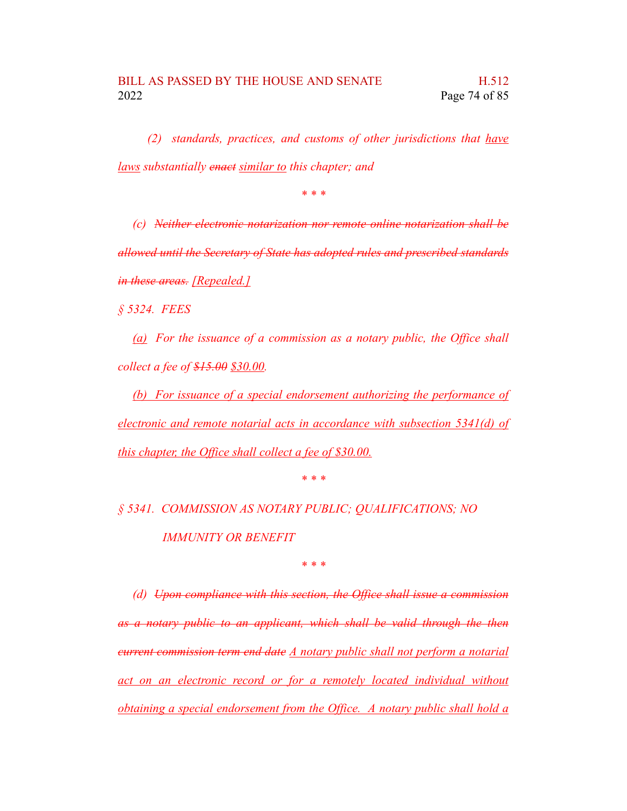*(2) standards, practices, and customs of other jurisdictions that have laws substantially enact similar to this chapter; and*

*\* \* \**

*(c) Neither electronic notarization nor remote online notarization shall be allowed until the Secretary of State has adopted rules and prescribed standards in these areas. [Repealed.]*

*§ 5324. FEES*

*(a) For the issuance of a commission as a notary public, the Office shall collect a fee of \$15.00 \$30.00.*

*(b) For issuance of a special endorsement authorizing the performance of electronic and remote notarial acts in accordance with subsection 5341(d) of this chapter, the Office shall collect a fee of \$30.00.*

*\* \* \**

*§ 5341. COMMISSION AS NOTARY PUBLIC; QUALIFICATIONS; NO IMMUNITY OR BENEFIT*

*\* \* \**

*(d) Upon compliance with this section, the Office shall issue a commission as a notary public to an applicant, which shall be valid through the then current commission term end date A notary public shall not perform a notarial act on an electronic record or for a remotely located individual without obtaining a special endorsement from the Office. A notary public shall hold a*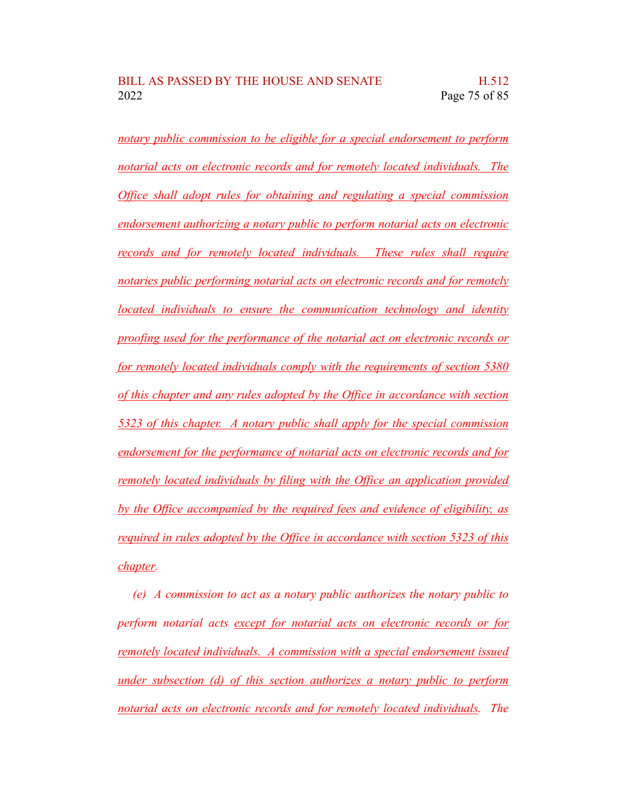*notary public commission to be eligible for a special endorsement to perform notarial acts on electronic records and for remotely located individuals. The Office shall adopt rules for obtaining and regulating a special commission endorsement authorizing a notary public to perform notarial acts on electronic records and for remotely located individuals. These rules shall require notaries public performing notarial acts on electronic records and for remotely located individuals to ensure the communication technology and identity proofing used for the performance of the notarial act on electronic records or for remotely located individuals comply with the requirements of section 5380 of this chapter and any rules adopted by the Office in accordance with section 5323 of this chapter. A notary public shall apply for the special commission endorsement for the performance of notarial acts on electronic records and for remotely located individuals by filing with the Office an application provided by the Office accompanied by the required fees and evidence of eligibility, as required in rules adopted by the Office in accordance with section 5323 of this chapter.*

*(e) A commission to act as a notary public authorizes the notary public to perform notarial acts except for notarial acts on electronic records or for remotely located individuals. A commission with a special endorsement issued under subsection (d) of this section authorizes a notary public to perform notarial acts on electronic records and for remotely located individuals. The*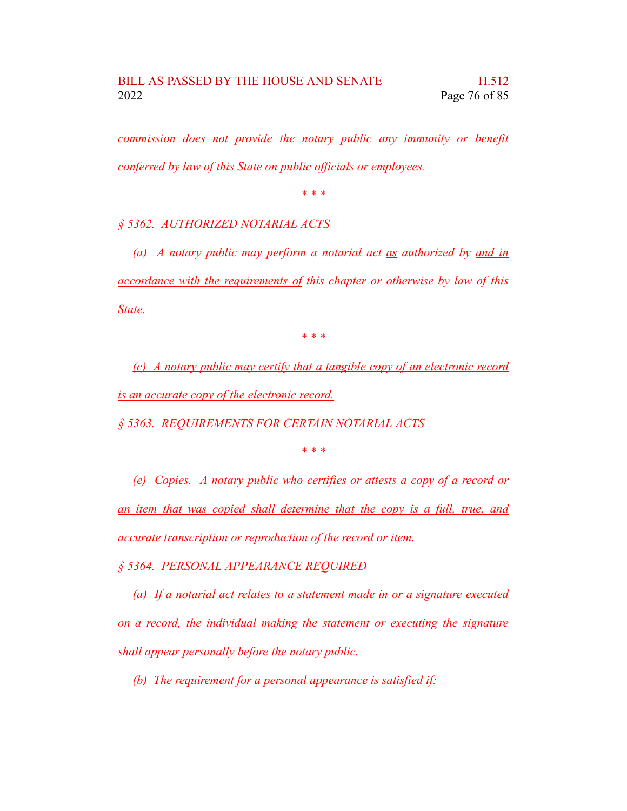*commission does not provide the notary public any immunity or benefit conferred by law of this State on public officials or employees.*

*\* \* \**

## *§ 5362. AUTHORIZED NOTARIAL ACTS*

*(a) A notary public may perform a notarial act as authorized by and in accordance with the requirements of this chapter or otherwise by law of this State.*

*\* \* \**

*(c) A notary public may certify that a tangible copy of an electronic record is an accurate copy of the electronic record.*

*§ 5363. REQUIREMENTS FOR CERTAIN NOTARIAL ACTS*

*\* \* \**

*(e) Copies. A notary public who certifies or attests a copy of a record or an item that was copied shall determine that the copy is a full, true, and accurate transcription or reproduction of the record or item.*

*§ 5364. PERSONAL APPEARANCE REQUIRED*

*(a) If a notarial act relates to a statement made in or a signature executed on a record, the individual making the statement or executing the signature shall appear personally before the notary public.*

*(b) The requirement for a personal appearance is satisfied if:*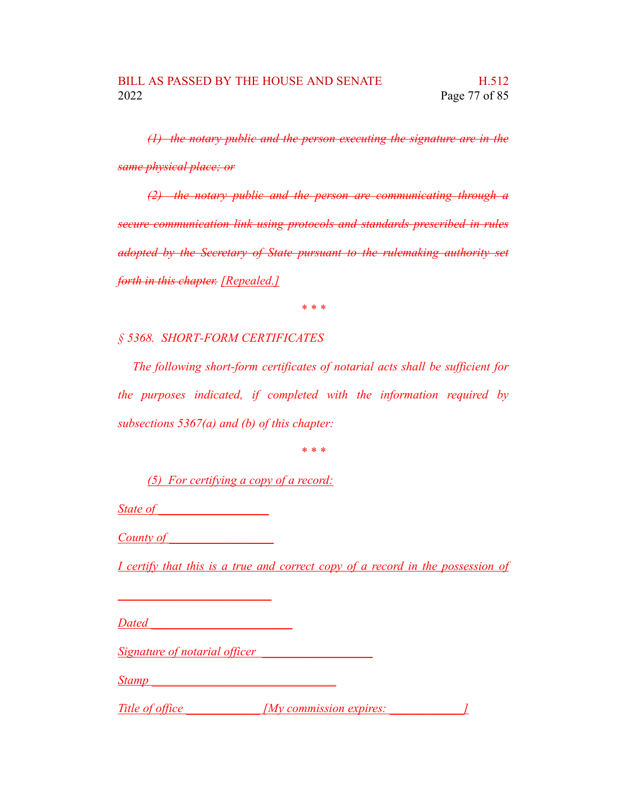*(1) the notary public and the person executing the signature are in the same physical place; or*

*(2) the notary public and the person are communicating through a secure communication link using protocols and standards prescribed in rules adopted by the Secretary of State pursuant to the rulemaking authority set forth in this chapter. [Repealed.]*

*\* \* \**

*§ 5368. SHORT-FORM CERTIFICATES*

*The following short-form certificates of notarial acts shall be sufficient for the purposes indicated, if completed with the information required by subsections 5367(a) and (b) of this chapter:*

*\* \* \**

*(5) For certifying a copy of a record:*

*State of \_\_\_\_\_\_\_\_\_\_\_\_\_\_\_\_\_\_*

*\_\_\_\_\_\_\_\_\_\_\_\_\_\_\_\_\_\_\_\_\_\_\_\_\_*

*County of \_\_\_\_\_\_\_\_\_\_\_\_\_\_\_\_\_*

*I certify that this is a true and correct copy of a record in the possession of*

*Dated \_\_\_\_\_\_\_\_\_\_\_\_\_\_\_\_\_\_\_\_\_\_\_*

*Signature of notarial officer \_\_\_\_\_\_\_\_\_\_\_\_\_\_\_\_\_\_*

*Stamp \_\_\_\_\_\_\_\_\_\_\_\_\_\_\_\_\_\_\_\_\_\_\_\_\_\_\_\_\_\_*

*Title* of office *My* commission expires: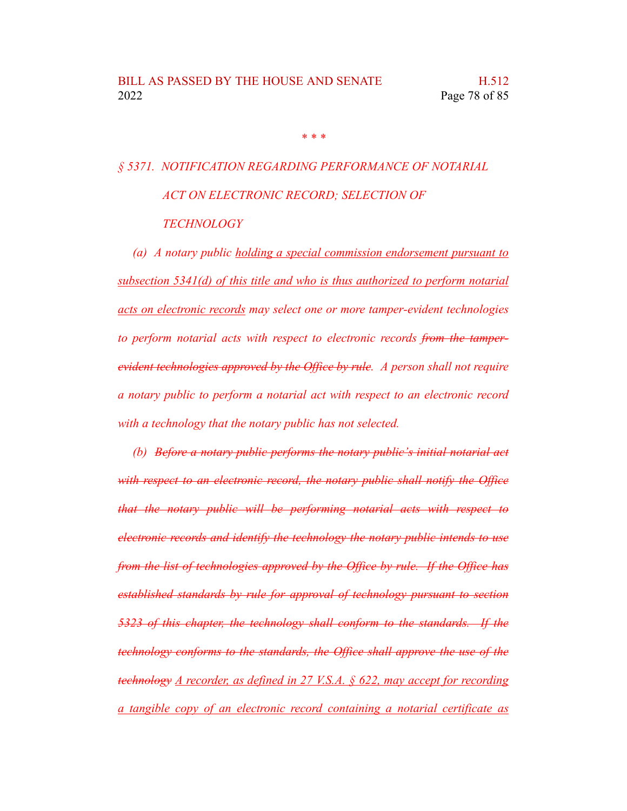*\* \* \**

## *§ 5371. NOTIFICATION REGARDING PERFORMANCE OF NOTARIAL ACT ON ELECTRONIC RECORD; SELECTION OF TECHNOLOGY*

*(a) A notary public holding a special commission endorsement pursuant to subsection 5341(d) of this title and who is thus authorized to perform notarial acts on electronic records may select one or more tamper-evident technologies to perform notarial acts with respect to electronic records from the tamperevident technologies approved by the Office by rule. A person shall not require a notary public to perform a notarial act with respect to an electronic record with a technology that the notary public has not selected.*

*(b) Before a notary public performs the notary public's initial notarial act with respect to an electronic record, the notary public shall notify the Office that the notary public will be performing notarial acts with respect to electronic records and identify the technology the notary public intends to use from the list of technologies approved by the Office by rule. If the Office has established standards by rule for approval of technology pursuant to section 5323 of this chapter, the technology shall conform to the standards. If the technology conforms to the standards, the Office shall approve the use of the technology A recorder, as defined in 27 V.S.A. § 622, may accept for recording a tangible copy of an electronic record containing a notarial certificate as*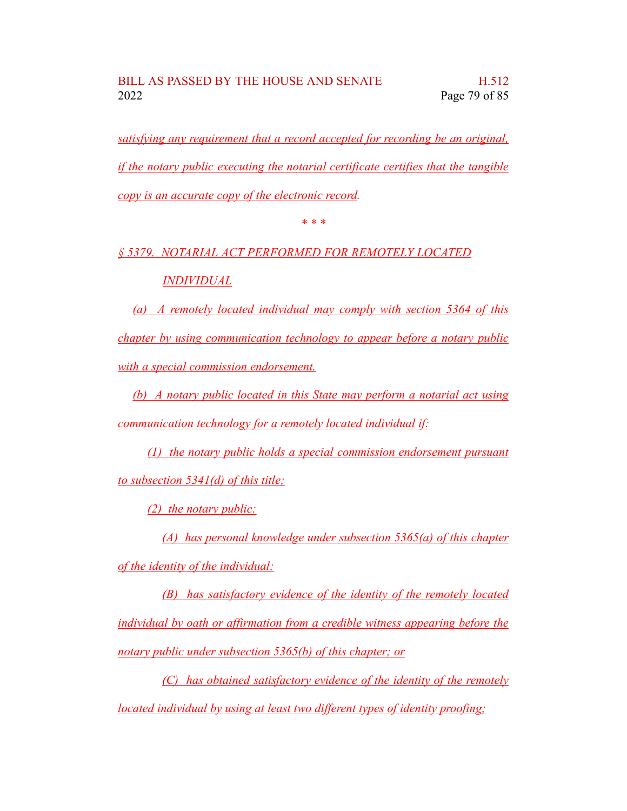*satisfying any requirement that a record accepted for recording be an original, if the notary public executing the notarial certificate certifies that the tangible copy is an accurate copy of the electronic record.*

*\* \* \**

*§ 5379. NOTARIAL ACT PERFORMED FOR REMOTELY LOCATED INDIVIDUAL*

*(a) A remotely located individual may comply with section 5364 of this chapter by using communication technology to appear before a notary public with a special commission endorsement.*

*(b) A notary public located in this State may perform a notarial act using communication technology for a remotely located individual if:*

*(1) the notary public holds a special commission endorsement pursuant to subsection 5341(d) of this title;*

*(2) the notary public:*

*(A) has personal knowledge under subsection 5365(a) of this chapter of the identity of the individual;*

*(B) has satisfactory evidence of the identity of the remotely located individual by oath or affirmation from a credible witness appearing before the notary public under subsection 5365(b) of this chapter; or*

*(C) has obtained satisfactory evidence of the identity of the remotely located individual by using at least two different types of identity proofing;*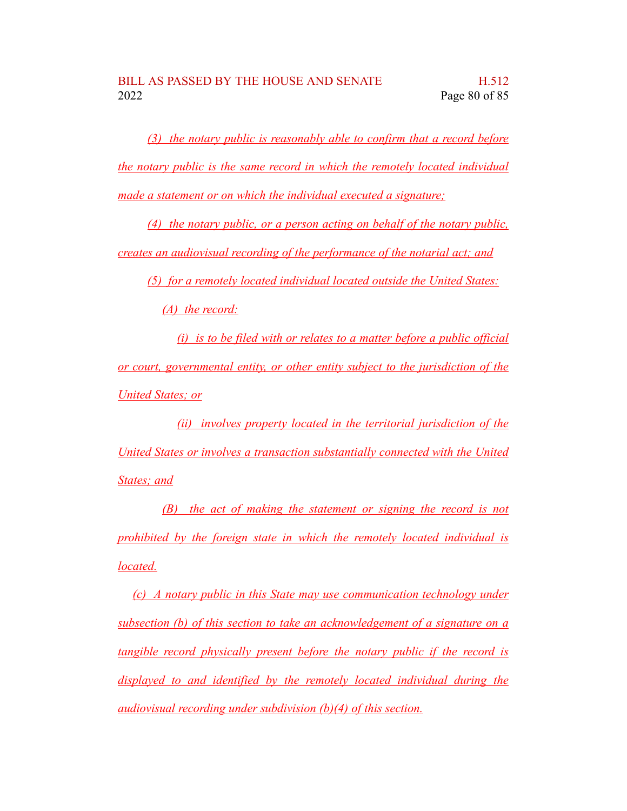*(3) the notary public is reasonably able to confirm that a record before the notary public is the same record in which the remotely located individual made a statement or on which the individual executed a signature;*

*(4) the notary public, or a person acting on behalf of the notary public, creates an audiovisual recording of the performance of the notarial act; and*

*(5) for a remotely located individual located outside the United States:*

*(A) the record:*

*(i) is to be filed with or relates to a matter before a public official or court, governmental entity, or other entity subject to the jurisdiction of the United States; or*

*(ii) involves property located in the territorial jurisdiction of the United States or involves a transaction substantially connected with the United States; and*

*(B) the act of making the statement or signing the record is not prohibited by the foreign state in which the remotely located individual is located.*

*(c) A notary public in this State may use communication technology under subsection (b) of this section to take an acknowledgement of a signature on a tangible record physically present before the notary public if the record is displayed to and identified by the remotely located individual during the audiovisual recording under subdivision (b)(4) of this section.*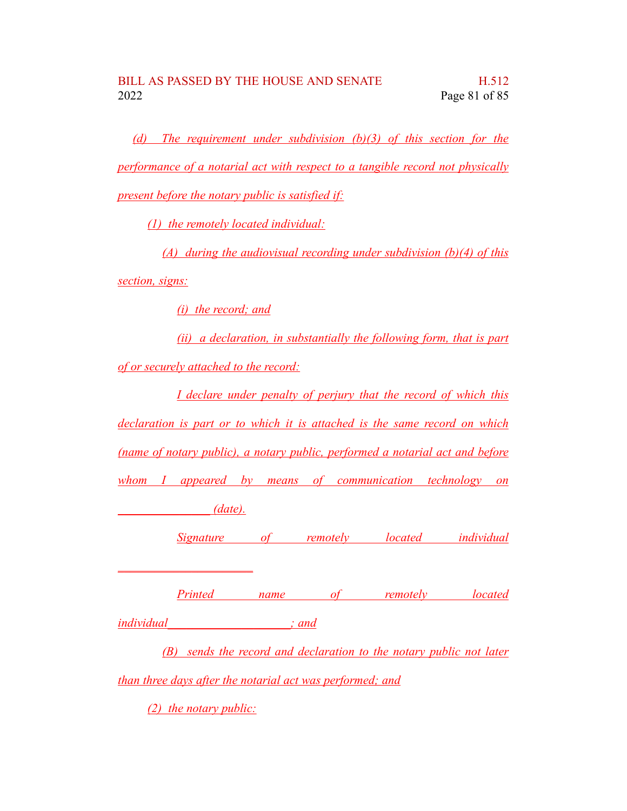*(d) The requirement under subdivision (b)(3) of this section for the performance of a notarial act with respect to a tangible record not physically present before the notary public is satisfied if:*

*(1) the remotely located individual:*

*(A) during the audiovisual recording under subdivision (b)(4) of this section, signs:*

*(i) the record; and*

*(ii) a declaration, in substantially the following form, that is part of or securely attached to the record:*

*I declare under penalty of perjury that the record of which this declaration is part or to which it is attached is the same record on which (name of notary public), a notary public, performed a notarial act and before whom I appeared by means of communication technology on \_\_\_\_\_\_\_\_\_\_\_\_\_\_\_ (date). Signature of remotely located individual \_\_\_\_\_\_\_\_\_\_\_\_\_\_\_\_\_\_\_\_\_\_ Printed name of remotely located*

*individual\_\_\_\_\_\_\_\_\_\_\_\_\_\_\_\_\_\_\_\_; and*

*(B) sends the record and declaration to the notary public not later*

*than three days after the notarial act was performed; and*

*(2) the notary public:*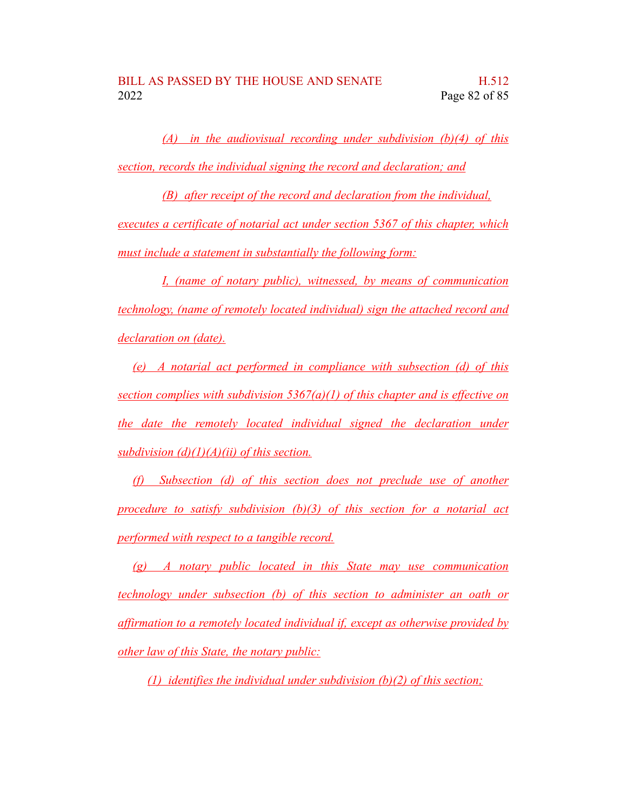*(A) in the audiovisual recording under subdivision (b)(4) of this section, records the individual signing the record and declaration; and*

*(B) after receipt of the record and declaration from the individual, executes a certificate of notarial act under section 5367 of this chapter, which must include a statement in substantially the following form:*

*I, (name of notary public), witnessed, by means of communication technology, (name of remotely located individual) sign the attached record and declaration on (date).*

*(e) A notarial act performed in compliance with subsection (d) of this section complies with subdivision 5367(a)(1) of this chapter and is effective on the date the remotely located individual signed the declaration under subdivision (d)(1)(A)(ii) of this section.*

*(f) Subsection (d) of this section does not preclude use of another procedure to satisfy subdivision (b)(3) of this section for a notarial act performed with respect to a tangible record.*

*(g) A notary public located in this State may use communication technology under subsection (b) of this section to administer an oath or affirmation to a remotely located individual if, except as otherwise provided by other law of this State, the notary public:*

*(1) identifies the individual under subdivision (b)(2) of this section;*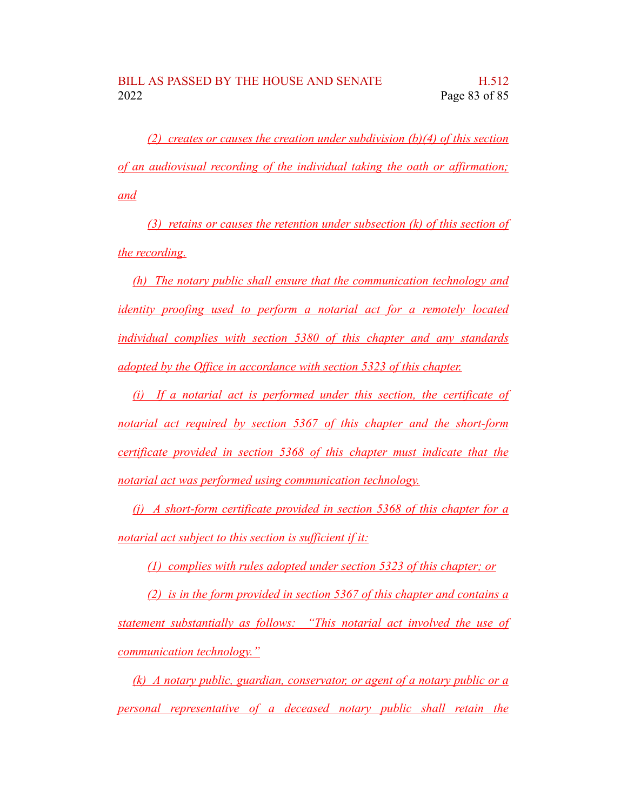*(2) creates or causes the creation under subdivision (b)(4) of this section of an audiovisual recording of the individual taking the oath or affirmation; and*

*(3) retains or causes the retention under subsection (k) of this section of the recording.*

*(h) The notary public shall ensure that the communication technology and identity proofing used to perform a notarial act for a remotely located individual complies with section 5380 of this chapter and any standards adopted by the Office in accordance with section 5323 of this chapter.*

*(i) If a notarial act is performed under this section, the certificate of notarial act required by section 5367 of this chapter and the short-form certificate provided in section 5368 of this chapter must indicate that the notarial act was performed using communication technology.*

*(j) A short-form certificate provided in section 5368 of this chapter for a notarial act subject to this section is sufficient if it:*

*(1) complies with rules adopted under section 5323 of this chapter; or*

*(2) is in the form provided in section 5367 of this chapter and contains a statement substantially as follows: "This notarial act involved the use of communication technology."*

*(k) A notary public, guardian, conservator, or agent of a notary public or a personal representative of a deceased notary public shall retain the*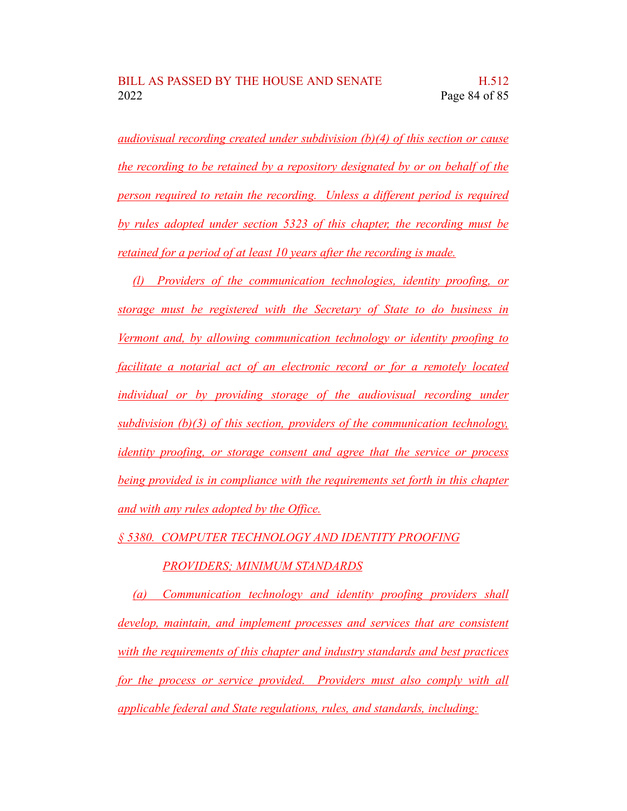*audiovisual recording created under subdivision (b)(4) of this section or cause the recording to be retained by a repository designated by or on behalf of the person required to retain the recording. Unless a different period is required by rules adopted under section 5323 of this chapter, the recording must be retained for a period of at least 10 years after the recording is made.*

*(l) Providers of the communication technologies, identity proofing, or storage must be registered with the Secretary of State to do business in Vermont and, by allowing communication technology or identity proofing to facilitate a notarial act of an electronic record or for a remotely located individual or by providing storage of the audiovisual recording under subdivision (b)(3) of this section, providers of the communication technology, identity proofing, or storage consent and agree that the service or process being provided is in compliance with the requirements set forth in this chapter and with any rules adopted by the Office.*

*§ 5380. COMPUTER TECHNOLOGY AND IDENTITY PROOFING*

## *PROVIDERS; MINIMUM STANDARDS*

*(a) Communication technology and identity proofing providers shall develop, maintain, and implement processes and services that are consistent with the requirements of this chapter and industry standards and best practices for the process or service provided. Providers must also comply with all applicable federal and State regulations, rules, and standards, including:*